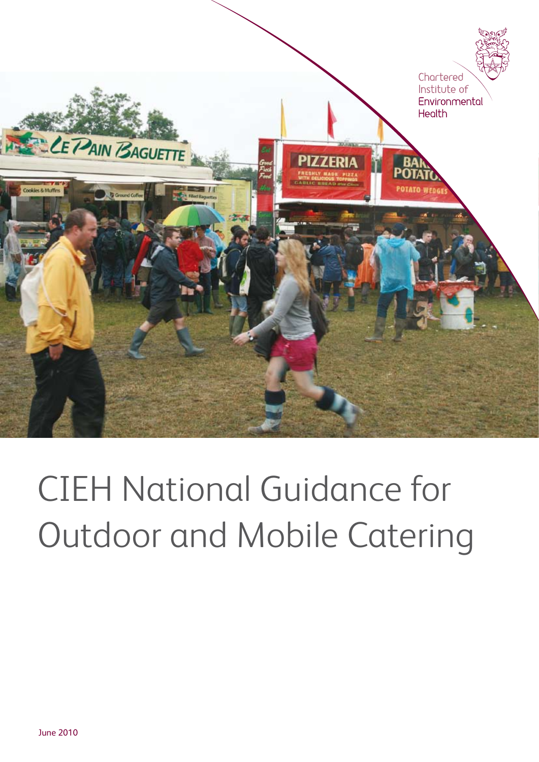

# CIEH National Guidance for Outdoor and Mobile Catering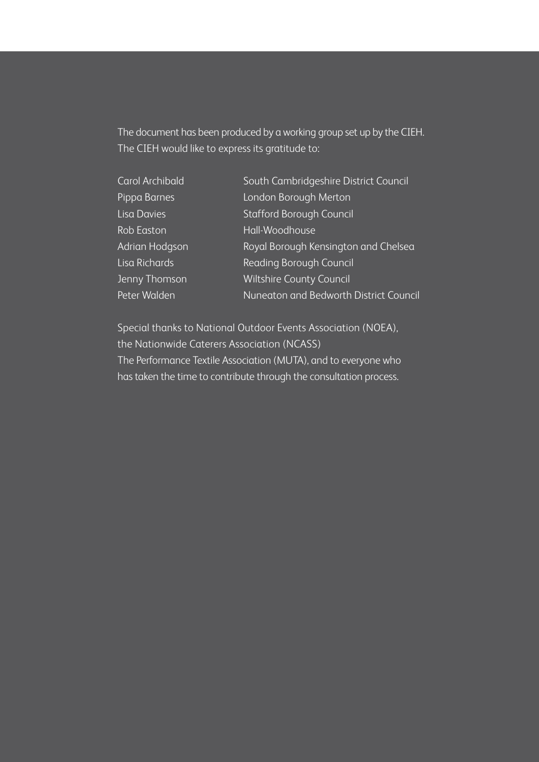The document has been produced by a working group set up by the CIEH. The CIEH would like to express its gratitude to:

| Carol Archibald   | <b>South Cambridgeshire District Council</b> |
|-------------------|----------------------------------------------|
| Pippa Barnes      | London Borough Merton                        |
| Lisa Davies       | <b>Stafford Borough Council</b>              |
| <b>Rob Easton</b> | Hall-Woodhouse                               |
| Adrian Hodgson    | Royal Borough Kensington and Chelsea         |
| Lisa Richards     | Reading Borough Council                      |
| Jenny Thomson     | <b>Wiltshire County Council</b>              |
| Peter Walden      | Nuneaton and Bedworth District Council       |

Special thanks to National Outdoor Events Association (NOEA), the Nationwide Caterers Association (NCASS) The Performance Textile Association (MUTA), and to everyone who has taken the time to contribute through the consultation process.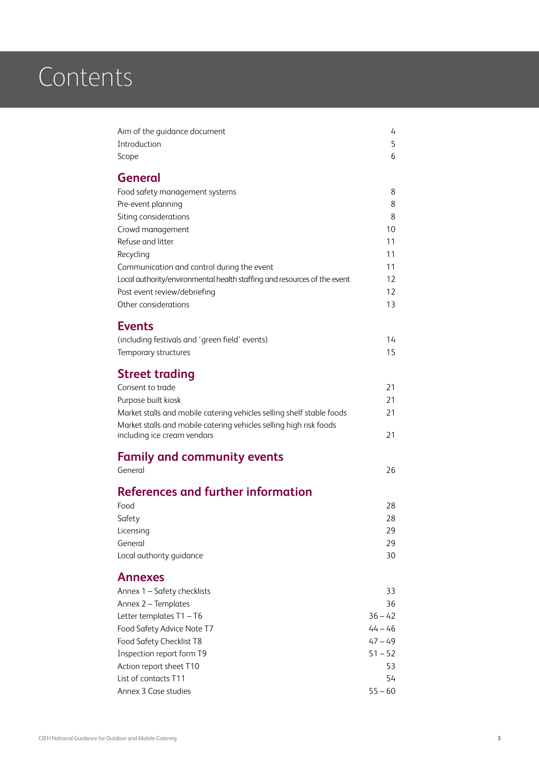## Contents

| Aim of the guidance document                                             | 4         |
|--------------------------------------------------------------------------|-----------|
| Introduction                                                             | 5         |
| Scope                                                                    | 6         |
| <b>General</b>                                                           |           |
| Food safety management systems                                           | 8         |
| Pre-event planning                                                       | 8         |
| Siting considerations                                                    | 8         |
| Crowd management                                                         | 10        |
| Refuse and litter                                                        | 11        |
| Recycling                                                                | 11        |
| Communication and control during the event                               | 11        |
| Local authority/environmental health staffing and resources of the event | 12        |
| Post event review/debriefing                                             | 12        |
| Other considerations                                                     | 13        |
|                                                                          |           |
| <b>Events</b>                                                            |           |
| (including festivals and 'green field' events)                           | 14        |
| Temporary structures                                                     | 15        |
| <b>Street trading</b>                                                    |           |
| Consent to trade                                                         | 21        |
| Purpose built kiosk                                                      | 21        |
| Market stalls and mobile catering vehicles selling shelf stable foods    | 21        |
| Market stalls and mobile catering vehicles selling high risk foods       |           |
| including ice cream vendors                                              | 21        |
| <b>Family and community events</b>                                       |           |
| General                                                                  | 26        |
|                                                                          |           |
| References and further information                                       |           |
| Food                                                                     | 28        |
| Safety                                                                   | 28        |
| Licensing                                                                | 29        |
| General                                                                  | 29        |
| Local authority guidance                                                 | 30        |
| <b>Annexes</b>                                                           |           |
| Annex 1 - Safety checklists                                              | 33        |
| Annex 2 - Templates                                                      | 36        |
| Letter templates T1 - T6                                                 | $36 - 42$ |
| Food Safety Advice Note T7                                               | $44 - 46$ |
| Food Safety Checklist T8                                                 | $47 - 49$ |
| Inspection report form T9                                                | $51 - 52$ |
| Action report sheet T10                                                  | 53        |
| List of contacts T11                                                     | 54        |
| Annex 3 Case studies                                                     | $55 - 60$ |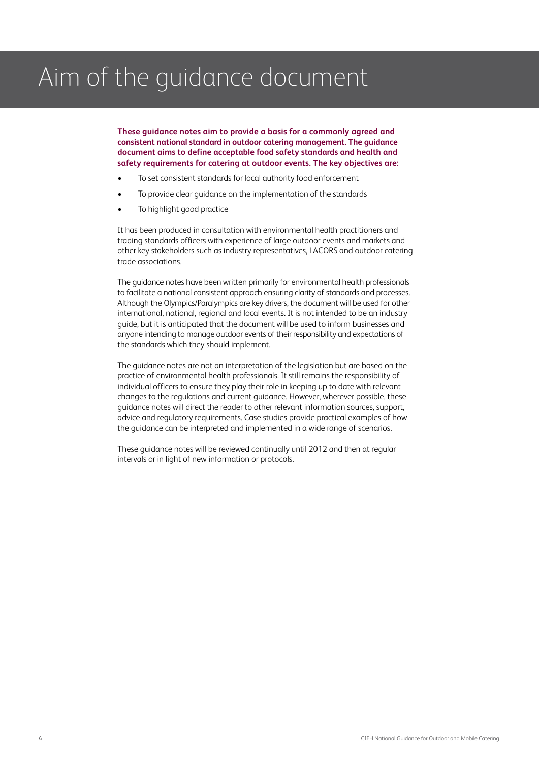## Aim of the guidance document

**These guidance notes aim to provide a basis for a commonly agreed and consistent national standard in outdoor catering management. The guidance document aims to define acceptable food safety standards and health and safety requirements for catering at outdoor events. The key objectives are:**

- To set consistent standards for local authority food enforcement
- To provide clear guidance on the implementation of the standards
- To highlight good practice

It has been produced in consultation with environmental health practitioners and trading standards officers with experience of large outdoor events and markets and other key stakeholders such as industry representatives, LACORS and outdoor catering trade associations.

The guidance notes have been written primarily for environmental health professionals to facilitate a national consistent approach ensuring clarity of standards and processes. Although the Olympics/Paralympics are key drivers, the document will be used for other international, national, regional and local events. It is not intended to be an industry guide, but it is anticipated that the document will be used to inform businesses and anyone intending to manage outdoor events of their responsibility and expectations of the standards which they should implement.

The guidance notes are not an interpretation of the legislation but are based on the practice of environmental health professionals. It still remains the responsibility of individual officers to ensure they play their role in keeping up to date with relevant changes to the regulations and current guidance. However, wherever possible, these guidance notes will direct the reader to other relevant information sources, support, advice and regulatory requirements. Case studies provide practical examples of how the guidance can be interpreted and implemented in a wide range of scenarios.

These guidance notes will be reviewed continually until 2012 and then at regular intervals or in light of new information or protocols.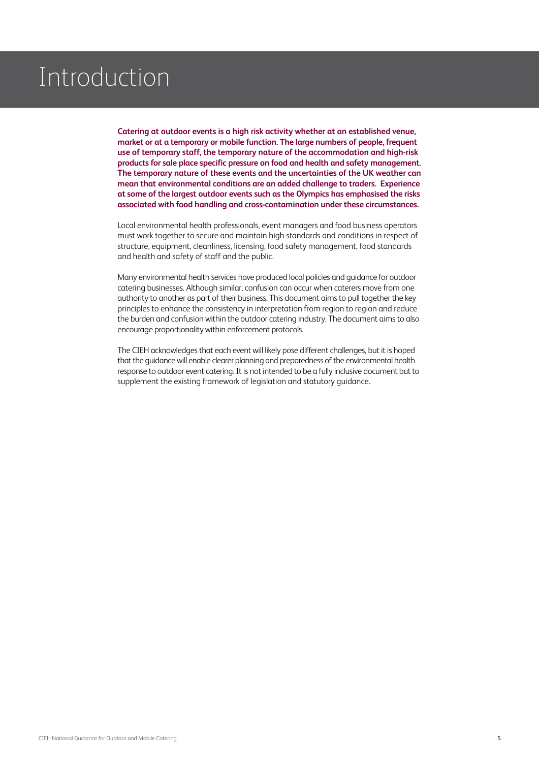## Introduction

**Catering at outdoor events is a high risk activity whether at an established venue, market or at a temporary or mobile function. The large numbers of people, frequent use of temporary staff, the temporary nature of the accommodation and high-risk products for sale place specific pressure on food and health and safety management. The temporary nature of these events and the uncertainties of the UK weather can mean that environmental conditions are an added challenge to traders. Experience at some of the largest outdoor events such as the Olympics has emphasised the risks associated with food handling and cross-contamination under these circumstances.** 

Local environmental health professionals, event managers and food business operators must work together to secure and maintain high standards and conditions in respect of structure, equipment, cleanliness, licensing, food safety management, food standards and health and safety of staff and the public.

Many environmental health services have produced local policies and guidance for outdoor catering businesses. Although similar, confusion can occur when caterers move from one authority to another as part of their business. This document aims to pull together the key principles to enhance the consistency in interpretation from region to region and reduce the burden and confusion within the outdoor catering industry. The document aims to also encourage proportionality within enforcement protocols.

The CIEH acknowledges that each event will likely pose different challenges, but it is hoped that the guidance will enable clearer planning and preparedness of the environmental health response to outdoor event catering. It is not intended to be a fully inclusive document but to supplement the existing framework of legislation and statutory guidance.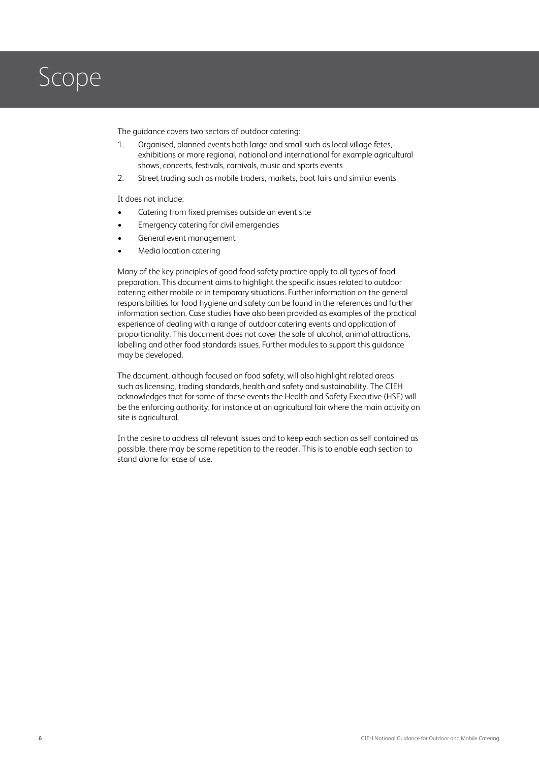## Scope

The guidance covers two sectors of outdoor catering:

- 1. Organised, planned events both large and small such as local village fetes, exhibitions or more regional, national and international for example agricultural shows, concerts, festivals, carnivals, music and sports events
- 2. Street trading such as mobile traders, markets, boot fairs and similar events

It does not include:

- Catering from fixed premises outside an event site
- Emergency catering for civil emergencies
- General event management
- Media location catering

Many of the key principles of good food safety practice apply to all types of food preparation. This document aims to highlight the specific issues related to outdoor catering either mobile or in temporary situations. Further information on the general responsibilities for food hygiene and safety can be found in the references and further information section. Case studies have also been provided as examples of the practical experience of dealing with a range of outdoor catering events and application of proportionality. This document does not cover the sale of alcohol, animal attractions, labelling and other food standards issues. Further modules to support this guidance may be developed.

The document, although focused on food safety, will also highlight related areas such as licensing, trading standards, health and safety and sustainability. The CIEH acknowledges that for some of these events the Health and Safety Executive (HSE) will be the enforcing authority, for instance at an agricultural fair where the main activity on site is agricultural.

In the desire to address all relevant issues and to keep each section as self contained as possible, there may be some repetition to the reader. This is to enable each section to stand alone for ease of use.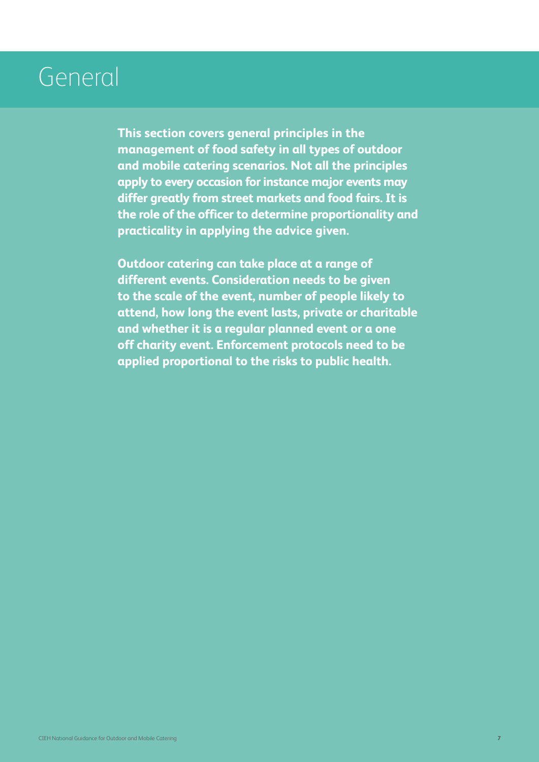## General

**This section covers general principles in the management of food safety in all types of outdoor and mobile catering scenarios. Not all the principles apply to every occasion for instance major events may differ greatly from street markets and food fairs. It is the role of the officer to determine proportionality and practicality in applying the advice given.** 

**Outdoor catering can take place at a range of different events. Consideration needs to be given to the scale of the event, number of people likely to attend, how long the event lasts, private or charitable and whether it is a regular planned event or a one off charity event. Enforcement protocols need to be applied proportional to the risks to public health.**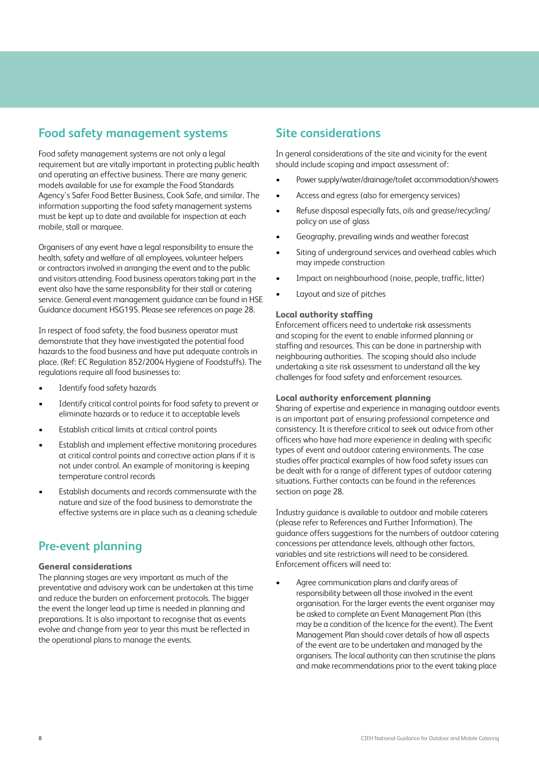## **Food safety management systems**

Food safety management systems are not only a legal requirement but are vitally important in protecting public health and operating an effective business. There are many generic models available for use for example the Food Standards Agency's Safer Food Better Business, Cook Safe, and similar. The information supporting the food safety management systems must be kept up to date and available for inspection at each mobile, stall or marquee.

Organisers of any event have a legal responsibility to ensure the health, safety and welfare of all employees, volunteer helpers or contractors involved in arranging the event and to the public and visitors attending. Food business operators taking part in the event also have the same responsibility for their stall or catering service. General event management guidance can be found in HSE Guidance document HSG195. Please see references on page 28.

In respect of food safety, the food business operator must demonstrate that they have investigated the potential food hazards to the food business and have put adequate controls in place. (Ref: EC Regulation 852/2004 Hygiene of Foodstuffs). The regulations require all food businesses to:

- • Identify food safety hazards
- Identify critical control points for food safety to prevent or eliminate hazards or to reduce it to acceptable levels
- Establish critical limits at critical control points
- Establish and implement effective monitoring procedures at critical control points and corrective action plans if it is not under control. An example of monitoring is keeping temperature control records
- Establish documents and records commensurate with the nature and size of the food business to demonstrate the effective systems are in place such as a cleaning schedule

## **Pre-event planning**

## **General considerations**

The planning stages are very important as much of the preventative and advisory work can be undertaken at this time and reduce the burden on enforcement protocols. The bigger the event the longer lead up time is needed in planning and preparations. It is also important to recognise that as events evolve and change from year to year this must be reflected in the operational plans to manage the events.

## **Site considerations**

In general considerations of the site and vicinity for the event should include scoping and impact assessment of:

- Power supply/water/drainage/toilet accommodation/showers
- Access and egress (also for emergency services)
- Refuse disposal especially fats, oils and grease/recycling/ policy on use of glass
- Geography, prevailing winds and weather forecast
- Siting of underground services and overhead cables which may impede construction
- Impact on neighbourhood (noise, people, traffic, litter)
- Layout and size of pitches

## **Local authority staffing**

Enforcement officers need to undertake risk assessments and scoping for the event to enable informed planning or staffing and resources. This can be done in partnership with neighbouring authorities. The scoping should also include undertaking a site risk assessment to understand all the key challenges for food safety and enforcement resources.

## **Local authority enforcement planning**

Sharing of expertise and experience in managing outdoor events is an important part of ensuring professional competence and consistency. It is therefore critical to seek out advice from other officers who have had more experience in dealing with specific types of event and outdoor catering environments. The case studies offer practical examples of how food safety issues can be dealt with for a range of different types of outdoor catering situations. Further contacts can be found in the references section on page 28.

Industry guidance is available to outdoor and mobile caterers (please refer to References and Further Information). The guidance offers suggestions for the numbers of outdoor catering concessions per attendance levels, although other factors, variables and site restrictions will need to be considered. Enforcement officers will need to:

Agree communication plans and clarify areas of responsibility between all those involved in the event organisation. For the larger events the event organiser may be asked to complete an Event Management Plan (this may be a condition of the licence for the event). The Event Management Plan should cover details of how all aspects of the event are to be undertaken and managed by the organisers. The local authority can then scrutinise the plans and make recommendations prior to the event taking place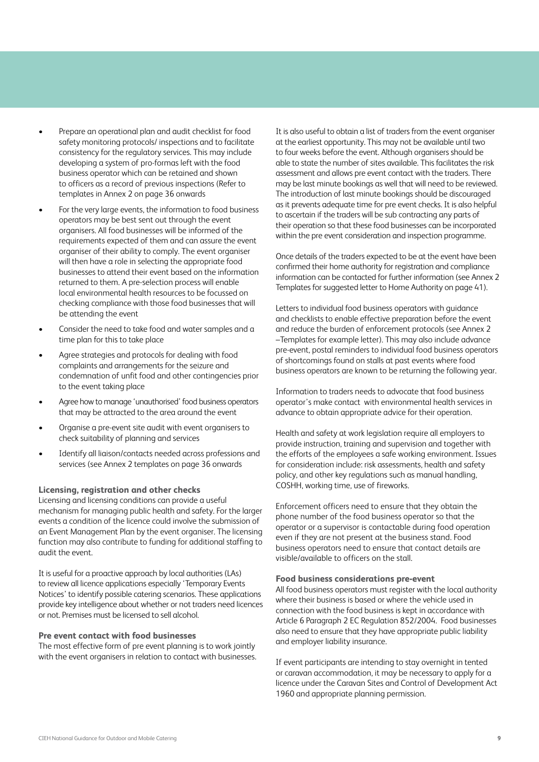- Prepare an operational plan and audit checklist for food safety monitoring protocols/ inspections and to facilitate consistency for the regulatory services. This may include developing a system of pro-formas left with the food business operator which can be retained and shown to officers as a record of previous inspections (Refer to templates in Annex 2 on page 36 onwards
- For the very large events, the information to food business operators may be best sent out through the event organisers. All food businesses will be informed of the requirements expected of them and can assure the event organiser of their ability to comply. The event organiser will then have a role in selecting the appropriate food businesses to attend their event based on the information returned to them. A pre-selection process will enable local environmental health resources to be focussed on checking compliance with those food businesses that will be attending the event
- Consider the need to take food and water samples and a time plan for this to take place
- Agree strategies and protocols for dealing with food complaints and arrangements for the seizure and condemnation of unfit food and other contingencies prior to the event taking place
- Agree how to manage 'unauthorised' food business operators that may be attracted to the area around the event
- Organise a pre-event site audit with event organisers to check suitability of planning and services
- Identify all liaison/contacts needed across professions and services (see Annex 2 templates on page 36 onwards

## **Licensing, registration and other checks**

Licensing and licensing conditions can provide a useful mechanism for managing public health and safety. For the larger events a condition of the licence could involve the submission of an Event Management Plan by the event organiser. The licensing function may also contribute to funding for additional staffing to audit the event.

It is useful for a proactive approach by local authorities (LAs) to review all licence applications especially 'Temporary Events Notices' to identify possible catering scenarios. These applications provide key intelligence about whether or not traders need licences or not. Premises must be licensed to sell alcohol.

## **Pre event contact with food businesses**

The most effective form of pre event planning is to work jointly with the event organisers in relation to contact with businesses.

It is also useful to obtain a list of traders from the event organiser at the earliest opportunity. This may not be available until two to four weeks before the event. Although organisers should be able to state the number of sites available. This facilitates the risk assessment and allows pre event contact with the traders. There may be last minute bookings as well that will need to be reviewed. The introduction of last minute bookings should be discouraged as it prevents adequate time for pre event checks. It is also helpful to ascertain if the traders will be sub contracting any parts of their operation so that these food businesses can be incorporated within the pre event consideration and inspection programme.

Once details of the traders expected to be at the event have been confirmed their home authority for registration and compliance information can be contacted for further information (see Annex 2 Templates for suggested letter to Home Authority on page 41).

Letters to individual food business operators with guidance and checklists to enable effective preparation before the event and reduce the burden of enforcement protocols (see Annex 2 –Templates for example letter). This may also include advance pre-event, postal reminders to individual food business operators of shortcomings found on stalls at past events where food business operators are known to be returning the following year.

Information to traders needs to advocate that food business operator's make contact with environmental health services in advance to obtain appropriate advice for their operation.

Health and safety at work legislation require all employers to provide instruction, training and supervision and together with the efforts of the employees a safe working environment. Issues for consideration include: risk assessments, health and safety policy, and other key regulations such as manual handling, COSHH, working time, use of fireworks.

Enforcement officers need to ensure that they obtain the phone number of the food business operator so that the operator or a supervisor is contactable during food operation even if they are not present at the business stand. Food business operators need to ensure that contact details are visible/available to officers on the stall.

## **Food business considerations pre-event**

All food business operators must register with the local authority where their business is based or where the vehicle used in connection with the food business is kept in accordance with Article 6 Paragraph 2 EC Regulation 852/2004. Food businesses also need to ensure that they have appropriate public liability and employer liability insurance.

If event participants are intending to stay overnight in tented or caravan accommodation, it may be necessary to apply for a licence under the Caravan Sites and Control of Development Act 1960 and appropriate planning permission.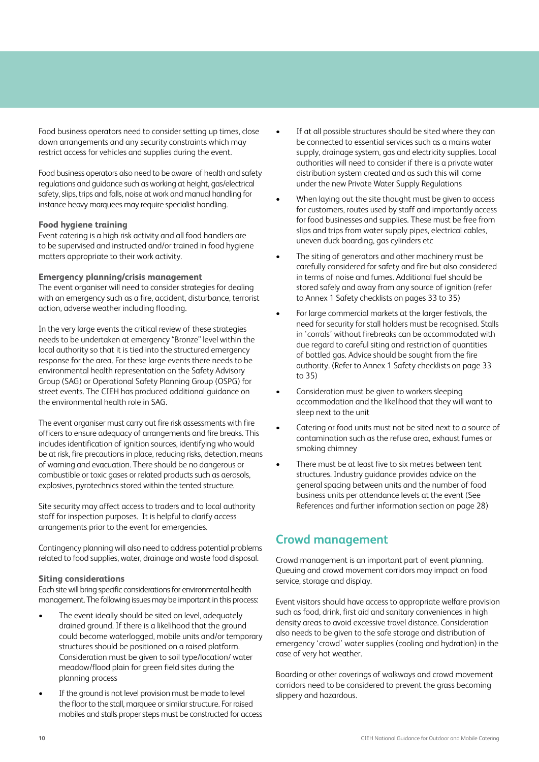Food business operators need to consider setting up times, close down arrangements and any security constraints which may restrict access for vehicles and supplies during the event.

Food business operators also need to be aware of health and safety regulations and guidance such as working at height, gas/electrical safety, slips, trips and falls, noise at work and manual handling for instance heavy marquees may require specialist handling.

## **Food hygiene training**

Event catering is a high risk activity and all food handlers are to be supervised and instructed and/or trained in food hygiene matters appropriate to their work activity.

## **Emergency planning/crisis management**

The event organiser will need to consider strategies for dealing with an emergency such as a fire, accident, disturbance, terrorist action, adverse weather including flooding.

In the very large events the critical review of these strategies needs to be undertaken at emergency "Bronze" level within the local authority so that it is tied into the structured emergency response for the area. For these large events there needs to be environmental health representation on the Safety Advisory Group (SAG) or Operational Safety Planning Group (OSPG) for street events. The CIEH has produced additional guidance on the environmental health role in SAG.

The event organiser must carry out fire risk assessments with fire officers to ensure adequacy of arrangements and fire breaks. This includes identification of ignition sources, identifying who would be at risk, fire precautions in place, reducing risks, detection, means of warning and evacuation. There should be no dangerous or combustible or toxic gases or related products such as aerosols, explosives, pyrotechnics stored within the tented structure.

Site security may affect access to traders and to local authority staff for inspection purposes. It is helpful to clarify access arrangements prior to the event for emergencies.

Contingency planning will also need to address potential problems related to food supplies, water, drainage and waste food disposal.

## **Siting considerations**

Each site will bring specific considerations for environmental health management. The following issues may be important in this process:

- The event ideally should be sited on level, adequately drained ground. If there is a likelihood that the ground could become waterlogged, mobile units and/or temporary structures should be positioned on a raised platform. Consideration must be given to soil type/location/ water meadow/flood plain for green field sites during the planning process
- If the ground is not level provision must be made to level the floor to the stall, marquee or similar structure. For raised mobiles and stalls proper steps must be constructed for access
- If at all possible structures should be sited where they can be connected to essential services such as a mains water supply, drainage system, gas and electricity supplies. Local authorities will need to consider if there is a private water distribution system created and as such this will come under the new Private Water Supply Regulations
- When laying out the site thought must be given to access for customers, routes used by staff and importantly access for food businesses and supplies. These must be free from slips and trips from water supply pipes, electrical cables, uneven duck boarding, gas cylinders etc
- The siting of generators and other machinery must be carefully considered for safety and fire but also considered in terms of noise and fumes. Additional fuel should be stored safely and away from any source of ignition (refer to Annex 1 Safety checklists on pages 33 to 35)
- For large commercial markets at the larger festivals, the need for security for stall holders must be recognised. Stalls in 'corrals' without firebreaks can be accommodated with due regard to careful siting and restriction of quantities of bottled gas. Advice should be sought from the fire authority. (Refer to Annex 1 Safety checklists on page 33 to 35)
- Consideration must be given to workers sleeping accommodation and the likelihood that they will want to sleep next to the unit
- Catering or food units must not be sited next to a source of contamination such as the refuse area, exhaust fumes or smoking chimney
- There must be at least five to six metres between tent structures. Industry guidance provides advice on the general spacing between units and the number of food business units per attendance levels at the event (See References and further information section on page 28)

## **Crowd management**

Crowd management is an important part of event planning. Queuing and crowd movement corridors may impact on food service, storage and display.

Event visitors should have access to appropriate welfare provision such as food, drink, first aid and sanitary conveniences in high density areas to avoid excessive travel distance. Consideration also needs to be given to the safe storage and distribution of emergency 'crowd' water supplies (cooling and hydration) in the case of very hot weather.

Boarding or other coverings of walkways and crowd movement corridors need to be considered to prevent the grass becoming slippery and hazardous.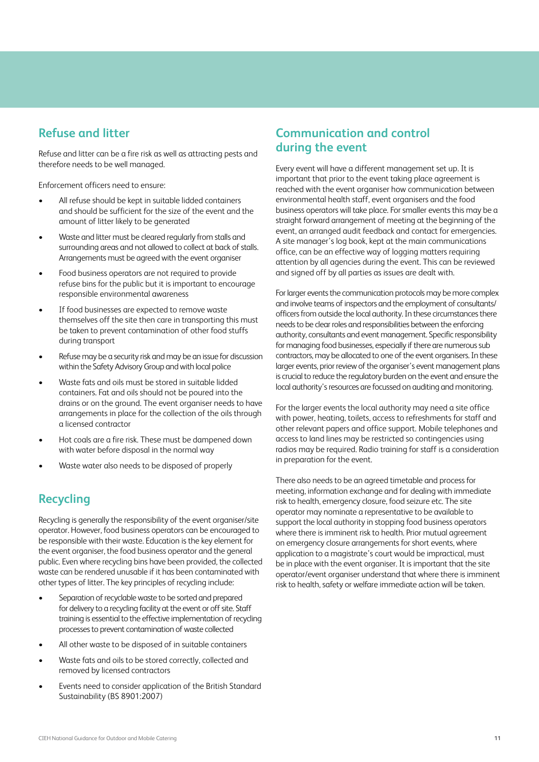## **Refuse and litter**

Refuse and litter can be a fire risk as well as attracting pests and therefore needs to be well managed.

Enforcement officers need to ensure:

- All refuse should be kept in suitable lidded containers and should be sufficient for the size of the event and the amount of litter likely to be generated
- Waste and litter must be cleared regularly from stalls and surrounding areas and not allowed to collect at back of stalls. Arrangements must be agreed with the event organiser
- Food business operators are not required to provide refuse bins for the public but it is important to encourage responsible environmental awareness
- If food businesses are expected to remove waste themselves off the site then care in transporting this must be taken to prevent contamination of other food stuffs during transport
- Refuse may be a security risk and may be an issue for discussion within the Safety Advisory Group and with local police
- Waste fats and oils must be stored in suitable lidded containers. Fat and oils should not be poured into the drains or on the ground. The event organiser needs to have arrangements in place for the collection of the oils through a licensed contractor
- Hot coals are a fire risk. These must be dampened down with water before disposal in the normal way
- Waste water also needs to be disposed of properly

## **Recycling**

Recycling is generally the responsibility of the event organiser/site operator. However, food business operators can be encouraged to be responsible with their waste. Education is the key element for the event organiser, the food business operator and the general public. Even where recycling bins have been provided, the collected waste can be rendered unusable if it has been contaminated with other types of litter. The key principles of recycling include:

- Separation of recyclable waste to be sorted and prepared for delivery to a recycling facility at the event or off site. Staff training is essential to the effective implementation of recycling processes to prevent contamination of waste collected
- All other waste to be disposed of in suitable containers
- Waste fats and oils to be stored correctly, collected and removed by licensed contractors
- Events need to consider application of the British Standard Sustainability (BS 8901:2007)

## **Communication and control during the event**

Every event will have a different management set up. It is important that prior to the event taking place agreement is reached with the event organiser how communication between environmental health staff, event organisers and the food business operators will take place. For smaller events this may be a straight forward arrangement of meeting at the beginning of the event, an arranged audit feedback and contact for emergencies. A site manager's log book, kept at the main communications office, can be an effective way of logging matters requiring attention by all agencies during the event. This can be reviewed and signed off by all parties as issues are dealt with.

For larger events the communication protocols may be more complex and involve teams of inspectors and the employment of consultants/ officers from outside the local authority. In these circumstances there needs to be clear roles and responsibilities between the enforcing authority, consultants and event management. Specific responsibility for managing food businesses, especially if there are numerous sub contractors, may be allocated to one of the event organisers. In these larger events, prior review of the organiser's event management plans is crucial to reduce the regulatory burden on the event and ensure the local authority's resources are focussed on auditing and monitoring.

For the larger events the local authority may need a site office with power, heating, toilets, access to refreshments for staff and other relevant papers and office support. Mobile telephones and access to land lines may be restricted so contingencies using radios may be required. Radio training for staff is a consideration in preparation for the event.

There also needs to be an agreed timetable and process for meeting, information exchange and for dealing with immediate risk to health, emergency closure, food seizure etc. The site operator may nominate a representative to be available to support the local authority in stopping food business operators where there is imminent risk to health. Prior mutual agreement on emergency closure arrangements for short events, where application to a magistrate's court would be impractical, must be in place with the event organiser. It is important that the site operator/event organiser understand that where there is imminent risk to health, safety or welfare immediate action will be taken.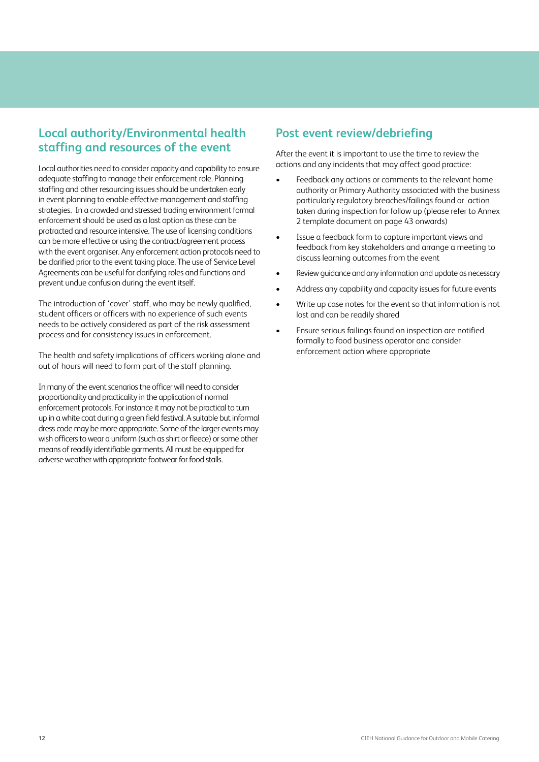## **Local authority/Environmental health staffing and resources of the event**

Local authorities need to consider capacity and capability to ensure adequate staffing to manage their enforcement role. Planning staffing and other resourcing issues should be undertaken early in event planning to enable effective management and staffing strategies. In a crowded and stressed trading environment formal enforcement should be used as a last option as these can be protracted and resource intensive. The use of licensing conditions can be more effective or using the contract/agreement process with the event organiser. Any enforcement action protocols need to be clarified prior to the event taking place. The use of Service Level Agreements can be useful for clarifying roles and functions and prevent undue confusion during the event itself.

The introduction of 'cover' staff, who may be newly qualified, student officers or officers with no experience of such events needs to be actively considered as part of the risk assessment process and for consistency issues in enforcement.

The health and safety implications of officers working alone and out of hours will need to form part of the staff planning.

In many of the event scenarios the officer will need to consider proportionality and practicality in the application of normal enforcement protocols. For instance it may not be practical to turn up in a white coat during a green field festival. A suitable but informal dress code may be more appropriate. Some of the larger events may wish officers to wear a uniform (such as shirt or fleece) or some other means of readily identifiable garments. All must be equipped for adverse weather with appropriate footwear for food stalls.

## **Post event review/debriefing**

After the event it is important to use the time to review the actions and any incidents that may affect good practice:

- Feedback any actions or comments to the relevant home authority or Primary Authority associated with the business particularly regulatory breaches/failings found or action taken during inspection for follow up (please refer to Annex 2 template document on page 43 onwards)
- Issue a feedback form to capture important views and feedback from key stakeholders and arrange a meeting to discuss learning outcomes from the event
- Review guidance and any information and update as necessary
- Address any capability and capacity issues for future events
- Write up case notes for the event so that information is not lost and can be readily shared
- Ensure serious failings found on inspection are notified formally to food business operator and consider enforcement action where appropriate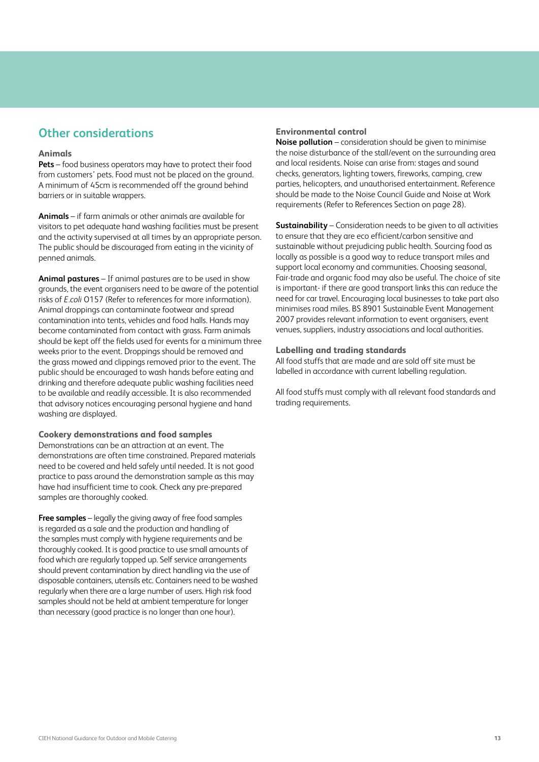## **Other considerations**

## **Animals**

**Pets** – food business operators may have to protect their food from customers' pets. Food must not be placed on the ground. A minimum of 45cm is recommended off the ground behind barriers or in suitable wrappers.

**Animals** – if farm animals or other animals are available for visitors to pet adequate hand washing facilities must be present and the activity supervised at all times by an appropriate person. The public should be discouraged from eating in the vicinity of penned animals.

**Animal pastures** – If animal pastures are to be used in show grounds, the event organisers need to be aware of the potential risks of *E.coli* O157 (Refer to references for more information). Animal droppings can contaminate footwear and spread contamination into tents, vehicles and food halls. Hands may become contaminated from contact with grass. Farm animals should be kept off the fields used for events for a minimum three weeks prior to the event. Droppings should be removed and the grass mowed and clippings removed prior to the event. The public should be encouraged to wash hands before eating and drinking and therefore adequate public washing facilities need to be available and readily accessible. It is also recommended that advisory notices encouraging personal hygiene and hand washing are displayed.

## **Cookery demonstrations and food samples**

Demonstrations can be an attraction at an event. The demonstrations are often time constrained. Prepared materials need to be covered and held safely until needed. It is not good practice to pass around the demonstration sample as this may have had insufficient time to cook. Check any pre-prepared samples are thoroughly cooked.

**Free samples** – legally the giving away of free food samples is regarded as a sale and the production and handling of the samples must comply with hygiene requirements and be thoroughly cooked. It is good practice to use small amounts of food which are regularly topped up. Self service arrangements should prevent contamination by direct handling via the use of disposable containers, utensils etc. Containers need to be washed regularly when there are a large number of users. High risk food samples should not be held at ambient temperature for longer than necessary (good practice is no longer than one hour).

## **Environmental control**

**Noise pollution** – consideration should be given to minimise the noise disturbance of the stall/event on the surrounding area and local residents. Noise can arise from: stages and sound checks, generators, lighting towers, fireworks, camping, crew parties, helicopters, and unauthorised entertainment. Reference should be made to the Noise Council Guide and Noise at Work requirements (Refer to References Section on page 28).

**Sustainability** – Consideration needs to be given to all activities to ensure that they are eco efficient/carbon sensitive and sustainable without prejudicing public health. Sourcing food as locally as possible is a good way to reduce transport miles and support local economy and communities. Choosing seasonal, Fair-trade and organic food may also be useful. The choice of site is important- if there are good transport links this can reduce the need for car travel. Encouraging local businesses to take part also minimises road miles. BS 8901 Sustainable Event Management 2007 provides relevant information to event organisers, event venues, suppliers, industry associations and local authorities.

## **Labelling and trading standards**

All food stuffs that are made and are sold off site must be labelled in accordance with current labelling regulation.

All food stuffs must comply with all relevant food standards and trading requirements.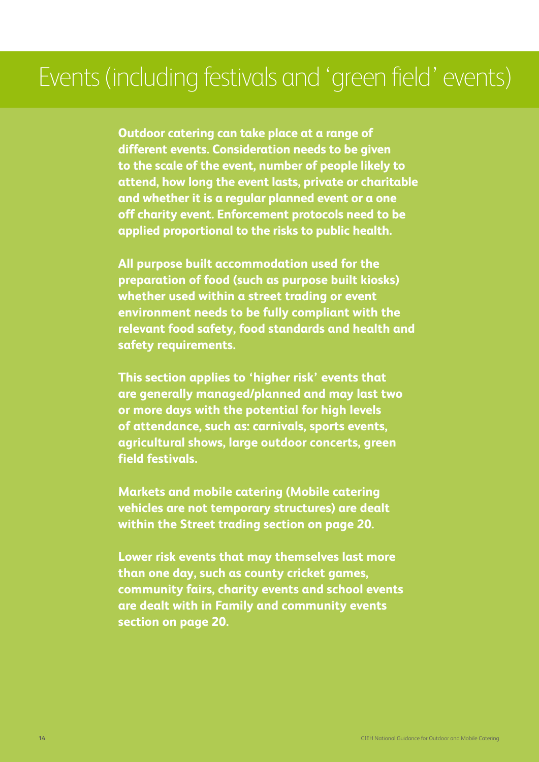## Events (including festivals and 'green field' events)

**Outdoor catering can take place at a range of different events. Consideration needs to be given to the scale of the event, number of people likely to attend, how long the event lasts, private or charitable and whether it is a regular planned event or a one off charity event. Enforcement protocols need to be applied proportional to the risks to public health.** 

**All purpose built accommodation used for the preparation of food (such as purpose built kiosks) whether used within a street trading or event environment needs to be fully compliant with the relevant food safety, food standards and health and safety requirements.**

**This section applies to 'higher risk' events that are generally managed/planned and may last two or more days with the potential for high levels of attendance, such as: carnivals, sports events, agricultural shows, large outdoor concerts, green field festivals.** 

**Markets and mobile catering (Mobile catering vehicles are not temporary structures) are dealt within the Street trading section on page 20.**

**Lower risk events that may themselves last more than one day, such as county cricket games, community fairs, charity events and school events are dealt with in Family and community events section on page 20.**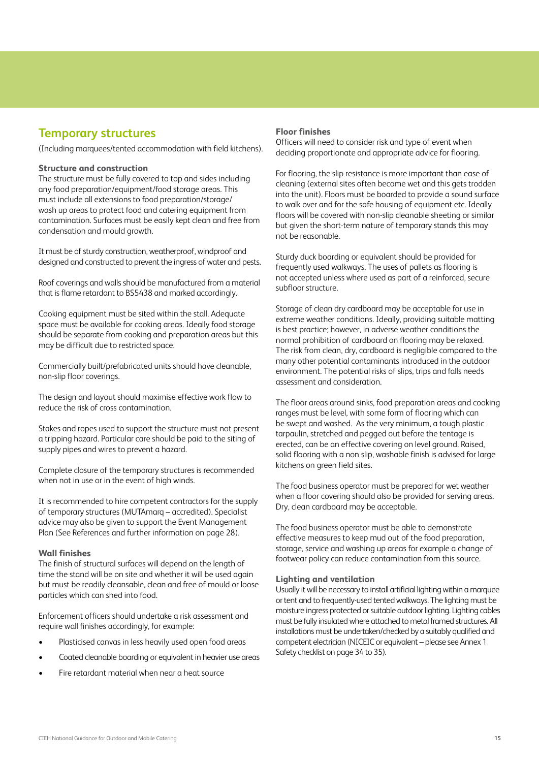## **Temporary structures**

(Including marquees/tented accommodation with field kitchens).

## **Structure and construction**

The structure must be fully covered to top and sides including any food preparation/equipment/food storage areas. This must include all extensions to food preparation/storage/ wash up areas to protect food and catering equipment from contamination. Surfaces must be easily kept clean and free from condensation and mould growth.

It must be of sturdy construction, weatherproof, windproof and designed and constructed to prevent the ingress of water and pests.

Roof coverings and walls should be manufactured from a material that is flame retardant to BS5438 and marked accordingly.

Cooking equipment must be sited within the stall. Adequate space must be available for cooking areas. Ideally food storage should be separate from cooking and preparation areas but this may be difficult due to restricted space.

Commercially built/prefabricated units should have cleanable, non-slip floor coverings.

The design and layout should maximise effective work flow to reduce the risk of cross contamination.

Stakes and ropes used to support the structure must not present a tripping hazard. Particular care should be paid to the siting of supply pipes and wires to prevent a hazard.

Complete closure of the temporary structures is recommended when not in use or in the event of high winds.

It is recommended to hire competent contractors for the supply of temporary structures (MUTAmarq – accredited). Specialist advice may also be given to support the Event Management Plan (See References and further information on page 28).

## **Wall finishes**

The finish of structural surfaces will depend on the length of time the stand will be on site and whether it will be used again but must be readily cleansable, clean and free of mould or loose particles which can shed into food.

Enforcement officers should undertake a risk assessment and require wall finishes accordingly, for example:

- Plasticised canvas in less heavily used open food areas
- Coated cleanable boarding or equivalent in heavier use areas
- Fire retardant material when near a heat source

## **Floor finishes**

Officers will need to consider risk and type of event when deciding proportionate and appropriate advice for flooring.

For flooring, the slip resistance is more important than ease of cleaning (external sites often become wet and this gets trodden into the unit). Floors must be boarded to provide a sound surface to walk over and for the safe housing of equipment etc. Ideally floors will be covered with non-slip cleanable sheeting or similar but given the short-term nature of temporary stands this may not be reasonable.

Sturdy duck boarding or equivalent should be provided for frequently used walkways. The uses of pallets as flooring is not accepted unless where used as part of a reinforced, secure subfloor structure.

Storage of clean dry cardboard may be acceptable for use in extreme weather conditions. Ideally, providing suitable matting is best practice; however, in adverse weather conditions the normal prohibition of cardboard on flooring may be relaxed. The risk from clean, dry, cardboard is negligible compared to the many other potential contaminants introduced in the outdoor environment. The potential risks of slips, trips and falls needs assessment and consideration.

The floor areas around sinks, food preparation areas and cooking ranges must be level, with some form of flooring which can be swept and washed. As the very minimum, a tough plastic tarpaulin, stretched and pegged out before the tentage is erected, can be an effective covering on level ground. Raised, solid flooring with a non slip, washable finish is advised for large kitchens on green field sites.

The food business operator must be prepared for wet weather when a floor covering should also be provided for serving areas. Dry, clean cardboard may be acceptable.

The food business operator must be able to demonstrate effective measures to keep mud out of the food preparation, storage, service and washing up areas for example a change of footwear policy can reduce contamination from this source.

## **Lighting and ventilation**

Usually it will be necessary to install artificial lighting within a marquee or tent and to frequently-used tented walkways. The lighting must be moisture ingress protected or suitable outdoor lighting. Lighting cables must be fully insulated where attached to metal framed structures. All installations must be undertaken/checked by a suitably qualified and competent electrician (NICEIC or equivalent – please see Annex 1 Safety checklist on page 34 to 35).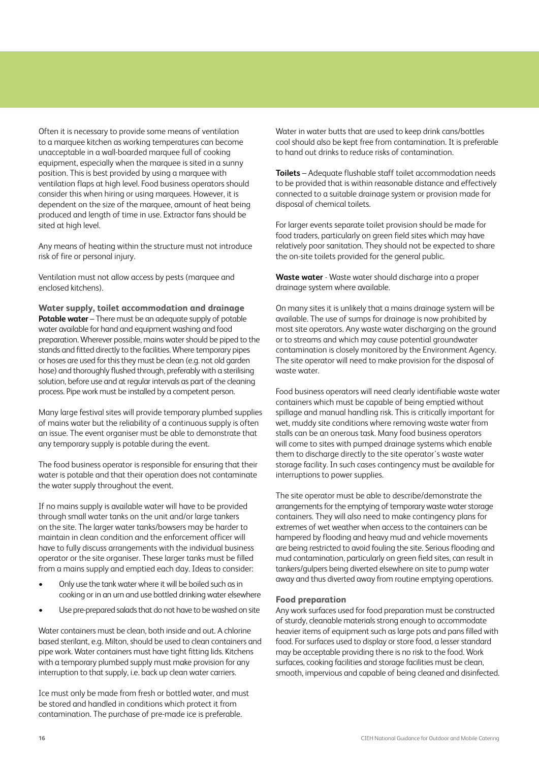Often it is necessary to provide some means of ventilation to a marquee kitchen as working temperatures can become unacceptable in a wall-boarded marquee full of cooking equipment, especially when the marquee is sited in a sunny position. This is best provided by using a marquee with ventilation flaps at high level. Food business operators should consider this when hiring or using marquees. However, it is dependent on the size of the marquee, amount of heat being produced and length of time in use. Extractor fans should be sited at high level.

Any means of heating within the structure must not introduce risk of fire or personal injury.

Ventilation must not allow access by pests (marquee and enclosed kitchens).

**Water supply, toilet accommodation and drainage Potable water** – There must be an adequate supply of potable water available for hand and equipment washing and food preparation. Wherever possible, mains water should be piped to the stands and fitted directly to the facilities. Where temporary pipes or hoses are used for this they must be clean (e.g. not old garden hose) and thoroughly flushed through, preferably with a sterilising solution, before use and at regular intervals as part of the cleaning process. Pipe work must be installed by a competent person.

Many large festival sites will provide temporary plumbed supplies of mains water but the reliability of a continuous supply is often an issue. The event organiser must be able to demonstrate that any temporary supply is potable during the event.

The food business operator is responsible for ensuring that their water is potable and that their operation does not contaminate the water supply throughout the event.

If no mains supply is available water will have to be provided through small water tanks on the unit and/or large tankers on the site. The larger water tanks/bowsers may be harder to maintain in clean condition and the enforcement officer will have to fully discuss arrangements with the individual business operator or the site organiser. These larger tanks must be filled from a mains supply and emptied each day. Ideas to consider:

- Only use the tank water where it will be boiled such as in cooking or in an urn and use bottled drinking water elsewhere
- Use pre-prepared salads that do not have to be washed on site

Water containers must be clean, both inside and out. A chlorine based sterilant, e.g. Milton, should be used to clean containers and pipe work. Water containers must have tight fitting lids. Kitchens with a temporary plumbed supply must make provision for any interruption to that supply, i.e. back up clean water carriers.

Ice must only be made from fresh or bottled water, and must be stored and handled in conditions which protect it from contamination. The purchase of pre-made ice is preferable.

Water in water butts that are used to keep drink cans/bottles cool should also be kept free from contamination. It is preferable to hand out drinks to reduce risks of contamination.

**Toilets** – Adequate flushable staff toilet accommodation needs to be provided that is within reasonable distance and effectively connected to a suitable drainage system or provision made for disposal of chemical toilets.

For larger events separate toilet provision should be made for food traders, particularly on green field sites which may have relatively poor sanitation. They should not be expected to share the on-site toilets provided for the general public.

**Waste water** - Waste water should discharge into a proper drainage system where available.

On many sites it is unlikely that a mains drainage system will be available. The use of sumps for drainage is now prohibited by most site operators. Any waste water discharging on the ground or to streams and which may cause potential groundwater contamination is closely monitored by the Environment Agency. The site operator will need to make provision for the disposal of waste water.

Food business operators will need clearly identifiable waste water containers which must be capable of being emptied without spillage and manual handling risk. This is critically important for wet, muddy site conditions where removing waste water from stalls can be an onerous task. Many food business operators will come to sites with pumped drainage systems which enable them to discharge directly to the site operator's waste water storage facility. In such cases contingency must be available for interruptions to power supplies.

The site operator must be able to describe/demonstrate the arrangements for the emptying of temporary waste water storage containers. They will also need to make contingency plans for extremes of wet weather when access to the containers can be hampered by flooding and heavy mud and vehicle movements are being restricted to avoid fouling the site. Serious flooding and mud contamination, particularly on green field sites, can result in tankers/gulpers being diverted elsewhere on site to pump water away and thus diverted away from routine emptying operations.

## **Food preparation**

Any work surfaces used for food preparation must be constructed of sturdy, cleanable materials strong enough to accommodate heavier items of equipment such as large pots and pans filled with food. For surfaces used to display or store food, a lesser standard may be acceptable providing there is no risk to the food. Work surfaces, cooking facilities and storage facilities must be clean, smooth, impervious and capable of being cleaned and disinfected.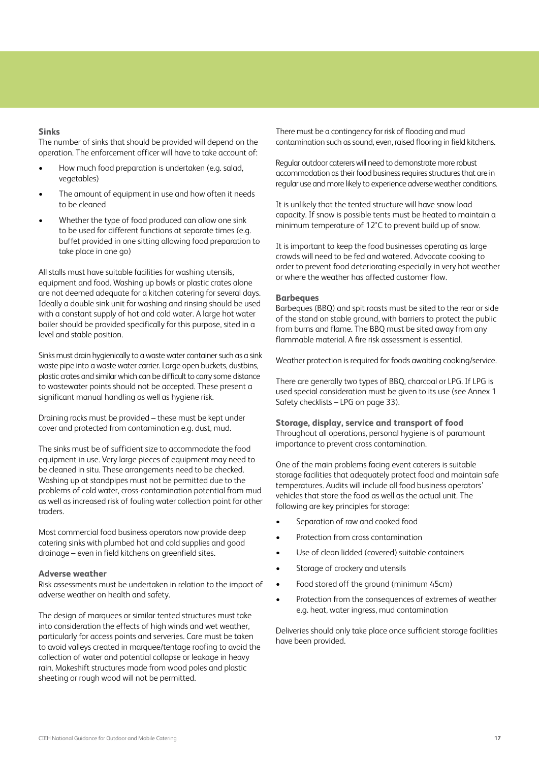## **Sinks**

The number of sinks that should be provided will depend on the operation. The enforcement officer will have to take account of:

- How much food preparation is undertaken (e.g. salad, vegetables)
- The amount of equipment in use and how often it needs to be cleaned
- Whether the type of food produced can allow one sink to be used for different functions at separate times (e.g. buffet provided in one sitting allowing food preparation to take place in one go)

All stalls must have suitable facilities for washing utensils, equipment and food. Washing up bowls or plastic crates alone are not deemed adequate for a kitchen catering for several days. Ideally a double sink unit for washing and rinsing should be used with a constant supply of hot and cold water. A large hot water boiler should be provided specifically for this purpose, sited in a level and stable position.

Sinks must drain hygienically to a waste water container such as a sink waste pipe into a waste water carrier. Large open buckets, dustbins, plastic crates and similar which can be difficult to carry some distance to wastewater points should not be accepted. These present a significant manual handling as well as hygiene risk.

Draining racks must be provided – these must be kept under cover and protected from contamination e.g. dust, mud.

The sinks must be of sufficient size to accommodate the food equipment in use. Very large pieces of equipment may need to be cleaned in situ. These arrangements need to be checked. Washing up at standpipes must not be permitted due to the problems of cold water, cross-contamination potential from mud as well as increased risk of fouling water collection point for other traders.

Most commercial food business operators now provide deep catering sinks with plumbed hot and cold supplies and good drainage – even in field kitchens on greenfield sites.

### **Adverse weather**

Risk assessments must be undertaken in relation to the impact of adverse weather on health and safety.

The design of marquees or similar tented structures must take into consideration the effects of high winds and wet weather, particularly for access points and serveries. Care must be taken to avoid valleys created in marquee/tentage roofing to avoid the collection of water and potential collapse or leakage in heavy rain. Makeshift structures made from wood poles and plastic sheeting or rough wood will not be permitted.

There must be a contingency for risk of flooding and mud contamination such as sound, even, raised flooring in field kitchens.

Regular outdoor caterers will need to demonstrate more robust accommodation as their food business requires structures that are in regular use and more likely to experience adverse weather conditions.

It is unlikely that the tented structure will have snow-load capacity. If snow is possible tents must be heated to maintain a minimum temperature of 12°C to prevent build up of snow.

It is important to keep the food businesses operating as large crowds will need to be fed and watered. Advocate cooking to order to prevent food deteriorating especially in very hot weather or where the weather has affected customer flow.

### **Barbeques**

Barbeques (BBQ) and spit roasts must be sited to the rear or side of the stand on stable ground, with barriers to protect the public from burns and flame. The BBQ must be sited away from any flammable material. A fire risk assessment is essential.

Weather protection is required for foods awaiting cooking/service.

There are generally two types of BBQ, charcoal or LPG. If LPG is used special consideration must be given to its use (see Annex 1 Safety checklists – LPG on page 33).

## **Storage, display, service and transport of food**

Throughout all operations, personal hygiene is of paramount importance to prevent cross contamination.

One of the main problems facing event caterers is suitable storage facilities that adequately protect food and maintain safe temperatures. Audits will include all food business operators' vehicles that store the food as well as the actual unit. The following are key principles for storage:

- Separation of raw and cooked food
- Protection from cross contamination
- Use of clean lidded (covered) suitable containers
- Storage of crockery and utensils
- Food stored off the ground (minimum 45cm)
- Protection from the consequences of extremes of weather e.g. heat, water ingress, mud contamination

Deliveries should only take place once sufficient storage facilities have been provided.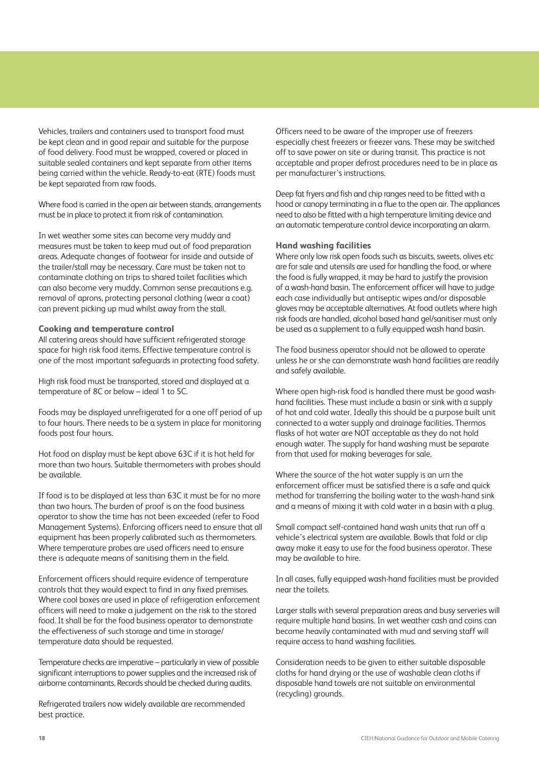Vehicles, trailers and containers used to transport food must be kept clean and in good repair and suitable for the purpose of food delivery. Food must be wrapped, covered or placed in suitable sealed containers and kept separate from other items being carried within the vehicle. Ready-to-eat (RTE) foods must be kept separated from raw foods.

Where food is carried in the open air between stands, arrangements must be in place to protect it from risk of contamination.

In wet weather some sites can become very muddy and measures must be taken to keep mud out of food preparation areas. Adequate changes of footwear for inside and outside of the trailer/stall may be necessary. Care must be taken not to contaminate clothing on trips to shared toilet facilities which can also become very muddy. Common sense precautions e.g. removal of aprons, protecting personal clothing (wear a coat) can prevent picking up mud whilst away from the stall.

## **Cooking and temperature control**

All catering areas should have sufficient refrigerated storage space for high risk food items. Effective temperature control is one of the most important safeguards in protecting food safety.

High risk food must be transported, stored and displayed at a temperature of 8C or below – ideal 1 to 5C.

Foods may be displayed unrefrigerated for a one off period of up to four hours. There needs to be a system in place for monitoring foods post four hours.

Hot food on display must be kept above 63C if it is hot held for more than two hours. Suitable thermometers with probes should be available.

If food is to be displayed at less than 63C it must be for no more than two hours. The burden of proof is on the food business operator to show the time has not been exceeded (refer to Food Management Systems). Enforcing officers need to ensure that all equipment has been properly calibrated such as thermometers. Where temperature probes are used officers need to ensure there is adequate means of sanitising them in the field.

Enforcement officers should require evidence of temperature controls that they would expect to find in any fixed premises. Where cool boxes are used in place of refrigeration enforcement officers will need to make a judgement on the risk to the stored food. It shall be for the food business operator to demonstrate the effectiveness of such storage and time in storage/ temperature data should be requested.

Temperature checks are imperative – particularly in view of possible significant interruptions to power supplies and the increased risk of airborne contaminants. Records should be checked during audits.

Refrigerated trailers now widely available are recommended best practice.

Officers need to be aware of the improper use of freezers especially chest freezers or freezer vans. These may be switched off to save power on site or during transit. This practice is not acceptable and proper defrost procedures need to be in place as per manufacturer's instructions.

Deep fat fryers and fish and chip ranges need to be fitted with a hood or canopy terminating in a flue to the open air. The appliances need to also be fitted with a high temperature limiting device and an automatic temperature control device incorporating an alarm.

## **Hand washing facilities**

Where only low risk open foods such as biscuits, sweets, olives etc are for sale and utensils are used for handling the food, or where the food is fully wrapped, it may be hard to justify the provision of a wash-hand basin. The enforcement officer will have to judge each case individually but antiseptic wipes and/or disposable gloves may be acceptable alternatives. At food outlets where high risk foods are handled, alcohol based hand gel/sanitiser must only be used as a supplement to a fully equipped wash hand basin.

The food business operator should not be allowed to operate unless he or she can demonstrate wash hand facilities are readily and safely available.

Where open high-risk food is handled there must be good washhand facilities. These must include a basin or sink with a supply of hot and cold water. Ideally this should be a purpose built unit connected to a water supply and drainage facilities. Thermos flasks of hot water are NOT acceptable as they do not hold enough water. The supply for hand washing must be separate from that used for making beverages for sale.

Where the source of the hot water supply is an urn the enforcement officer must be satisfied there is a safe and quick method for transferring the boiling water to the wash-hand sink and a means of mixing it with cold water in a basin with a plug.

Small compact self-contained hand wash units that run off a vehicle's electrical system are available. Bowls that fold or clip away make it easy to use for the food business operator. These may be available to hire.

In all cases, fully equipped wash-hand facilities must be provided near the toilets.

Larger stalls with several preparation areas and busy serveries will require multiple hand basins. In wet weather cash and coins can become heavily contaminated with mud and serving staff will require access to hand washing facilities.

Consideration needs to be given to either suitable disposable cloths for hand drying or the use of washable clean cloths if disposable hand towels are not suitable on environmental (recycling) grounds.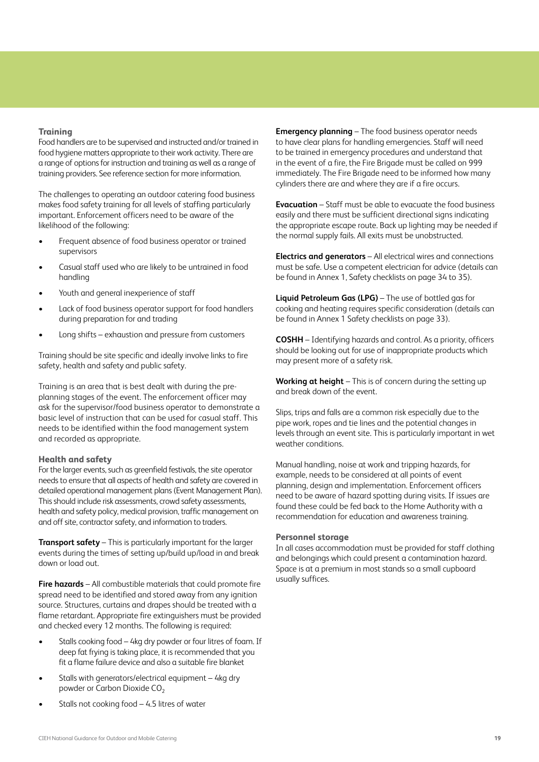## **Training**

Food handlers are to be supervised and instructed and/or trained in food hygiene matters appropriate to their work activity. There are a range of options for instruction and training as well as a range of training providers. See reference section for more information.

The challenges to operating an outdoor catering food business makes food safety training for all levels of staffing particularly important. Enforcement officers need to be aware of the likelihood of the following:

- Frequent absence of food business operator or trained supervisors
- Casual staff used who are likely to be untrained in food handling
- Youth and general inexperience of staff
- Lack of food business operator support for food handlers during preparation for and trading
- Long shifts exhaustion and pressure from customers

Training should be site specific and ideally involve links to fire safety, health and safety and public safety.

Training is an area that is best dealt with during the preplanning stages of the event. The enforcement officer may ask for the supervisor/food business operator to demonstrate a basic level of instruction that can be used for casual staff. This needs to be identified within the food management system and recorded as appropriate.

## **Health and safety**

For the larger events, such as greenfield festivals, the site operator needs to ensure that all aspects of health and safety are covered in detailed operational management plans (Event Management Plan). This should include risk assessments, crowd safety assessments, health and safety policy, medical provision, traffic management on and off site, contractor safety, and information to traders.

**Transport safety** – This is particularly important for the larger events during the times of setting up/build up/load in and break down or load out.

**Fire hazards** – All combustible materials that could promote fire spread need to be identified and stored away from any ignition source. Structures, curtains and drapes should be treated with a flame retardant. Appropriate fire extinguishers must be provided and checked every 12 months. The following is required:

- Stalls cooking food 4kg dry powder or four litres of foam. If deep fat frying is taking place, it is recommended that you fit a flame failure device and also a suitable fire blanket
- Stalls with generators/electrical equipment 4kg dry powder or Carbon Dioxide CO<sub>2</sub>
- Stalls not cooking food  $-$  4.5 litres of water

**Emergency planning** – The food business operator needs to have clear plans for handling emergencies. Staff will need to be trained in emergency procedures and understand that in the event of a fire, the Fire Brigade must be called on 999 immediately. The Fire Brigade need to be informed how many cylinders there are and where they are if a fire occurs.

**Evacuation** – Staff must be able to evacuate the food business easily and there must be sufficient directional signs indicating the appropriate escape route. Back up lighting may be needed if the normal supply fails. All exits must be unobstructed.

**Electrics and generators** – All electrical wires and connections must be safe. Use a competent electrician for advice (details can be found in Annex 1, Safety checklists on page 34 to 35).

**Liquid Petroleum Gas (LPG)** – The use of bottled gas for cooking and heating requires specific consideration (details can be found in Annex 1 Safety checklists on page 33).

**COSHH** – Identifying hazards and control. As a priority, officers should be looking out for use of inappropriate products which may present more of a safety risk.

**Working at height** – This is of concern during the setting up and break down of the event.

Slips, trips and falls are a common risk especially due to the pipe work, ropes and tie lines and the potential changes in levels through an event site. This is particularly important in wet weather conditions.

Manual handling, noise at work and tripping hazards, for example, needs to be considered at all points of event planning, design and implementation. Enforcement officers need to be aware of hazard spotting during visits. If issues are found these could be fed back to the Home Authority with a recommendation for education and awareness training.

## **Personnel storage**

In all cases accommodation must be provided for staff clothing and belongings which could present a contamination hazard. Space is at a premium in most stands so a small cupboard usually suffices.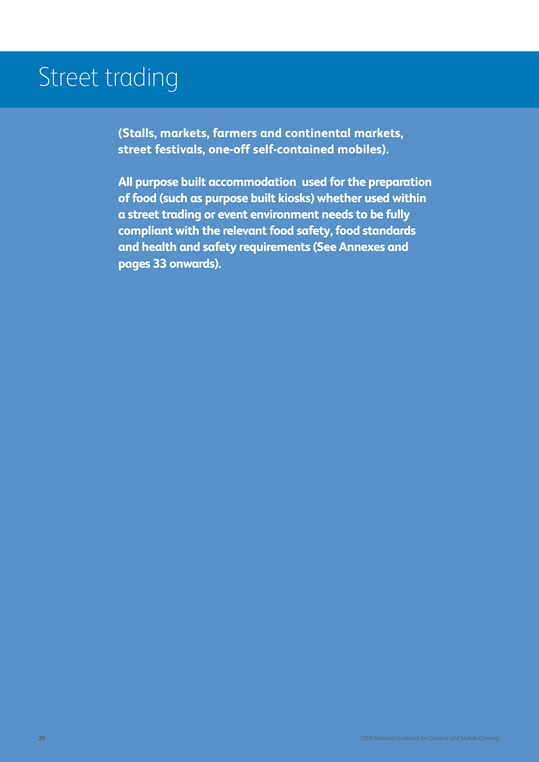## Street trading

**(Stalls, markets, farmers and continental markets, street festivals, one-off self-contained mobiles).**

**All purpose built accommodation used for the preparation of food (such as purpose built kiosks) whether used within a street trading or event environment needs to be fully compliant with the relevant food safety, food standards and health and safety requirements (See Annexes and pages 33 onwards).**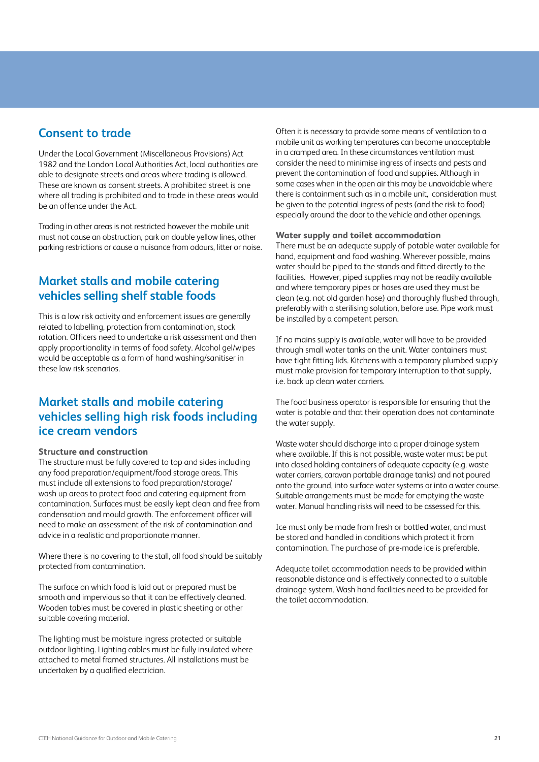## **Consent to trade**

Under the Local Government (Miscellaneous Provisions) Act 1982 and the London Local Authorities Act, local authorities are able to designate streets and areas where trading is allowed. These are known as consent streets. A prohibited street is one where all trading is prohibited and to trade in these areas would be an offence under the Act.

Trading in other areas is not restricted however the mobile unit must not cause an obstruction, park on double yellow lines, other parking restrictions or cause a nuisance from odours, litter or noise.

## **Market stalls and mobile catering vehicles selling shelf stable foods**

This is a low risk activity and enforcement issues are generally related to labelling, protection from contamination, stock rotation. Officers need to undertake a risk assessment and then apply proportionality in terms of food safety. Alcohol gel/wipes would be acceptable as a form of hand washing/sanitiser in these low risk scenarios.

## **Market stalls and mobile catering vehicles selling high risk foods including ice cream vendors**

## **Structure and construction**

The structure must be fully covered to top and sides including any food preparation/equipment/food storage areas. This must include all extensions to food preparation/storage/ wash up areas to protect food and catering equipment from contamination. Surfaces must be easily kept clean and free from condensation and mould growth. The enforcement officer will need to make an assessment of the risk of contamination and advice in a realistic and proportionate manner.

Where there is no covering to the stall, all food should be suitably protected from contamination.

The surface on which food is laid out or prepared must be smooth and impervious so that it can be effectively cleaned. Wooden tables must be covered in plastic sheeting or other suitable covering material.

The lighting must be moisture ingress protected or suitable outdoor lighting. Lighting cables must be fully insulated where attached to metal framed structures. All installations must be undertaken by a qualified electrician.

Often it is necessary to provide some means of ventilation to a mobile unit as working temperatures can become unacceptable in a cramped area. In these circumstances ventilation must consider the need to minimise ingress of insects and pests and prevent the contamination of food and supplies. Although in some cases when in the open air this may be unavoidable where there is containment such as in a mobile unit, consideration must be given to the potential ingress of pests (and the risk to food) especially around the door to the vehicle and other openings.

## **Water supply and toilet accommodation**

There must be an adequate supply of potable water available for hand, equipment and food washing. Wherever possible, mains water should be piped to the stands and fitted directly to the facilities. However, piped supplies may not be readily available and where temporary pipes or hoses are used they must be clean (e.g. not old garden hose) and thoroughly flushed through, preferably with a sterilising solution, before use. Pipe work must be installed by a competent person.

If no mains supply is available, water will have to be provided through small water tanks on the unit. Water containers must have tight fitting lids. Kitchens with a temporary plumbed supply must make provision for temporary interruption to that supply, i.e. back up clean water carriers.

The food business operator is responsible for ensuring that the water is potable and that their operation does not contaminate the water supply.

Waste water should discharge into a proper drainage system where available. If this is not possible, waste water must be put into closed holding containers of adequate capacity (e.g. waste water carriers, caravan portable drainage tanks) and not poured onto the ground, into surface water systems or into a water course. Suitable arrangements must be made for emptying the waste water. Manual handling risks will need to be assessed for this.

Ice must only be made from fresh or bottled water, and must be stored and handled in conditions which protect it from contamination. The purchase of pre-made ice is preferable.

Adequate toilet accommodation needs to be provided within reasonable distance and is effectively connected to a suitable drainage system. Wash hand facilities need to be provided for the toilet accommodation.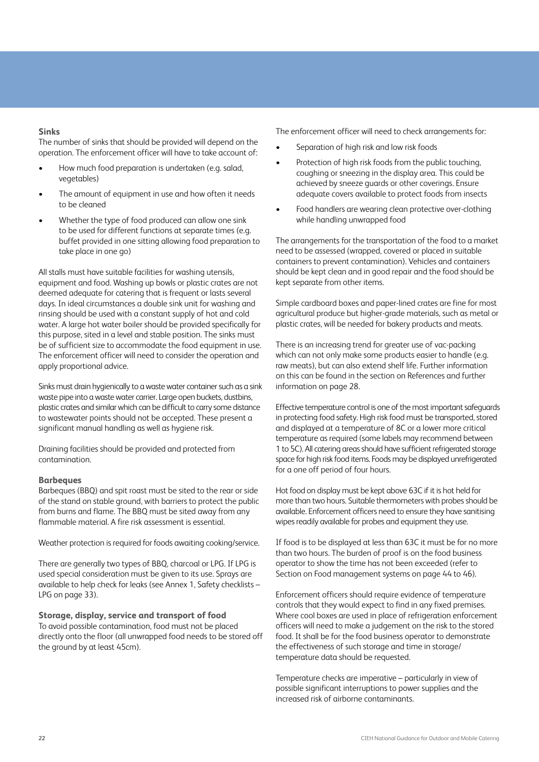## **Sinks**

The number of sinks that should be provided will depend on the operation. The enforcement officer will have to take account of:

- How much food preparation is undertaken (e.g. salad, vegetables)
- The amount of equipment in use and how often it needs to be cleaned
- Whether the type of food produced can allow one sink to be used for different functions at separate times (e.g. buffet provided in one sitting allowing food preparation to take place in one go)

All stalls must have suitable facilities for washing utensils, equipment and food. Washing up bowls or plastic crates are not deemed adequate for catering that is frequent or lasts several days. In ideal circumstances a double sink unit for washing and rinsing should be used with a constant supply of hot and cold water. A large hot water boiler should be provided specifically for this purpose, sited in a level and stable position. The sinks must be of sufficient size to accommodate the food equipment in use. The enforcement officer will need to consider the operation and apply proportional advice.

Sinks must drain hygienically to a waste water container such as a sink waste pipe into a waste water carrier. Large open buckets, dustbins, plastic crates and similar which can be difficult to carry some distance to wastewater points should not be accepted. These present a significant manual handling as well as hygiene risk.

Draining facilities should be provided and protected from contamination.

## **Barbeques**

Barbeques (BBQ) and spit roast must be sited to the rear or side of the stand on stable ground, with barriers to protect the public from burns and flame. The BBQ must be sited away from any flammable material. A fire risk assessment is essential.

Weather protection is required for foods awaiting cooking/service.

There are generally two types of BBQ, charcoal or LPG. If LPG is used special consideration must be given to its use. Sprays are available to help check for leaks (see Annex 1, Safety checklists – LPG on page 33).

**Storage, display, service and transport of food** To avoid possible contamination, food must not be placed directly onto the floor (all unwrapped food needs to be stored off the ground by at least 45cm).

The enforcement officer will need to check arrangements for:

- Separation of high risk and low risk foods
- Protection of high risk foods from the public touching, coughing or sneezing in the display area. This could be achieved by sneeze guards or other coverings. Ensure adequate covers available to protect foods from insects
- Food handlers are wearing clean protective over-clothing while handling unwrapped food

The arrangements for the transportation of the food to a market need to be assessed (wrapped, covered or placed in suitable containers to prevent contamination). Vehicles and containers should be kept clean and in good repair and the food should be kept separate from other items.

Simple cardboard boxes and paper-lined crates are fine for most agricultural produce but higher-grade materials, such as metal or plastic crates, will be needed for bakery products and meats.

There is an increasing trend for greater use of vac-packing which can not only make some products easier to handle (e.g. raw meats), but can also extend shelf life. Further information on this can be found in the section on References and further information on page 28.

Effective temperature control is one of the most important safeguards in protecting food safety. High risk food must be transported, stored and displayed at a temperature of 8C or a lower more critical temperature as required (some labels may recommend between 1 to 5C). All catering areas should have sufficient refrigerated storage space for high risk food items. Foods may be displayed unrefrigerated for a one off period of four hours.

Hot food on display must be kept above 63C if it is hot held for more than two hours. Suitable thermometers with probes should be available. Enforcement officers need to ensure they have sanitising wipes readily available for probes and equipment they use.

If food is to be displayed at less than 63C it must be for no more than two hours. The burden of proof is on the food business operator to show the time has not been exceeded (refer to Section on Food management systems on page 44 to 46).

Enforcement officers should require evidence of temperature controls that they would expect to find in any fixed premises. Where cool boxes are used in place of refrigeration enforcement officers will need to make a judgement on the risk to the stored food. It shall be for the food business operator to demonstrate the effectiveness of such storage and time in storage/ temperature data should be requested.

Temperature checks are imperative – particularly in view of possible significant interruptions to power supplies and the increased risk of airborne contaminants.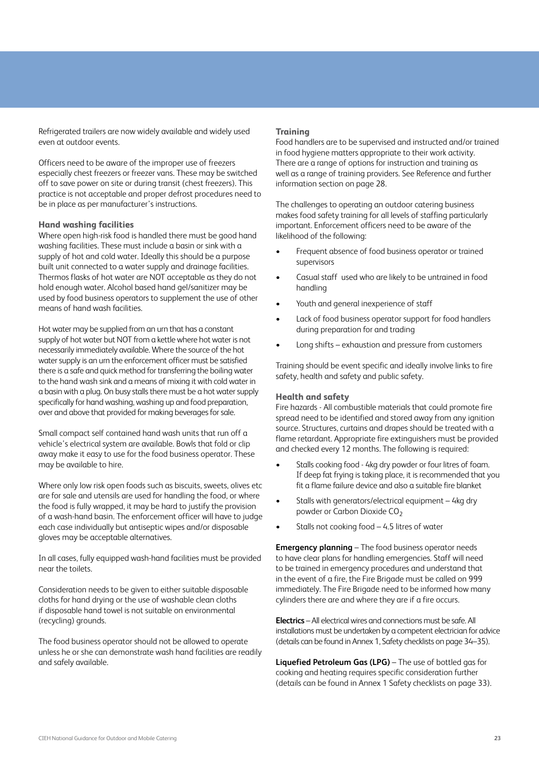Refrigerated trailers are now widely available and widely used even at outdoor events.

Officers need to be aware of the improper use of freezers especially chest freezers or freezer vans. These may be switched off to save power on site or during transit (chest freezers). This practice is not acceptable and proper defrost procedures need to be in place as per manufacturer's instructions.

## **Hand washing facilities**

Where open high-risk food is handled there must be good hand washing facilities. These must include a basin or sink with a supply of hot and cold water. Ideally this should be a purpose built unit connected to a water supply and drainage facilities. Thermos flasks of hot water are NOT acceptable as they do not hold enough water. Alcohol based hand gel/sanitizer may be used by food business operators to supplement the use of other means of hand wash facilities.

Hot water may be supplied from an urn that has a constant supply of hot water but NOT from a kettle where hot water is not necessarily immediately available. Where the source of the hot water supply is an urn the enforcement officer must be satisfied there is a safe and quick method for transferring the boiling water to the hand wash sink and a means of mixing it with cold water in a basin with a plug. On busy stalls there must be a hot water supply specifically for hand washing, washing up and food preparation, over and above that provided for making beverages for sale.

Small compact self contained hand wash units that run off a vehicle's electrical system are available. Bowls that fold or clip away make it easy to use for the food business operator. These may be available to hire.

Where only low risk open foods such as biscuits, sweets, olives etc are for sale and utensils are used for handling the food, or where the food is fully wrapped, it may be hard to justify the provision of a wash-hand basin. The enforcement officer will have to judge each case individually but antiseptic wipes and/or disposable gloves may be acceptable alternatives.

In all cases, fully equipped wash-hand facilities must be provided near the toilets.

Consideration needs to be given to either suitable disposable cloths for hand drying or the use of washable clean cloths if disposable hand towel is not suitable on environmental (recycling) grounds.

The food business operator should not be allowed to operate unless he or she can demonstrate wash hand facilities are readily and safely available.

## **Training**

Food handlers are to be supervised and instructed and/or trained in food hygiene matters appropriate to their work activity. There are a range of options for instruction and training as well as a range of training providers. See Reference and further information section on page 28.

The challenges to operating an outdoor catering business makes food safety training for all levels of staffing particularly important. Enforcement officers need to be aware of the likelihood of the following:

- Frequent absence of food business operator or trained supervisors
- Casual staff used who are likely to be untrained in food handling
- Youth and general inexperience of staff
- Lack of food business operator support for food handlers during preparation for and trading
- Long shifts exhaustion and pressure from customers

Training should be event specific and ideally involve links to fire safety, health and safety and public safety.

## **Health and safety**

Fire hazards - All combustible materials that could promote fire spread need to be identified and stored away from any ignition source. Structures, curtains and drapes should be treated with a flame retardant. Appropriate fire extinguishers must be provided and checked every 12 months. The following is required:

- Stalls cooking food 4kg dry powder or four litres of foam. If deep fat frying is taking place, it is recommended that you fit a flame failure device and also a suitable fire blanket
- Stalls with generators/electrical equipment 4kg dry powder or Carbon Dioxide CO<sub>2</sub>
- Stalls not cooking food  $-$  4.5 litres of water

**Emergency planning** – The food business operator needs to have clear plans for handling emergencies. Staff will need to be trained in emergency procedures and understand that in the event of a fire, the Fire Brigade must be called on 999 immediately. The Fire Brigade need to be informed how many cylinders there are and where they are if a fire occurs.

**Electrics** – All electrical wires and connections must be safe. All installations must be undertaken by a competent electrician for advice (details can be found in Annex 1, Safety checklists on page 34–35).

**Liquefied Petroleum Gas (LPG)** – The use of bottled gas for cooking and heating requires specific consideration further (details can be found in Annex 1 Safety checklists on page 33).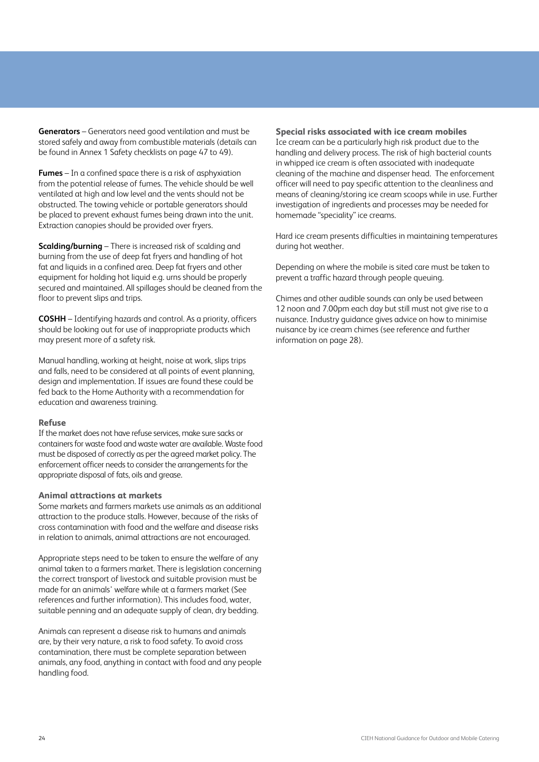**Generators** – Generators need good ventilation and must be stored safely and away from combustible materials (details can be found in Annex 1 Safety checklists on page 47 to 49).

**Fumes** – In a confined space there is a risk of asphyxiation from the potential release of fumes. The vehicle should be well ventilated at high and low level and the vents should not be obstructed. The towing vehicle or portable generators should be placed to prevent exhaust fumes being drawn into the unit. Extraction canopies should be provided over fryers.

**Scalding/burning** – There is increased risk of scalding and burning from the use of deep fat fryers and handling of hot fat and liquids in a confined area. Deep fat fryers and other equipment for holding hot liquid e.g. urns should be properly secured and maintained. All spillages should be cleaned from the floor to prevent slips and trips.

**COSHH** – Identifying hazards and control. As a priority, officers should be looking out for use of inappropriate products which may present more of a safety risk.

Manual handling, working at height, noise at work, slips trips and falls, need to be considered at all points of event planning, design and implementation. If issues are found these could be fed back to the Home Authority with a recommendation for education and awareness training.

## **Refuse**

If the market does not have refuse services, make sure sacks or containers for waste food and waste water are available. Waste food must be disposed of correctly as per the agreed market policy. The enforcement officer needs to consider the arrangements for the appropriate disposal of fats, oils and grease.

## **Animal attractions at markets**

Some markets and farmers markets use animals as an additional attraction to the produce stalls. However, because of the risks of cross contamination with food and the welfare and disease risks in relation to animals, animal attractions are not encouraged.

Appropriate steps need to be taken to ensure the welfare of any animal taken to a farmers market. There is legislation concerning the correct transport of livestock and suitable provision must be made for an animals' welfare while at a farmers market (See references and further information). This includes food, water, suitable penning and an adequate supply of clean, dry bedding.

Animals can represent a disease risk to humans and animals are, by their very nature, a risk to food safety. To avoid cross contamination, there must be complete separation between animals, any food, anything in contact with food and any people handling food.

## **Special risks associated with ice cream mobiles** Ice cream can be a particularly high risk product due to the handling and delivery process. The risk of high bacterial counts in whipped ice cream is often associated with inadequate cleaning of the machine and dispenser head. The enforcement officer will need to pay specific attention to the cleanliness and means of cleaning/storing ice cream scoops while in use. Further investigation of ingredients and processes may be needed for homemade "speciality" ice creams.

Hard ice cream presents difficulties in maintaining temperatures during hot weather.

Depending on where the mobile is sited care must be taken to prevent a traffic hazard through people queuing.

Chimes and other audible sounds can only be used between 12 noon and 7.00pm each day but still must not give rise to a nuisance. Industry guidance gives advice on how to minimise nuisance by ice cream chimes (see reference and further information on page 28).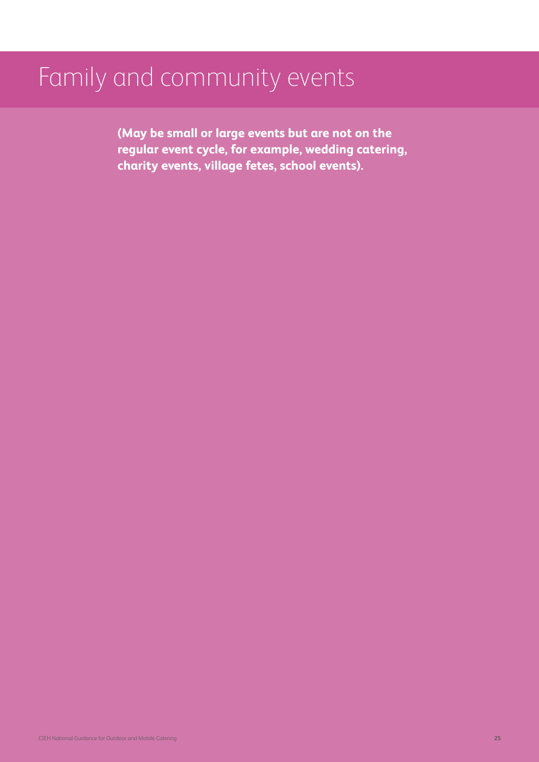# Family and community events

**(May be small or large events but are not on the regular event cycle, for example, wedding catering, charity events, village fetes, school events).**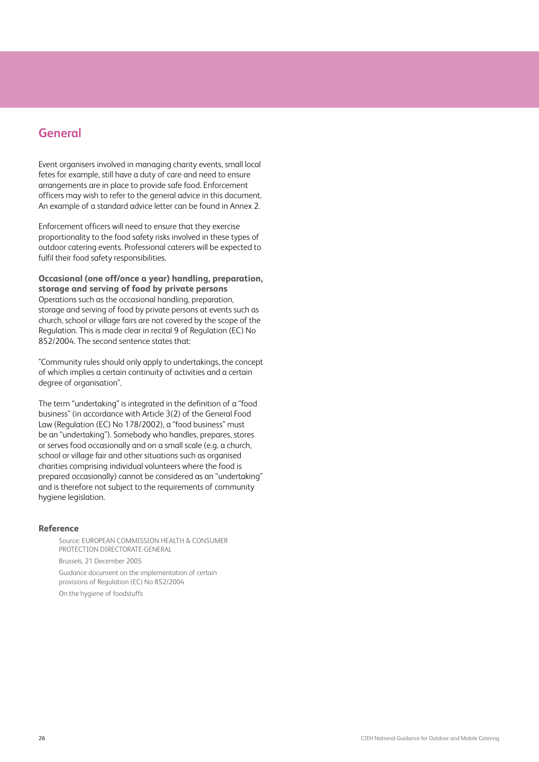## **General**

Event organisers involved in managing charity events, small local fetes for example, still have a duty of care and need to ensure arrangements are in place to provide safe food. Enforcement officers may wish to refer to the general advice in this document. An example of a standard advice letter can be found in Annex 2.

Enforcement officers will need to ensure that they exercise proportionality to the food safety risks involved in these types of outdoor catering events. Professional caterers will be expected to fulfil their food safety responsibilities.

**Occasional (one off/once a year) handling, preparation, storage and serving of food by private persons** Operations such as the occasional handling, preparation, storage and serving of food by private persons at events such as church, school or village fairs are not covered by the scope of the Regulation. This is made clear in recital 9 of Regulation (EC) No 852/2004. The second sentence states that:

"Community rules should only apply to undertakings, the concept of which implies a certain continuity of activities and a certain degree of organisation".

The term "undertaking" is integrated in the definition of a "food business" (in accordance with Article 3(2) of the General Food Law (Regulation (EC) No 178/2002), a "food business" must be an "undertaking"). Somebody who handles, prepares, stores or serves food occasionally and on a small scale (e.g. a church, school or village fair and other situations such as organised charities comprising individual volunteers where the food is prepared occasionally) cannot be considered as an "undertaking" and is therefore not subject to the requirements of community hygiene legislation.

## **Reference**

Source: EUROPEAN COMMISSION HEALTH & CONSUMER PROTECTION DIRECTORATE-GENERAL Brussels, 21 December 2005 Guidance document on the implementation of certain provisions of Regulation (EC) No 852/2004

On the hygiene of foodstuffs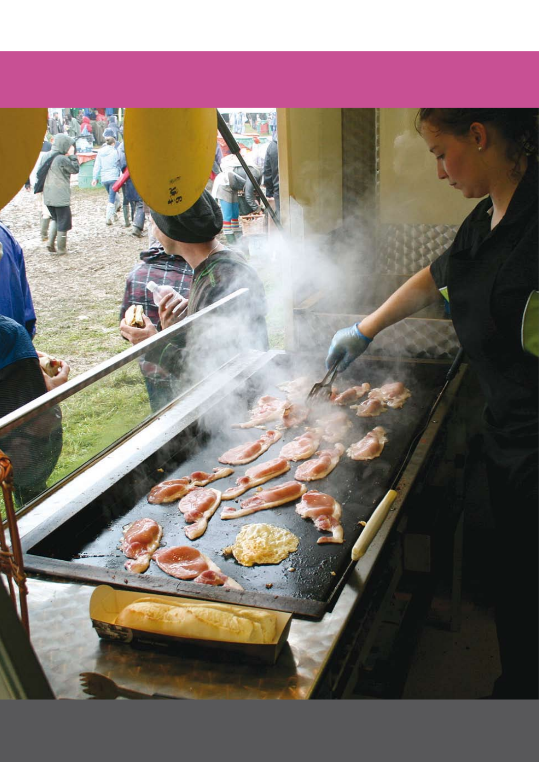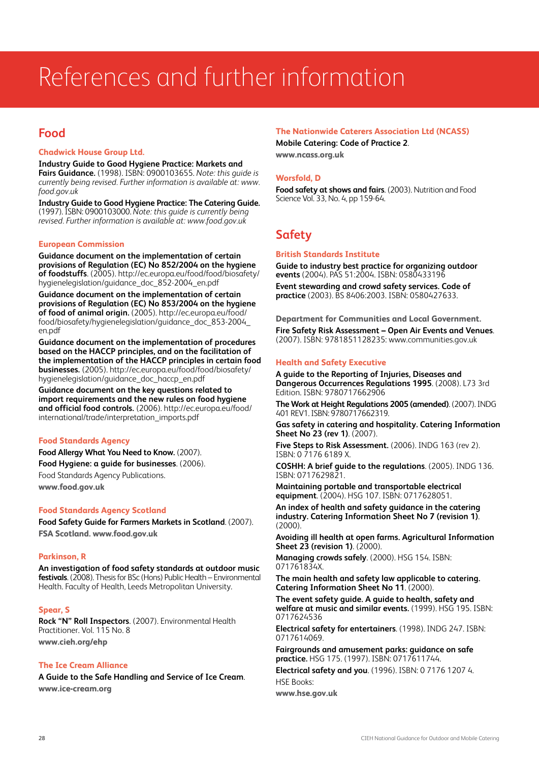## References and further information

## **Food**

## **Chadwick House Group Ltd.**

**Industry Guide to Good Hygiene Practice: Markets and Fairs Guidance.** (1998). ISBN: 0900103655. *Note: this guide is currently being revised. Further information is available at: www. food.gov.uk*

**Industry Guide to Good Hygiene Practice: The Catering Guide.** (1997). ISBN: 0900103000. *Note: this guide is currently being revised. Further information is available at: www.food.gov.uk*

## **European Commission**

**Guidance document on the implementation of certain provisions of Regulation (EC) No 852/2004 on the hygiene of foodstuffs**. (2005). http://ec.europa.eu/food/food/biosafety/ hygienelegislation/guidance\_doc\_852-2004\_en.pdf

**Guidance document on the implementation of certain provisions of Regulation (EC) No 853/2004 on the hygiene of food of animal origin.** (2005). http://ec.europa.eu/food/ food/biosafety/hygienelegislation/guidance\_doc\_853-2004\_ en.pdf

**Guidance document on the implementation of procedures based on the HACCP principles, and on the facilitation of the implementation of the HACCP principles in certain food businesses.** (2005). http://ec.europa.eu/food/food/biosafety/ hygienelegislation/guidance\_doc\_haccp\_en.pdf

**Guidance document on the key questions related to import requirements and the new rules on food hygiene and official food controls.** (2006). http://ec.europa.eu/food/ international/trade/interpretation\_imports.pdf

## **Food Standards Agency**

**Food Allergy What You Need to Know.** (2007). **Food Hygiene: a guide for businesses**. (2006). Food Standards Agency Publications. **www.food.gov.uk**

## **Food Standards Agency Scotland**

**Food Safety Guide for Farmers Markets in Scotland**. (2007). **FSA Scotland. www.food.gov.uk**

## **Parkinson, R**

**An investigation of food safety standards at outdoor music festivals**. (2008). Thesis for BSc (Hons) Public Health – Environmental Health. Faculty of Health, Leeds Metropolitan University.

## **Spear, S**

**Rock "N" Roll Inspectors**. (2007). Environmental Health Practitioner. Vol. 115 No. 8 **www.cieh.org/ehp**

## **The Ice Cream Alliance**

**A Guide to the Safe Handling and Service of Ice Cream**. **www.ice-cream.org** 

## **The Nationwide Caterers Association Ltd (NCASS)**

**Mobile Catering: Code of Practice 2**. **www.ncass.org.uk**

## **Worsfold, D**

**Food safety at shows and fairs**. (2003). Nutrition and Food Science Vol. 33, No. 4, pp 159-64.

## **Safety**

## **British Standards Institute**

**Guide to industry best practice for organizing outdoor events** (2004). PAS 51:2004. ISBN: 0580433196

**Event stewarding and crowd safety services. Code of practice** (2003). BS 8406:2003. ISBN: 0580427633.

**Department for Communities and Local Government.** 

**Fire Safety Risk Assessment – Open Air Events and Venues**. (2007). ISBN: 9781851128235: www.communities.gov.uk

## **Health and Safety Executive**

**A guide to the Reporting of Injuries, Diseases and Dangerous Occurrences Regulations 1995**. (2008). L73 3rd Edition. ISBN: 9780717662906

**The Work at Height Regulations 2005 (amended)**. (2007). INDG 401 REV1. ISBN: 9780717662319.

**Gas safety in catering and hospitality. Catering Information Sheet No 23 (rev 1)**. (2007).

**Five Steps to Risk Assessment.** (2006). INDG 163 (rev 2). ISBN: 0 7176 6189 X.

**COSHH: A brief guide to the regulations**. (2005). INDG 136. ISBN: 0717629821.

**Maintaining portable and transportable electrical equipment**. (2004). HSG 107. ISBN: 0717628051.

**An index of health and safety guidance in the catering industry. Catering Information Sheet No 7 (revision 1)**. (2000).

**Avoiding ill health at open farms. Agricultural Information Sheet 23 (revision 1)**. (2000).

**Managing crowds safely**. (2000). HSG 154. ISBN: 071761834X.

**The main health and safety law applicable to catering. Catering Information Sheet No 11**. (2000).

**The event safety guide. A guide to health, safety and welfare at music and similar events.** (1999). HSG 195. ISBN: 0717624536

**Electrical safety for entertainers**. (1998). INDG 247. ISBN: 0717614069.

**Fairgrounds and amusement parks: guidance on safe practice.** HSG 175. (1997). ISBN: 0717611744.

**Electrical safety and you**. (1996). ISBN: 0 7176 1207 4. HSE Books:

**www.hse.gov.uk**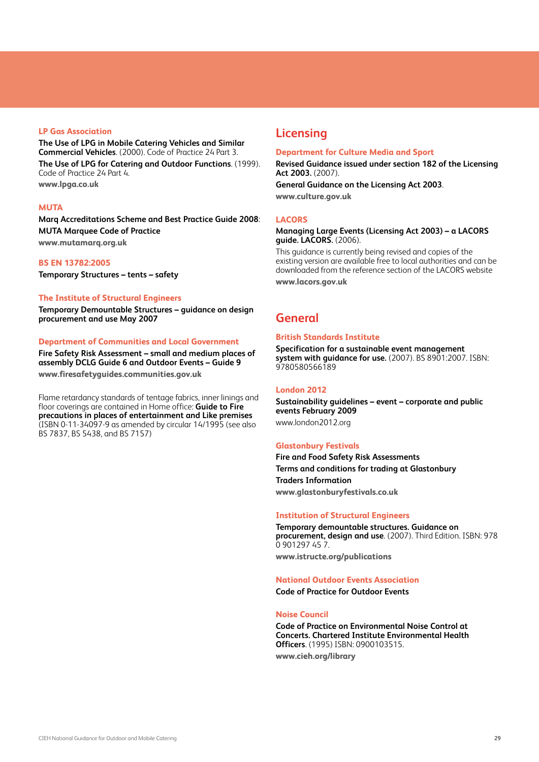## **LP Gas Association**

**The Use of LPG in Mobile Catering Vehicles and Similar Commercial Vehicles**. (2000). Code of Practice 24 Part 3. **The Use of LPG for Catering and Outdoor Functions**. (1999). Code of Practice 24 Part 4. **www.lpga.co.uk** 

## **MUTA**

**Marq Accreditations Scheme and Best Practice Guide 2008**: **MUTA Marquee Code of Practice www.mutamarq.org.uk**

## **BS EN 13782:2005**

**Temporary Structures – tents – safety**

## **The Institute of Structural Engineers**

**Temporary Demountable Structures – guidance on design procurement and use May 2007**

### **Department of Communities and Local Government**

**Fire Safety Risk Assessment – small and medium places of assembly DCLG Guide 6 and Outdoor Events – Guide 9 www.firesafetyguides.communities.gov.uk**

Flame retardancy standards of tentage fabrics, inner linings and floor coverings are contained in Home office: **Guide to Fire precautions in places of entertainment and Like premises** (ISBN 0-11-34097-9 as amended by circular 14/1995 (see also BS 7837, BS 5438, and BS 7157)

## **Licensing**

## **Department for Culture Media and Sport**

**Revised Guidance issued under section 182 of the Licensing Act 2003.** (2007).

**General Guidance on the Licensing Act 2003**.

**www.culture.gov.uk**

## **LACORS**

**Managing Large Events (Licensing Act 2003) – a LACORS guide. LACORS.** (2006).

This guidance is currently being revised and copies of the existing version are available free to local authorities and can be downloaded from the reference section of the LACORS website **www.lacors.gov.uk**

## **General**

## **British Standards Institute**

**Specification for a sustainable event management system with guidance for use.** (2007). BS 8901:2007. ISBN: 9780580566189

## **London 2012**

**Sustainability guidelines – event – corporate and public events February 2009** www.london2012.org

## **Glastonbury Festivals**

**Fire and Food Safety Risk Assessments Terms and conditions for trading at Glastonbury Traders Information www.glastonburyfestivals.co.uk** 

## **Institution of Structural Engineers**

**Temporary demountable structures. Guidance on procurement, design and use**. (2007). Third Edition. ISBN: 978 0 901297 45 7. **www.istructe.org/publications** 

## **National Outdoor Events Association**

**Code of Practice for Outdoor Events** 

### **Noise Council**

**Code of Practice on Environmental Noise Control at Concerts. Chartered Institute Environmental Health Officers**. (1995) ISBN: 0900103515. **www.cieh.org/library**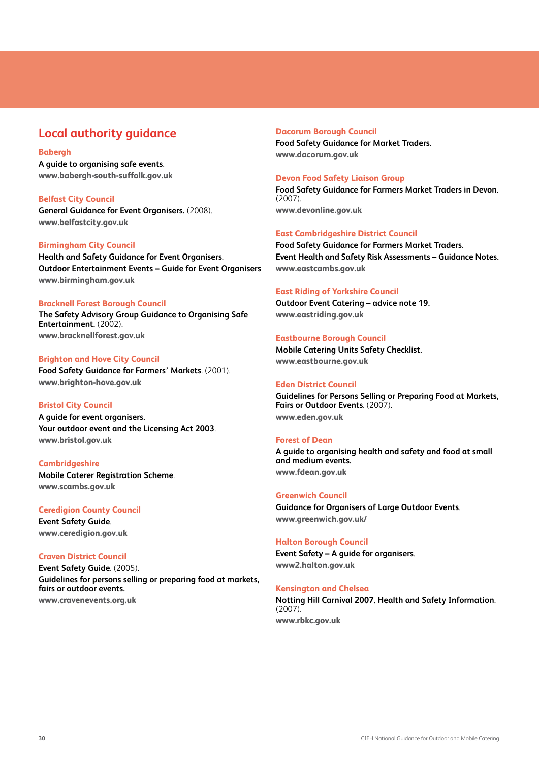## **Local authority guidance**

## **Babergh**

**A guide to organising safe events**. **www.babergh-south-suffolk.gov.uk**

## **Belfast City Council**

**General Guidance for Event Organisers.** (2008). **www.belfastcity.gov.uk**

## **Birmingham City Council**

**Health and Safety Guidance for Event Organisers**. **Outdoor Entertainment Events – Guide for Event Organisers www.birmingham.gov.uk** 

## **Bracknell Forest Borough Council**

**The Safety Advisory Group Guidance to Organising Safe Entertainment.** (2002). **www.bracknellforest.gov.uk**

## **Brighton and Hove City Council**

**Food Safety Guidance for Farmers' Markets**. (2001). **www.brighton-hove.gov.uk**

## **Bristol City Council**

**A guide for event organisers. Your outdoor event and the Licensing Act 2003**. **www.bristol.gov.uk**

## **Cambridgeshire**

**Mobile Caterer Registration Scheme**. **www.scambs.gov.uk** 

## **Ceredigion County Council**

**Event Safety Guide**. **www.ceredigion.gov.uk**

## **Craven District Council**

**Event Safety Guide**. (2005). **Guidelines for persons selling or preparing food at markets, fairs or outdoor events. www.cravenevents.org.uk**

## **Dacorum Borough Council**

**Food Safety Guidance for Market Traders. www.dacorum.gov.uk** 

## **Devon Food Safety Liaison Group**

**Food Safety Guidance for Farmers Market Traders in Devon.**  (2007). **www.devonline.gov.uk**

## **East Cambridgeshire District Council**

**Food Safety Guidance for Farmers Market Traders. Event Health and Safety Risk Assessments – Guidance Notes. www.eastcambs.gov.uk**

## **East Riding of Yorkshire Council**

**Outdoor Event Catering – advice note 19. www.eastriding.gov.uk**

## **Eastbourne Borough Council**

**Mobile Catering Units Safety Checklist. www.eastbourne.gov.uk** 

## **Eden District Council**

**Guidelines for Persons Selling or Preparing Food at Markets, Fairs or Outdoor Events**. (2007). **www.eden.gov.uk**

## **Forest of Dean**

**A guide to organising health and safety and food at small and medium events. www.fdean.gov.uk**

## **Greenwich Council**

**Guidance for Organisers of Large Outdoor Events**. **www.greenwich.gov.uk/** 

## **Halton Borough Council**

**Event Safety – A guide for organisers**. **www2.halton.gov.uk** 

## **Kensington and Chelsea**

**Notting Hill Carnival 2007. Health and Safety Information**. (2007). **www.rbkc.gov.uk**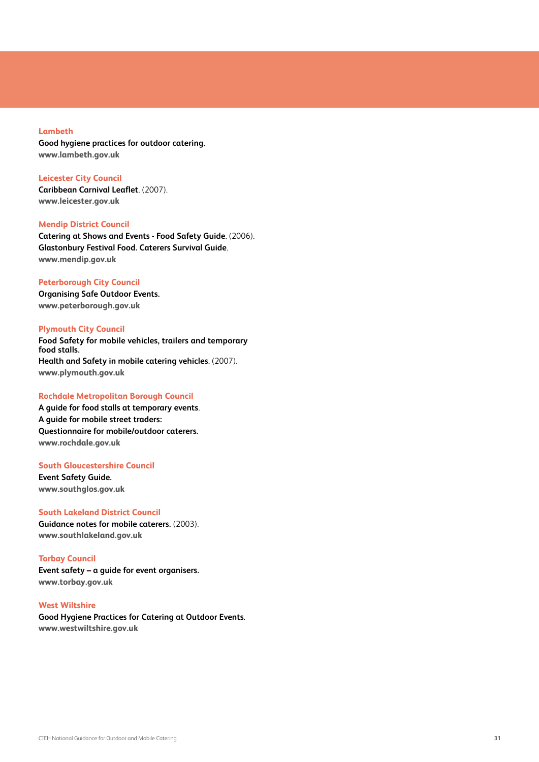## **Lambeth**

**Good hygiene practices for outdoor catering. www.lambeth.gov.uk**

## **Leicester City Council**

**Caribbean Carnival Leaflet**. (2007). **www.leicester.gov.uk**

## **Mendip District Council**

**Catering at Shows and Events - Food Safety Guide**. (2006). **Glastonbury Festival Food. Caterers Survival Guide**. **www.mendip.gov.uk**

## **Peterborough City Council**

**Organising Safe Outdoor Events. www.peterborough.gov.uk**

## **Plymouth City Council**

**Food Safety for mobile vehicles, trailers and temporary food stalls. Health and Safety in mobile catering vehicles**. (2007). **www.plymouth.gov.uk** 

## **Rochdale Metropolitan Borough Council**

**A guide for food stalls at temporary events**. **A guide for mobile street traders: Questionnaire for mobile/outdoor caterers. www.rochdale.gov.uk** 

## **South Gloucestershire Council**

**Event Safety Guide. www.southglos.gov.uk** 

## **South Lakeland District Council Guidance notes for mobile caterers.** (2003). **www.southlakeland.gov.uk**

**Torbay Council Event safety – a guide for event organisers. www.torbay.gov.uk**

## **West Wiltshire**

**Good Hygiene Practices for Catering at Outdoor Events**. **www.westwiltshire.gov.uk**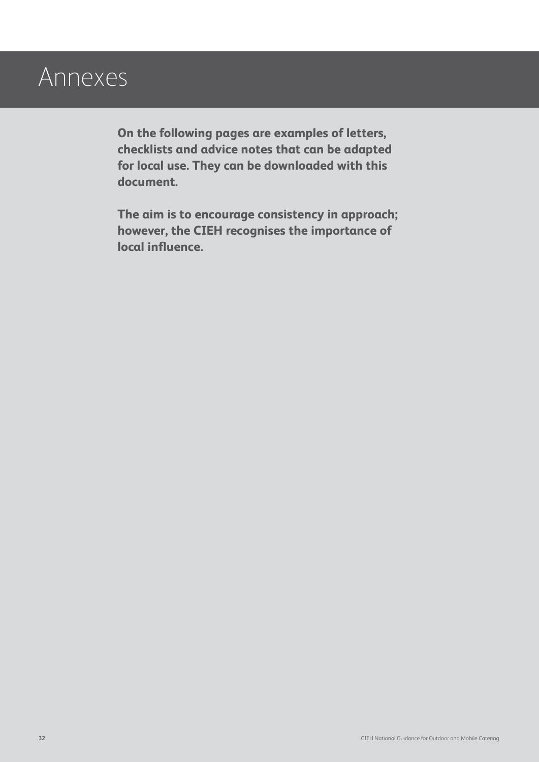## Annexes

**On the following pages are examples of letters, checklists and advice notes that can be adapted for local use. They can be downloaded with this document.**

**The aim is to encourage consistency in approach; however, the CIEH recognises the importance of local influence.**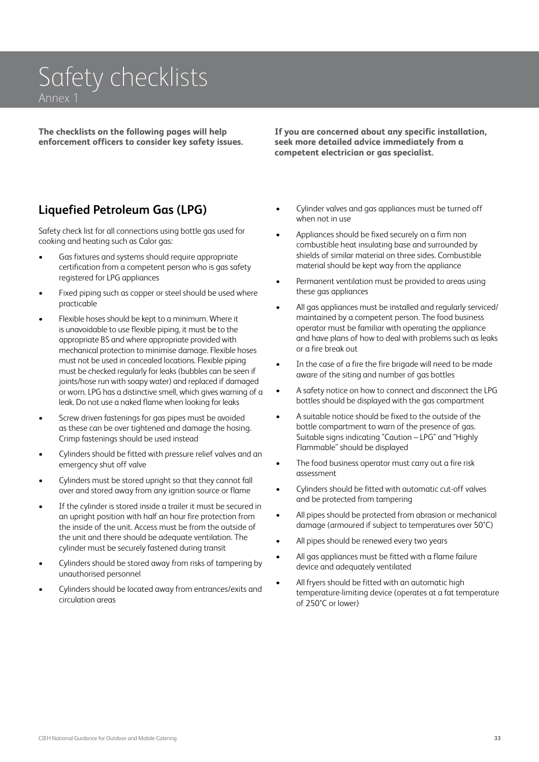## Safety checklists Annex 1

**The checklists on the following pages will help enforcement officers to consider key safety issues.**  **If you are concerned about any specific installation, seek more detailed advice immediately from a competent electrician or gas specialist.**

## **Liquefied Petroleum Gas (LPG)**

Safety check list for all connections using bottle gas used for cooking and heating such as Calor gas:

- Gas fixtures and systems should require appropriate certification from a competent person who is gas safety registered for LPG appliances
- Fixed piping such as copper or steel should be used where practicable
- Flexible hoses should be kept to a minimum. Where it is unavoidable to use flexible piping, it must be to the appropriate BS and where appropriate provided with mechanical protection to minimise damage. Flexible hoses must not be used in concealed locations. Flexible piping must be checked regularly for leaks (bubbles can be seen if joints/hose run with soapy water) and replaced if damaged or worn. LPG has a distinctive smell, which gives warning of a leak. Do not use a naked flame when looking for leaks
- Screw driven fastenings for gas pipes must be avoided as these can be over tightened and damage the hosing. Crimp fastenings should be used instead
- Cylinders should be fitted with pressure relief valves and an emergency shut off valve
- Cylinders must be stored upright so that they cannot fall over and stored away from any ignition source or flame
- If the cylinder is stored inside a trailer it must be secured in an upright position with half an hour fire protection from the inside of the unit. Access must be from the outside of the unit and there should be adequate ventilation. The cylinder must be securely fastened during transit
- Cylinders should be stored away from risks of tampering by unauthorised personnel
- Cylinders should be located away from entrances/exits and circulation areas
- Cylinder valves and gas appliances must be turned off when not in use
- Appliances should be fixed securely on a firm non combustible heat insulating base and surrounded by shields of similar material on three sides. Combustible material should be kept way from the appliance
- Permanent ventilation must be provided to areas using these gas appliances
- All gas appliances must be installed and regularly serviced/ maintained by a competent person. The food business operator must be familiar with operating the appliance and have plans of how to deal with problems such as leaks or a fire break out
- In the case of a fire the fire brigade will need to be made aware of the siting and number of gas bottles
- A safety notice on how to connect and disconnect the LPG bottles should be displayed with the gas compartment
- A suitable notice should be fixed to the outside of the bottle compartment to warn of the presence of gas. Suitable signs indicating "Caution – LPG" and "Highly Flammable" should be displayed
- The food business operator must carry out a fire risk assessment
- Cylinders should be fitted with automatic cut-off valves and be protected from tampering
- All pipes should be protected from abrasion or mechanical damage (armoured if subject to temperatures over 50°C)
- All pipes should be renewed every two years
- All gas appliances must be fitted with a flame failure device and adequately ventilated
- All fryers should be fitted with an automatic high temperature-limiting device (operates at a fat temperature of 250°C or lower)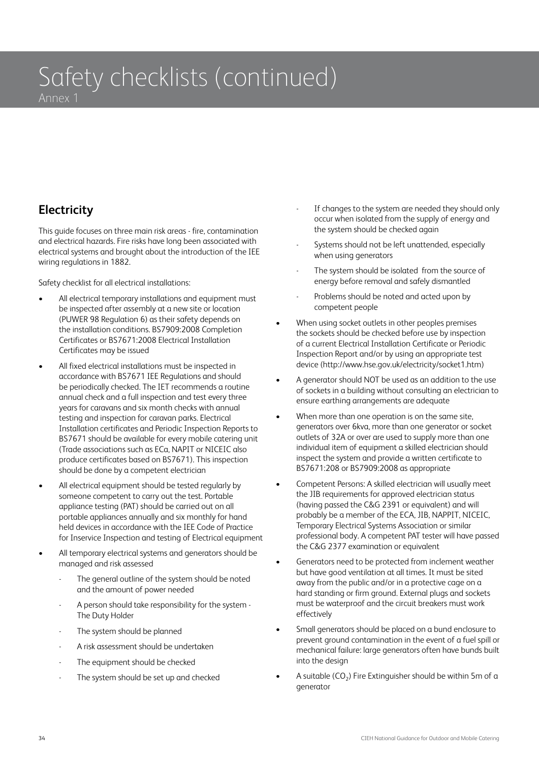# Safety checklists (continued)

Annex 1

## **Electricity**

This guide focuses on three main risk areas - fire, contamination and electrical hazards. Fire risks have long been associated with electrical systems and brought about the introduction of the IEE wiring regulations in 1882.

Safety checklist for all electrical installations:

- All electrical temporary installations and equipment must be inspected after assembly at a new site or location (PUWER 98 Regulation 6) as their safety depends on the installation conditions. BS7909:2008 Completion Certificates or BS7671:2008 Electrical Installation Certificates may be issued
- All fixed electrical installations must be inspected in accordance with BS7671 IEE Regulations and should be periodically checked. The IET recommends a routine annual check and a full inspection and test every three years for caravans and six month checks with annual testing and inspection for caravan parks. Electrical Installation certificates and Periodic Inspection Reports to BS7671 should be available for every mobile catering unit (Trade associations such as ECa, NAPIT or NICEIC also produce certificates based on BS7671). This inspection should be done by a competent electrician
- All electrical equipment should be tested regularly by someone competent to carry out the test. Portable appliance testing (PAT) should be carried out on all portable appliances annually and six monthly for hand held devices in accordance with the IEE Code of Practice for Inservice Inspection and testing of Electrical equipment
- All temporary electrical systems and generators should be managed and risk assessed
	- The general outline of the system should be noted and the amount of power needed
	- A person should take responsibility for the system -The Duty Holder
	- The system should be planned
	- A risk assessment should be undertaken
	- The equipment should be checked
	- The system should be set up and checked
- If changes to the system are needed they should only occur when isolated from the supply of energy and the system should be checked again
- Systems should not be left unattended, especially when using generators
- The system should be isolated from the source of energy before removal and safely dismantled
- Problems should be noted and acted upon by competent people
- When using socket outlets in other peoples premises the sockets should be checked before use by inspection of a current Electrical Installation Certificate or Periodic Inspection Report and/or by using an appropriate test device (http://www.hse.gov.uk/electricity/socket1.htm)
- A generator should NOT be used as an addition to the use of sockets in a building without consulting an electrician to ensure earthing arrangements are adequate
- When more than one operation is on the same site, generators over 6kva, more than one generator or socket outlets of 32A or over are used to supply more than one individual item of equipment a skilled electrician should inspect the system and provide a written certificate to BS7671:208 or BS7909:2008 as appropriate
- Competent Persons: A skilled electrician will usually meet the JIB requirements for approved electrician status (having passed the C&G 2391 or equivalent) and will probably be a member of the ECA, JIB, NAPPIT, NICEIC, Temporary Electrical Systems Association or similar professional body. A competent PAT tester will have passed the C&G 2377 examination or equivalent
- Generators need to be protected from inclement weather but have good ventilation at all times. It must be sited away from the public and/or in a protective cage on a hard standing or firm ground. External plugs and sockets must be waterproof and the circuit breakers must work effectively
- Small generators should be placed on a bund enclosure to prevent ground contamination in the event of a fuel spill or mechanical failure: large generators often have bunds built into the design
- A suitable ( $CO<sub>2</sub>$ ) Fire Extinguisher should be within 5m of a generator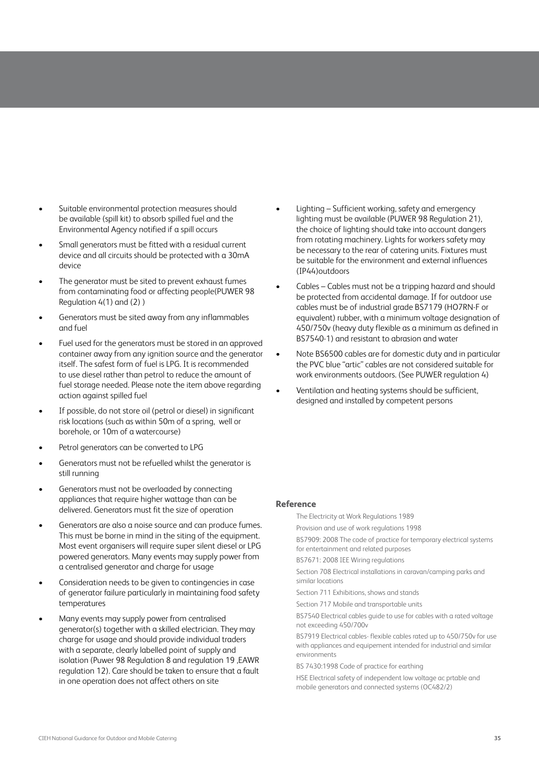- • Suitable environmental protection measures should be available (spill kit) to absorb spilled fuel and the Environmental Agency notified if a spill occurs
- Small generators must be fitted with a residual current device and all circuits should be protected with a 30mA device
- The generator must be sited to prevent exhaust fumes from contaminating food or affecting people(PUWER 98 Regulation 4(1) and (2) )
- Generators must be sited away from any inflammables and fuel
- Fuel used for the generators must be stored in an approved container away from any ignition source and the generator itself. The safest form of fuel is LPG. It is recommended to use diesel rather than petrol to reduce the amount of fuel storage needed. Please note the item above regarding action against spilled fuel
- If possible, do not store oil (petrol or diesel) in significant risk locations (such as within 50m of a spring, well or borehole, or 10m of a watercourse)
- Petrol generators can be converted to LPG
- Generators must not be refuelled whilst the generator is still running
- Generators must not be overloaded by connecting appliances that require higher wattage than can be delivered. Generators must fit the size of operation
- Generators are also a noise source and can produce fumes. This must be borne in mind in the siting of the equipment. Most event organisers will require super silent diesel or LPG powered generators. Many events may supply power from a centralised generator and charge for usage
- Consideration needs to be given to contingencies in case of generator failure particularly in maintaining food safety temperatures
- Many events may supply power from centralised generator(s) together with a skilled electrician. They may charge for usage and should provide individual traders with a separate, clearly labelled point of supply and isolation (Puwer 98 Regulation 8 and regulation 19 ,EAWR regulation 12). Care should be taken to ensure that a fault in one operation does not affect others on site
- Lighting Sufficient working, safety and emergency lighting must be available (PUWER 98 Regulation 21), the choice of lighting should take into account dangers from rotating machinery. Lights for workers safety may be necessary to the rear of catering units. Fixtures must be suitable for the environment and external influences (IP44)outdoors
- Cables Cables must not be a tripping hazard and should be protected from accidental damage. If for outdoor use cables must be of industrial grade BS7179 (HO7RN-F or equivalent) rubber, with a minimum voltage designation of 450/750v (heavy duty flexible as a minimum as defined in BS7540-1) and resistant to abrasion and water
- Note BS6500 cables are for domestic duty and in particular the PVC blue "artic" cables are not considered suitable for work environments outdoors. (See PUWER regulation 4)
- Ventilation and heating systems should be sufficient, designed and installed by competent persons

## **Reference**

The Electricity at Work Regulations 1989

Provision and use of work regulations 1998

BS7909: 2008 The code of practice for temporary electrical systems for entertainment and related purposes

BS7671: 2008 IEE Wiring regulations

Section 708 Electrical installations in caravan/camping parks and similar locations

Section 711 Exhibitions, shows and stands

Section 717 Mobile and transportable units

BS7540 Electrical cables guide to use for cables with a rated voltage not exceeding 450/700v

BS7919 Electrical cables- flexible cables rated up to 450/750v for use with appliances and equipement intended for industrial and similar environments

BS 7430:1998 Code of practice for earthing

HSE Electrical safety of independent low voltage ac prtable and mobile generators and connected systems (OC482/2)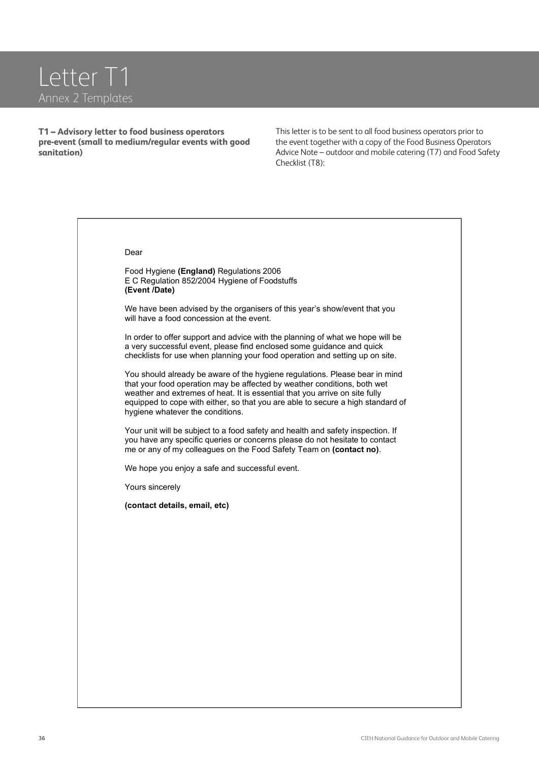

**T1 – Advisory letter to food business operators pre-event (small to medium/regular events with good sanitation)**

This letter is to be sent to all food business operators prior to the event together with a copy of the Food Business Operators Advice Note – outdoor and mobile catering (T7) and Food Safety Checklist (T8):

| Dear                          |                                                                                                                                                                                                                                                                                                                                                               |
|-------------------------------|---------------------------------------------------------------------------------------------------------------------------------------------------------------------------------------------------------------------------------------------------------------------------------------------------------------------------------------------------------------|
| (Event /Date)                 | Food Hygiene (England) Regulations 2006<br>E C Regulation 852/2004 Hygiene of Foodstuffs                                                                                                                                                                                                                                                                      |
|                               | We have been advised by the organisers of this year's show/event that you<br>will have a food concession at the event.                                                                                                                                                                                                                                        |
|                               | In order to offer support and advice with the planning of what we hope will be<br>a very successful event, please find enclosed some guidance and quick<br>checklists for use when planning your food operation and setting up on site.                                                                                                                       |
|                               | You should already be aware of the hygiene regulations. Please bear in mind<br>that your food operation may be affected by weather conditions, both wet<br>weather and extremes of heat. It is essential that you arrive on site fully<br>equipped to cope with either, so that you are able to secure a high standard of<br>hygiene whatever the conditions. |
|                               | Your unit will be subject to a food safety and health and safety inspection. If<br>you have any specific queries or concerns please do not hesitate to contact<br>me or any of my colleagues on the Food Safety Team on (contact no).                                                                                                                         |
|                               | We hope you enjoy a safe and successful event.                                                                                                                                                                                                                                                                                                                |
| Yours sincerely               |                                                                                                                                                                                                                                                                                                                                                               |
| (contact details, email, etc) |                                                                                                                                                                                                                                                                                                                                                               |
|                               |                                                                                                                                                                                                                                                                                                                                                               |
|                               |                                                                                                                                                                                                                                                                                                                                                               |
|                               |                                                                                                                                                                                                                                                                                                                                                               |
|                               |                                                                                                                                                                                                                                                                                                                                                               |
|                               |                                                                                                                                                                                                                                                                                                                                                               |
|                               |                                                                                                                                                                                                                                                                                                                                                               |
|                               |                                                                                                                                                                                                                                                                                                                                                               |
|                               |                                                                                                                                                                                                                                                                                                                                                               |
|                               |                                                                                                                                                                                                                                                                                                                                                               |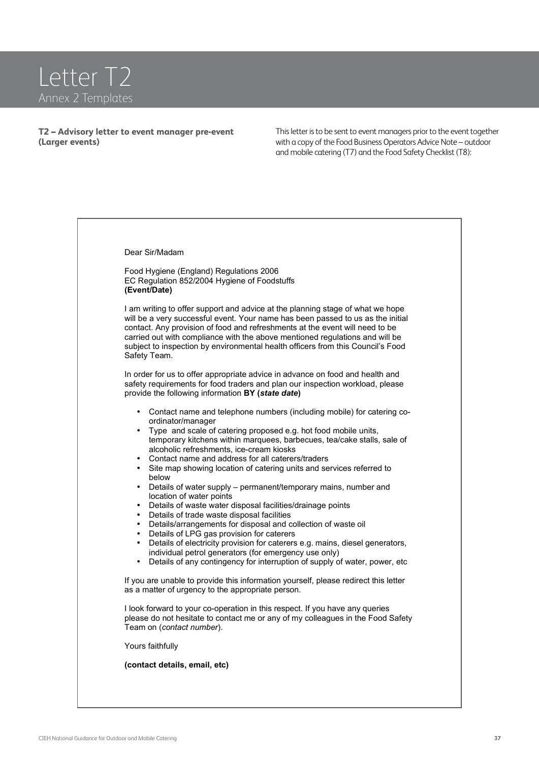

**T2 – Advisory letter to event manager pre-event (Larger events)**

This letter is to be sent to event managers prior to the event together with a copy of the Food Business Operators Advice Note – outdoor and mobile catering (T7) and the Food Safety Checklist (T8):

|                                                                                                      | Dear Sir/Madam                                                                                                                                                                                                                                                                                                                                                                                                                                                                                                                                                                                                                                                                                                                                                                                                                                                                                                                                                                  |
|------------------------------------------------------------------------------------------------------|---------------------------------------------------------------------------------------------------------------------------------------------------------------------------------------------------------------------------------------------------------------------------------------------------------------------------------------------------------------------------------------------------------------------------------------------------------------------------------------------------------------------------------------------------------------------------------------------------------------------------------------------------------------------------------------------------------------------------------------------------------------------------------------------------------------------------------------------------------------------------------------------------------------------------------------------------------------------------------|
|                                                                                                      | Food Hygiene (England) Regulations 2006<br>EC Regulation 852/2004 Hygiene of Foodstuffs<br>(Event/Date)                                                                                                                                                                                                                                                                                                                                                                                                                                                                                                                                                                                                                                                                                                                                                                                                                                                                         |
|                                                                                                      | I am writing to offer support and advice at the planning stage of what we hope<br>will be a very successful event. Your name has been passed to us as the initial<br>contact. Any provision of food and refreshments at the event will need to be<br>carried out with compliance with the above mentioned regulations and will be<br>subject to inspection by environmental health officers from this Council's Food<br>Safety Team.                                                                                                                                                                                                                                                                                                                                                                                                                                                                                                                                            |
|                                                                                                      | In order for us to offer appropriate advice in advance on food and health and<br>safety requirements for food traders and plan our inspection workload, please<br>provide the following information BY (state date)                                                                                                                                                                                                                                                                                                                                                                                                                                                                                                                                                                                                                                                                                                                                                             |
| $\bullet$<br>$\bullet$<br>$\bullet$<br>$\bullet$<br>$\bullet$<br>$\bullet$<br>$\bullet$<br>$\bullet$ | • Contact name and telephone numbers (including mobile) for catering co-<br>ordinator/manager<br>Type and scale of catering proposed e.g. hot food mobile units,<br>temporary kitchens within marquees, barbecues, tea/cake stalls, sale of<br>alcoholic refreshments, ice-cream kiosks<br>Contact name and address for all caterers/traders<br>• Site map showing location of catering units and services referred to<br>below<br>Details of water supply – permanent/temporary mains, number and<br>location of water points<br>Details of waste water disposal facilities/drainage points<br>Details of trade waste disposal facilities<br>Details/arrangements for disposal and collection of waste oil<br>Details of LPG gas provision for caterers<br>Details of electricity provision for caterers e.g. mains, diesel generators,<br>individual petrol generators (for emergency use only)<br>Details of any contingency for interruption of supply of water, power, etc |
|                                                                                                      | If you are unable to provide this information yourself, please redirect this letter<br>as a matter of urgency to the appropriate person.                                                                                                                                                                                                                                                                                                                                                                                                                                                                                                                                                                                                                                                                                                                                                                                                                                        |
|                                                                                                      | I look forward to your co-operation in this respect. If you have any queries<br>please do not hesitate to contact me or any of my colleagues in the Food Safety<br>Team on (contact number).                                                                                                                                                                                                                                                                                                                                                                                                                                                                                                                                                                                                                                                                                                                                                                                    |
|                                                                                                      | Yours faithfully                                                                                                                                                                                                                                                                                                                                                                                                                                                                                                                                                                                                                                                                                                                                                                                                                                                                                                                                                                |
|                                                                                                      | (contact details, email, etc)                                                                                                                                                                                                                                                                                                                                                                                                                                                                                                                                                                                                                                                                                                                                                                                                                                                                                                                                                   |

۰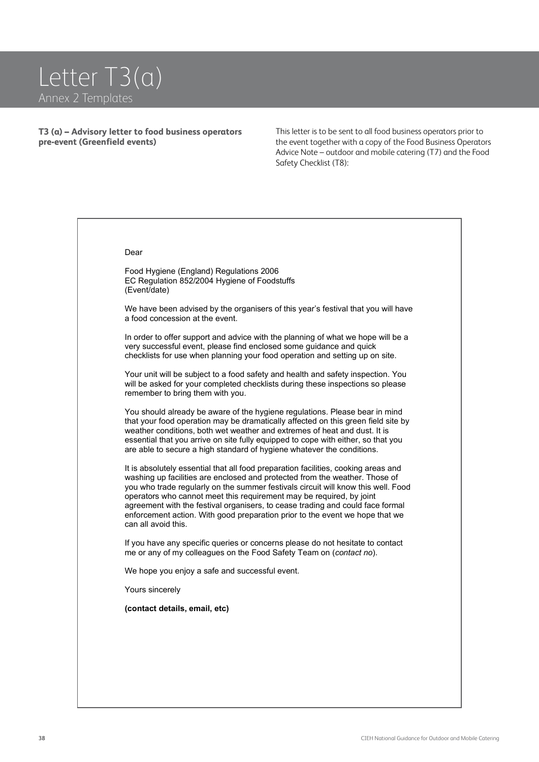## Letter T3(a) Annex 2 Templates

## **T3 (a) – Advisory letter to food business operators pre-event (Greenfield events)**

This letter is to be sent to all food business operators prior to the event together with a copy of the Food Business Operators Advice Note – outdoor and mobile catering (T7) and the Food Safety Checklist (T8):

| Dear<br>Food Hygiene (England) Regulations 2006<br>EC Regulation 852/2004 Hygiene of Foodstuffs<br>(Event/date)<br>We have been advised by the organisers of this year's festival that you will have<br>a food concession at the event.<br>In order to offer support and advice with the planning of what we hope will be a<br>very successful event, please find enclosed some guidance and quick<br>checklists for use when planning your food operation and setting up on site.<br>Your unit will be subject to a food safety and health and safety inspection. You |  |
|------------------------------------------------------------------------------------------------------------------------------------------------------------------------------------------------------------------------------------------------------------------------------------------------------------------------------------------------------------------------------------------------------------------------------------------------------------------------------------------------------------------------------------------------------------------------|--|
|                                                                                                                                                                                                                                                                                                                                                                                                                                                                                                                                                                        |  |
|                                                                                                                                                                                                                                                                                                                                                                                                                                                                                                                                                                        |  |
|                                                                                                                                                                                                                                                                                                                                                                                                                                                                                                                                                                        |  |
|                                                                                                                                                                                                                                                                                                                                                                                                                                                                                                                                                                        |  |
|                                                                                                                                                                                                                                                                                                                                                                                                                                                                                                                                                                        |  |
| will be asked for your completed checklists during these inspections so please<br>remember to bring them with you.                                                                                                                                                                                                                                                                                                                                                                                                                                                     |  |
| You should already be aware of the hygiene regulations. Please bear in mind<br>that your food operation may be dramatically affected on this green field site by<br>weather conditions, both wet weather and extremes of heat and dust. It is<br>essential that you arrive on site fully equipped to cope with either, so that you<br>are able to secure a high standard of hygiene whatever the conditions.                                                                                                                                                           |  |
| It is absolutely essential that all food preparation facilities, cooking areas and<br>washing up facilities are enclosed and protected from the weather. Those of<br>you who trade regularly on the summer festivals circuit will know this well. Food<br>operators who cannot meet this requirement may be required, by joint<br>agreement with the festival organisers, to cease trading and could face formal<br>enforcement action. With good preparation prior to the event we hope that we<br>can all avoid this.                                                |  |
| If you have any specific queries or concerns please do not hesitate to contact<br>me or any of my colleagues on the Food Safety Team on (contact no).                                                                                                                                                                                                                                                                                                                                                                                                                  |  |
| We hope you enjoy a safe and successful event.                                                                                                                                                                                                                                                                                                                                                                                                                                                                                                                         |  |
| Yours sincerely                                                                                                                                                                                                                                                                                                                                                                                                                                                                                                                                                        |  |
| (contact details, email, etc)                                                                                                                                                                                                                                                                                                                                                                                                                                                                                                                                          |  |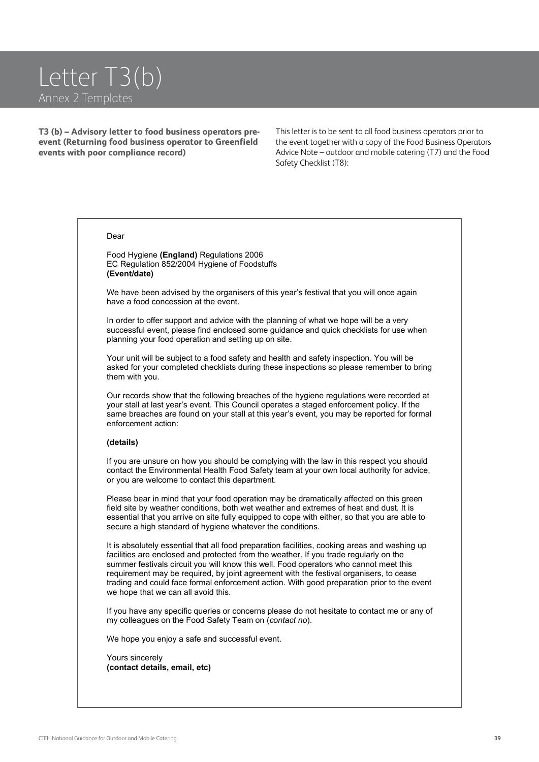## Letter T3(b) Annex 2 Templates

**T3 (b) – Advisory letter to food business operators preevent (Returning food business operator to Greenfield events with poor compliance record)**

This letter is to be sent to all food business operators prior to the event together with a copy of the Food Business Operators Advice Note – outdoor and mobile catering (T7) and the Food Safety Checklist (T8):

## Dear

Food Hygiene **(England)** Regulations 2006 EC Regulation 852/2004 Hygiene of Foodstuffs **(Event/date)**

We have been advised by the organisers of this year's festival that you will once again have a food concession at the event.

In order to offer support and advice with the planning of what we hope will be a very successful event, please find enclosed some guidance and quick checklists for use when planning your food operation and setting up on site.

Your unit will be subject to a food safety and health and safety inspection. You will be asked for your completed checklists during these inspections so please remember to bring them with you.

Our records show that the following breaches of the hygiene regulations were recorded at your stall at last year's event. This Council operates a staged enforcement policy. If the same breaches are found on your stall at this year's event, you may be reported for formal enforcement action:

### **(details)**

If you are unsure on how you should be complying with the law in this respect you should contact the Environmental Health Food Safety team at your own local authority for advice, or you are welcome to contact this department.

Please bear in mind that your food operation may be dramatically affected on this green field site by weather conditions, both wet weather and extremes of heat and dust. It is essential that you arrive on site fully equipped to cope with either, so that you are able to secure a high standard of hygiene whatever the conditions.

It is absolutely essential that all food preparation facilities, cooking areas and washing up facilities are enclosed and protected from the weather. If you trade regularly on the summer festivals circuit you will know this well. Food operators who cannot meet this requirement may be required, by joint agreement with the festival organisers, to cease trading and could face formal enforcement action. With good preparation prior to the event we hope that we can all avoid this.

If you have any specific queries or concerns please do not hesitate to contact me or any of my colleagues on the Food Safety Team on (*contact no*).

We hope you enjoy a safe and successful event.

Yours sincerely **(contact details, email, etc)**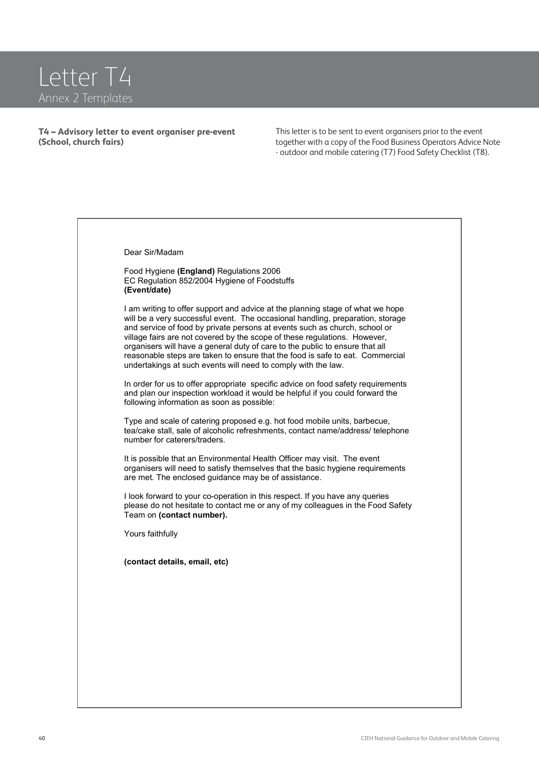

## **T4 – Advisory letter to event organiser pre-event (School, church fairs)**

This letter is to be sent to event organisers prior to the event together with a copy of the Food Business Operators Advice Note - outdoor and mobile catering (T7) Food Safety Checklist (T8).

| Dear Sir/Madam                                                                                                                                                                                                                                                                                                                                                                                                                                                                                                                                                |
|---------------------------------------------------------------------------------------------------------------------------------------------------------------------------------------------------------------------------------------------------------------------------------------------------------------------------------------------------------------------------------------------------------------------------------------------------------------------------------------------------------------------------------------------------------------|
| Food Hygiene (England) Regulations 2006<br>EC Regulation 852/2004 Hygiene of Foodstuffs<br>(Event/date)                                                                                                                                                                                                                                                                                                                                                                                                                                                       |
| I am writing to offer support and advice at the planning stage of what we hope<br>will be a very successful event. The occasional handling, preparation, storage<br>and service of food by private persons at events such as church, school or<br>village fairs are not covered by the scope of these regulations. However,<br>organisers will have a general duty of care to the public to ensure that all<br>reasonable steps are taken to ensure that the food is safe to eat. Commercial<br>undertakings at such events will need to comply with the law. |
| In order for us to offer appropriate specific advice on food safety requirements<br>and plan our inspection workload it would be helpful if you could forward the<br>following information as soon as possible:                                                                                                                                                                                                                                                                                                                                               |
| Type and scale of catering proposed e.g. hot food mobile units, barbecue,<br>tea/cake stall, sale of alcoholic refreshments, contact name/address/ telephone<br>number for caterers/traders.                                                                                                                                                                                                                                                                                                                                                                  |
| It is possible that an Environmental Health Officer may visit. The event<br>organisers will need to satisfy themselves that the basic hygiene requirements<br>are met. The enclosed guidance may be of assistance.                                                                                                                                                                                                                                                                                                                                            |
| I look forward to your co-operation in this respect. If you have any queries<br>please do not hesitate to contact me or any of my colleagues in the Food Safety<br>Team on (contact number).                                                                                                                                                                                                                                                                                                                                                                  |
| Yours faithfully                                                                                                                                                                                                                                                                                                                                                                                                                                                                                                                                              |
| (contact details, email, etc)                                                                                                                                                                                                                                                                                                                                                                                                                                                                                                                                 |
|                                                                                                                                                                                                                                                                                                                                                                                                                                                                                                                                                               |
|                                                                                                                                                                                                                                                                                                                                                                                                                                                                                                                                                               |
|                                                                                                                                                                                                                                                                                                                                                                                                                                                                                                                                                               |
|                                                                                                                                                                                                                                                                                                                                                                                                                                                                                                                                                               |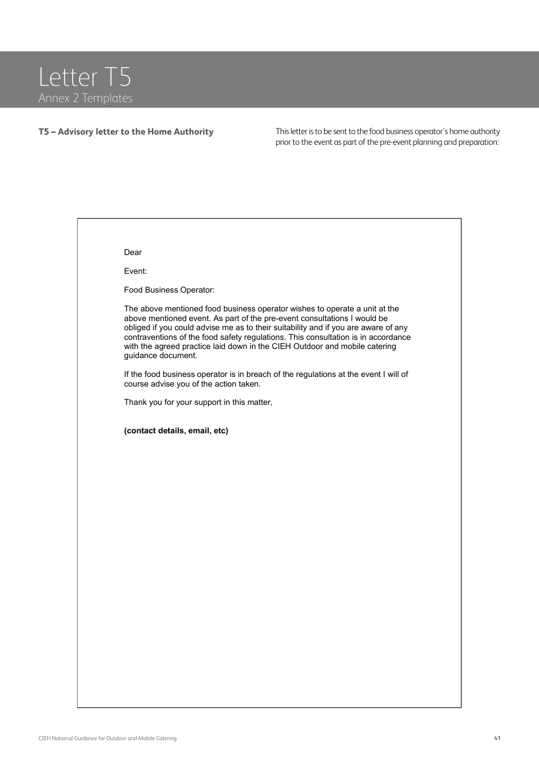

**T5 – Advisory letter to the Home Authority** This letter is to be sent to the food business operator's home authority prior to the event as part of the pre-event planning and preparation:

| Dear<br>Event:<br>Food Business Operator:<br>The above mentioned food business operator wishes to operate a unit at the<br>above mentioned event. As part of the pre-event consultations I would be<br>obliged if you could advise me as to their suitability and if you are aware of any<br>contraventions of the food safety regulations. This consultation is in accordance<br>with the agreed practice laid down in the CIEH Outdoor and mobile catering<br>guidance document.<br>If the food business operator is in breach of the regulations at the event I will of<br>course advise you of the action taken.<br>Thank you for your support in this matter,<br>(contact details, email, etc) |  |
|-----------------------------------------------------------------------------------------------------------------------------------------------------------------------------------------------------------------------------------------------------------------------------------------------------------------------------------------------------------------------------------------------------------------------------------------------------------------------------------------------------------------------------------------------------------------------------------------------------------------------------------------------------------------------------------------------------|--|
|                                                                                                                                                                                                                                                                                                                                                                                                                                                                                                                                                                                                                                                                                                     |  |
|                                                                                                                                                                                                                                                                                                                                                                                                                                                                                                                                                                                                                                                                                                     |  |
|                                                                                                                                                                                                                                                                                                                                                                                                                                                                                                                                                                                                                                                                                                     |  |
|                                                                                                                                                                                                                                                                                                                                                                                                                                                                                                                                                                                                                                                                                                     |  |
|                                                                                                                                                                                                                                                                                                                                                                                                                                                                                                                                                                                                                                                                                                     |  |
|                                                                                                                                                                                                                                                                                                                                                                                                                                                                                                                                                                                                                                                                                                     |  |
|                                                                                                                                                                                                                                                                                                                                                                                                                                                                                                                                                                                                                                                                                                     |  |
|                                                                                                                                                                                                                                                                                                                                                                                                                                                                                                                                                                                                                                                                                                     |  |
|                                                                                                                                                                                                                                                                                                                                                                                                                                                                                                                                                                                                                                                                                                     |  |
|                                                                                                                                                                                                                                                                                                                                                                                                                                                                                                                                                                                                                                                                                                     |  |
|                                                                                                                                                                                                                                                                                                                                                                                                                                                                                                                                                                                                                                                                                                     |  |
|                                                                                                                                                                                                                                                                                                                                                                                                                                                                                                                                                                                                                                                                                                     |  |
|                                                                                                                                                                                                                                                                                                                                                                                                                                                                                                                                                                                                                                                                                                     |  |
|                                                                                                                                                                                                                                                                                                                                                                                                                                                                                                                                                                                                                                                                                                     |  |
|                                                                                                                                                                                                                                                                                                                                                                                                                                                                                                                                                                                                                                                                                                     |  |
|                                                                                                                                                                                                                                                                                                                                                                                                                                                                                                                                                                                                                                                                                                     |  |
|                                                                                                                                                                                                                                                                                                                                                                                                                                                                                                                                                                                                                                                                                                     |  |
|                                                                                                                                                                                                                                                                                                                                                                                                                                                                                                                                                                                                                                                                                                     |  |
|                                                                                                                                                                                                                                                                                                                                                                                                                                                                                                                                                                                                                                                                                                     |  |
|                                                                                                                                                                                                                                                                                                                                                                                                                                                                                                                                                                                                                                                                                                     |  |
|                                                                                                                                                                                                                                                                                                                                                                                                                                                                                                                                                                                                                                                                                                     |  |
|                                                                                                                                                                                                                                                                                                                                                                                                                                                                                                                                                                                                                                                                                                     |  |
|                                                                                                                                                                                                                                                                                                                                                                                                                                                                                                                                                                                                                                                                                                     |  |
|                                                                                                                                                                                                                                                                                                                                                                                                                                                                                                                                                                                                                                                                                                     |  |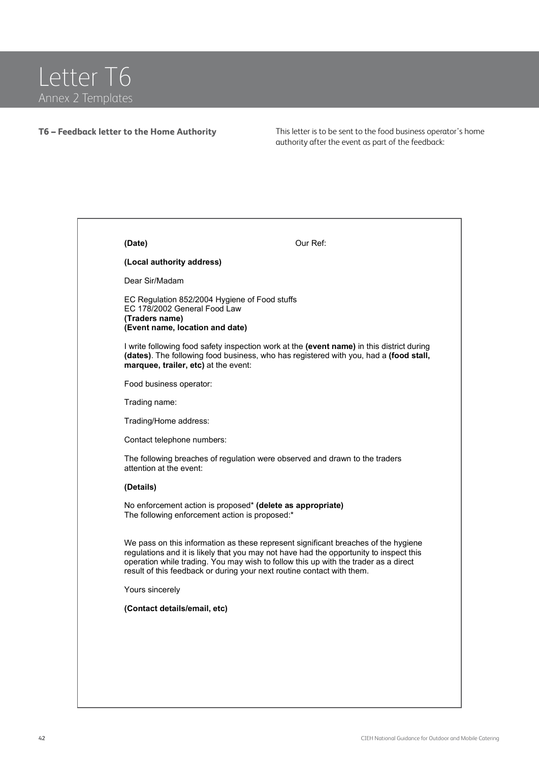

**T6 – Feedback letter to the Home Authority** This letter is to be sent to the food business operator's home authority after the event as part of the feedback:

| (Date)                                                                                                                             | Our Ref:                                                                                                                                                                                                                                                                                                                                      |
|------------------------------------------------------------------------------------------------------------------------------------|-----------------------------------------------------------------------------------------------------------------------------------------------------------------------------------------------------------------------------------------------------------------------------------------------------------------------------------------------|
| (Local authority address)                                                                                                          |                                                                                                                                                                                                                                                                                                                                               |
| Dear Sir/Madam                                                                                                                     |                                                                                                                                                                                                                                                                                                                                               |
| EC Regulation 852/2004 Hygiene of Food stuffs<br>EC 178/2002 General Food Law<br>(Traders name)<br>(Event name, location and date) |                                                                                                                                                                                                                                                                                                                                               |
| marquee, trailer, etc) at the event:                                                                                               | I write following food safety inspection work at the (event name) in this district during<br>(dates). The following food business, who has registered with you, had a (food stall,                                                                                                                                                            |
| Food business operator:                                                                                                            |                                                                                                                                                                                                                                                                                                                                               |
| Trading name:                                                                                                                      |                                                                                                                                                                                                                                                                                                                                               |
| Trading/Home address:                                                                                                              |                                                                                                                                                                                                                                                                                                                                               |
| Contact telephone numbers:                                                                                                         |                                                                                                                                                                                                                                                                                                                                               |
| attention at the event:                                                                                                            | The following breaches of regulation were observed and drawn to the traders                                                                                                                                                                                                                                                                   |
| (Details)                                                                                                                          |                                                                                                                                                                                                                                                                                                                                               |
| The following enforcement action is proposed:*                                                                                     | No enforcement action is proposed* (delete as appropriate)                                                                                                                                                                                                                                                                                    |
|                                                                                                                                    | We pass on this information as these represent significant breaches of the hygiene<br>regulations and it is likely that you may not have had the opportunity to inspect this<br>operation while trading. You may wish to follow this up with the trader as a direct<br>result of this feedback or during your next routine contact with them. |
| Yours sincerely                                                                                                                    |                                                                                                                                                                                                                                                                                                                                               |
|                                                                                                                                    | (Contact details/email, etc)                                                                                                                                                                                                                                                                                                                  |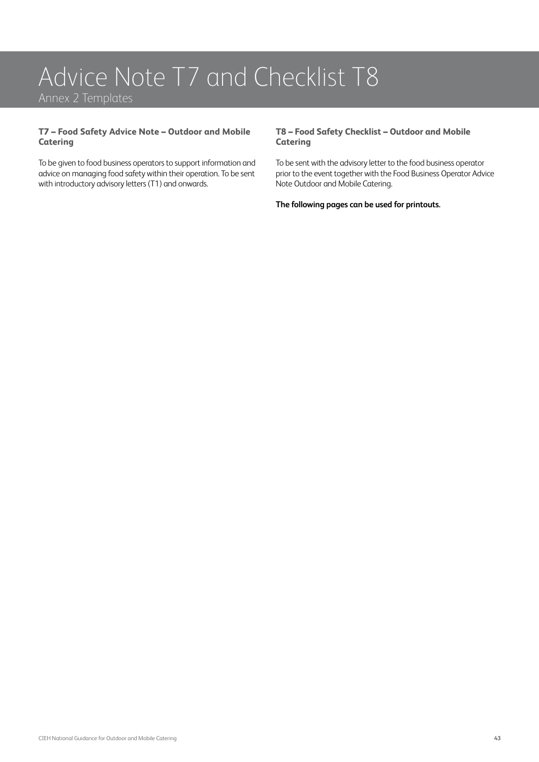## Advice Note T7 and Checklist T8

Annex 2 Templates

## **T7 – Food Safety Advice Note – Outdoor and Mobile Catering**

To be given to food business operators to support information and advice on managing food safety within their operation. To be sent with introductory advisory letters (T1) and onwards.

## **T8 – Food Safety Checklist – Outdoor and Mobile Catering**

To be sent with the advisory letter to the food business operator prior to the event together with the Food Business Operator Advice Note Outdoor and Mobile Catering.

**The following pages can be used for printouts.**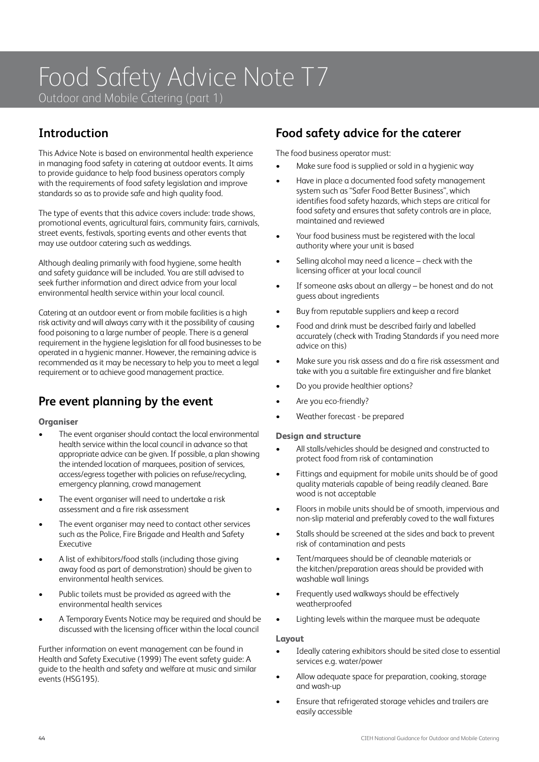# Food Safety Advice Note T7

Outdoor and Mobile Catering (part 1)

## **Introduction**

This Advice Note is based on environmental health experience in managing food safety in catering at outdoor events. It aims to provide guidance to help food business operators comply with the requirements of food safety legislation and improve standards so as to provide safe and high quality food.

The type of events that this advice covers include: trade shows, promotional events, agricultural fairs, community fairs, carnivals, street events, festivals, sporting events and other events that may use outdoor catering such as weddings.

Although dealing primarily with food hygiene, some health and safety guidance will be included. You are still advised to seek further information and direct advice from your local environmental health service within your local council.

Catering at an outdoor event or from mobile facilities is a high risk activity and will always carry with it the possibility of causing food poisoning to a large number of people. There is a general requirement in the hygiene legislation for all food businesses to be operated in a hygienic manner. However, the remaining advice is recommended as it may be necessary to help you to meet a legal requirement or to achieve good management practice.

## **Pre event planning by the event**

## **Organiser**

- The event organiser should contact the local environmental health service within the local council in advance so that appropriate advice can be given. If possible, a plan showing the intended location of marquees, position of services, access/egress together with policies on refuse/recycling, emergency planning, crowd management
- The event organiser will need to undertake a risk assessment and a fire risk assessment
- The event organiser may need to contact other services such as the Police, Fire Brigade and Health and Safety Executive
- A list of exhibitors/food stalls (including those giving away food as part of demonstration) should be given to environmental health services.
- Public toilets must be provided as agreed with the environmental health services
- A Temporary Events Notice may be required and should be discussed with the licensing officer within the local council

Further information on event management can be found in Health and Safety Executive (1999) The event safety guide: A guide to the health and safety and welfare at music and similar events (HSG195).

## **Food safety advice for the caterer**

The food business operator must:

- Make sure food is supplied or sold in a hygienic way
- Have in place a documented food safety management system such as "Safer Food Better Business", which identifies food safety hazards, which steps are critical for food safety and ensures that safety controls are in place, maintained and reviewed
- Your food business must be registered with the local authority where your unit is based
- Selling alcohol may need a licence  $-$  check with the licensing officer at your local council
- If someone asks about an allergy be honest and do not guess about ingredients
- Buy from reputable suppliers and keep a record
- Food and drink must be described fairly and labelled accurately (check with Trading Standards if you need more advice on this)
- Make sure you risk assess and do a fire risk assessment and take with you a suitable fire extinguisher and fire blanket
- Do you provide healthier options?
- Are you eco-friendly?
- Weather forecast be prepared

## **Design and structure**

- All stalls/vehicles should be designed and constructed to protect food from risk of contamination
- Fittings and equipment for mobile units should be of good quality materials capable of being readily cleaned. Bare wood is not acceptable
- Floors in mobile units should be of smooth, impervious and non-slip material and preferably coved to the wall fixtures
- Stalls should be screened at the sides and back to prevent risk of contamination and pests
- Tent/marquees should be of cleanable materials or the kitchen/preparation areas should be provided with washable wall linings
- Frequently used walkways should be effectively weatherproofed
- Lighting levels within the marquee must be adequate

## **Layout**

- Ideally catering exhibitors should be sited close to essential services e.g. water/power
- Allow adequate space for preparation, cooking, storage and wash-up
- Ensure that refrigerated storage vehicles and trailers are easily accessible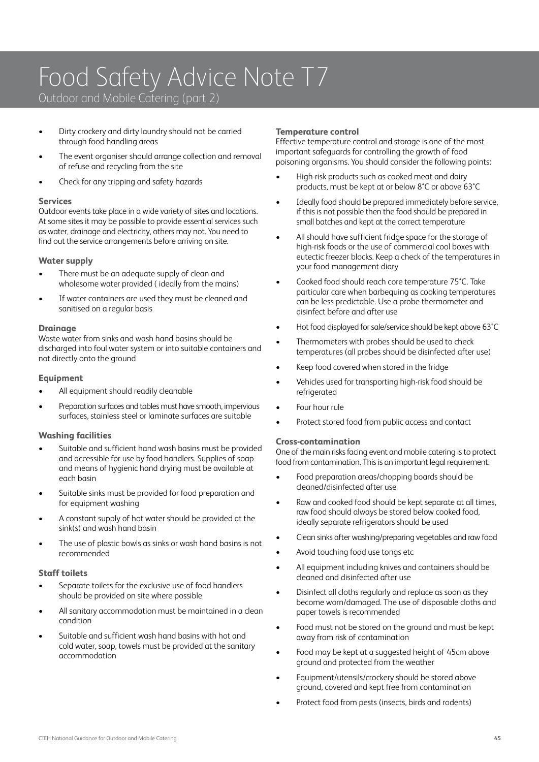## Food Safety Advice Note T7

Outdoor and Mobile Catering (part 2)

- • Dirty crockery and dirty laundry should not be carried through food handling areas
- The event organiser should arrange collection and removal of refuse and recycling from the site
- Check for any tripping and safety hazards

## **Services**

Outdoor events take place in a wide variety of sites and locations. At some sites it may be possible to provide essential services such as water, drainage and electricity, others may not. You need to find out the service arrangements before arriving on site.

## **Water supply**

- There must be an adequate supply of clean and wholesome water provided ( ideally from the mains)
- If water containers are used they must be cleaned and sanitised on a regular basis

## **Drainage**

Waste water from sinks and wash hand basins should be discharged into foul water system or into suitable containers and not directly onto the ground

## **Equipment**

- All equipment should readily cleanable
- Preparation surfaces and tables must have smooth, impervious surfaces, stainless steel or laminate surfaces are suitable

## **Washing facilities**

- Suitable and sufficient hand wash basins must be provided and accessible for use by food handlers. Supplies of soap and means of hygienic hand drying must be available at each basin
- Suitable sinks must be provided for food preparation and for equipment washing
- A constant supply of hot water should be provided at the sink(s) and wash hand basin
- The use of plastic bowls as sinks or wash hand basins is not recommended

## **Staff toilets**

- Separate toilets for the exclusive use of food handlers should be provided on site where possible
- All sanitary accommodation must be maintained in a clean condition
- Suitable and sufficient wash hand basins with hot and cold water, soap, towels must be provided at the sanitary accommodation

## **Temperature control**

Effective temperature control and storage is one of the most important safeguards for controlling the growth of food poisoning organisms. You should consider the following points:

- High-risk products such as cooked meat and dairy products, must be kept at or below 8°C or above 63°C
- Ideally food should be prepared immediately before service, if this is not possible then the food should be prepared in small batches and kept at the correct temperature
- All should have sufficient fridge space for the storage of high-risk foods or the use of commercial cool boxes with eutectic freezer blocks. Keep a check of the temperatures in your food management diary
- Cooked food should reach core temperature 75°C. Take particular care when barbequing as cooking temperatures can be less predictable. Use a probe thermometer and disinfect before and after use
- Hot food displayed for sale/service should be kept above 63°C
- Thermometers with probes should be used to check temperatures (all probes should be disinfected after use)
- Keep food covered when stored in the fridge
- • Vehicles used for transporting high-risk food should be refrigerated
- Four hour rule
- Protect stored food from public access and contact

## **Cross-contamination**

One of the main risks facing event and mobile catering is to protect food from contamination. This is an important legal requirement:

- Food preparation areas/chopping boards should be cleaned/disinfected after use
- Raw and cooked food should be kept separate at all times, raw food should always be stored below cooked food, ideally separate refrigerators should be used
- Clean sinks after washing/preparing vegetables and raw food
- Avoid touching food use tongs etc
- • All equipment including knives and containers should be cleaned and disinfected after use
- Disinfect all cloths regularly and replace as soon as they become worn/damaged. The use of disposable cloths and paper towels is recommended
- Food must not be stored on the ground and must be kept away from risk of contamination
- Food may be kept at a suggested height of 45cm above ground and protected from the weather
- Equipment/utensils/crockery should be stored above ground, covered and kept free from contamination
- Protect food from pests (insects, birds and rodents)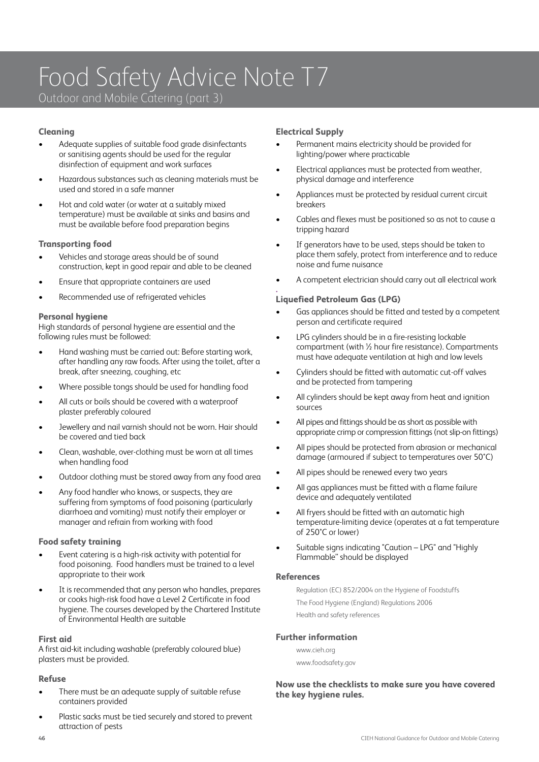## Food Safety Advice Note T7

Outdoor and Mobile Catering (part 3)

## **Cleaning**

- Adequate supplies of suitable food grade disinfectants or sanitising agents should be used for the regular disinfection of equipment and work surfaces
- Hazardous substances such as cleaning materials must be used and stored in a safe manner
- Hot and cold water (or water at a suitably mixed temperature) must be available at sinks and basins and must be available before food preparation begins

## **Transporting food**

- Vehicles and storage areas should be of sound construction, kept in good repair and able to be cleaned
- Ensure that appropriate containers are used
- Recommended use of refrigerated vehicles

## **Personal hygiene**

High standards of personal hygiene are essential and the following rules must be followed:

- • Hand washing must be carried out: Before starting work, after handling any raw foods. After using the toilet, after a break, after sneezing, coughing, etc
- Where possible tongs should be used for handling food
- All cuts or boils should be covered with a waterproof plaster preferably coloured
- Jewellery and nail varnish should not be worn. Hair should be covered and tied back
- Clean, washable, over-clothing must be worn at all times when handling food
- Outdoor clothing must be stored away from any food area
- Any food handler who knows, or suspects, they are suffering from symptoms of food poisoning (particularly diarrhoea and vomiting) must notify their employer or manager and refrain from working with food

## **Food safety training**

- Event catering is a high-risk activity with potential for food poisoning. Food handlers must be trained to a level appropriate to their work
- It is recommended that any person who handles, prepares or cooks high-risk food have a Level 2 Certificate in food hygiene. The courses developed by the Chartered Institute of Environmental Health are suitable

## **First aid**

A first aid-kit including washable (preferably coloured blue) plasters must be provided.

## **Refuse**

- There must be an adequate supply of suitable refuse containers provided
- Plastic sacks must be tied securely and stored to prevent attraction of pests

## **Electrical Supply**

- Permanent mains electricity should be provided for lighting/power where practicable
- Electrical appliances must be protected from weather, physical damage and interference
- Appliances must be protected by residual current circuit breakers
- Cables and flexes must be positioned so as not to cause a tripping hazard
- If generators have to be used, steps should be taken to place them safely, protect from interference and to reduce noise and fume nuisance
- A competent electrician should carry out all electrical work

### **. Liquefied Petroleum Gas (LPG)**

- Gas appliances should be fitted and tested by a competent person and certificate required
- LPG cylinders should be in a fire-resisting lockable compartment (with ½ hour fire resistance). Compartments must have adequate ventilation at high and low levels
- • Cylinders should be fitted with automatic cut-off valves and be protected from tampering
- All cylinders should be kept away from heat and ignition sources
- All pipes and fittings should be as short as possible with appropriate crimp or compression fittings (not slip-on fittings)
- All pipes should be protected from abrasion or mechanical damage (armoured if subject to temperatures over 50°C)
- All pipes should be renewed every two years
- • All gas appliances must be fitted with a flame failure device and adequately ventilated
- All fryers should be fitted with an automatic high temperature-limiting device (operates at a fat temperature of 250°C or lower)
- Suitable signs indicating "Caution LPG" and "Highly Flammable" should be displayed

## **References**

Regulation (EC) 852/2004 on the Hygiene of Foodstuffs The Food Hygiene (England) Regulations 2006 Health and safety references

## **Further information**

www.cieh.org www.foodsafety.gov

## **Now use the checklists to make sure you have covered the key hygiene rules.**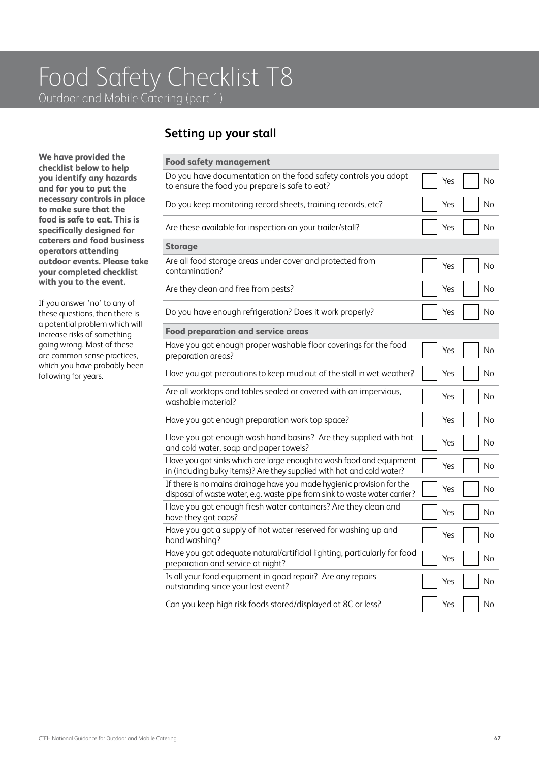## Food Safety Checklist T8 Outdoor and Mobile Catering (part 1)

**We have provided the checklist below to help you identify any hazards and for you to put the necessary controls in place to make sure that the food is safe to eat. This is specifically designed for caterers and food business operators attending outdoor events. Please take your completed checklist with you to the event.**

If you answer 'no' to any of these questions, then there is a potential problem which will increase risks of something going wrong. Most of these are common sense practices, which you have probably been following for years.

## **Setting up your stall**

| <b>Food safety management</b>                                              |           |
|----------------------------------------------------------------------------|-----------|
| Do you have documentation on the food safety controls you adopt            | No        |
| to ensure the food you prepare is safe to eat?                             | Yes       |
| Do you keep monitoring record sheets, training records, etc?               | Yes<br>No |
| Are these available for inspection on your trailer/stall?                  | No<br>Yes |
| <b>Storage</b>                                                             |           |
| Are all food storage areas under cover and protected from                  | Yes       |
| contamination?                                                             | No        |
| Are they clean and free from pests?                                        | No<br>Yes |
| Do you have enough refrigeration? Does it work properly?                   | No<br>Yes |
| <b>Food preparation and service areas</b>                                  |           |
| Have you got enough proper washable floor coverings for the food           | Yes       |
| preparation areas?                                                         | No        |
| Have you got precautions to keep mud out of the stall in wet weather?      | Yes<br>No |
| Are all worktops and tables sealed or covered with an impervious,          | Yes       |
| washable material?                                                         | No        |
| Have you got enough preparation work top space?                            | Yes<br>No |
| Have you got enough wash hand basins? Are they supplied with hot           | Nο        |
| and cold water, soap and paper towels?                                     | Yes       |
| Have you got sinks which are large enough to wash food and equipment       | No        |
| in (including bulky items)? Are they supplied with hot and cold water?     | Yes       |
| If there is no mains drainage have you made hygienic provision for the     | No        |
| disposal of waste water, e.g. waste pipe from sink to waste water carrier? | Yes       |
| Have you got enough fresh water containers? Are they clean and             | No        |
| have they got caps?                                                        | Yes       |
| Have you got a supply of hot water reserved for washing up and             | Yes       |
| hand washing?                                                              | No        |
| Have you got adequate natural/artificial lighting, particularly for food   | Yes       |
| preparation and service at night?                                          | No        |
| Is all your food equipment in good repair? Are any repairs                 | Yes       |
| outstanding since your last event?                                         | No        |
| Can you keep high risk foods stored/displayed at 8C or less?               | Yes<br>No |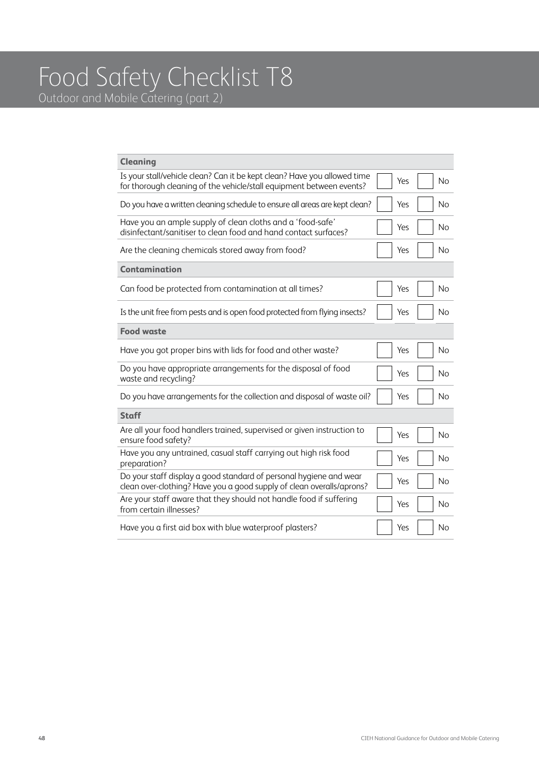## Food Safety Checklist T8 Outdoor and Mobile Catering (part 2)

**Cleaning** Is your stall/vehicle clean? Can it be kept clean? Have you allowed time  $f$  is your stail/vehicle cleari: Carric be kept cleari: Have you dilowed time  $\Box$  Yes  $\Box$  No for thorough cleaning of the vehicle/stall equipment between events? Do you have a written cleaning schedule to ensure all areas are kept clean?  $\Box$  Yes  $\Box$  No Have you an ample supply of clean cloths and a 'food-safe' disinfectant/sanitiser to clean food and hand contact surfaces? Are the cleaning chemicals stored away from food? 
<br>
| | Yes | | No **Contamination** Can food be protected from contamination at all times? Yes No Is the unit free from pests and is open food protected from flying insects?  $\parallel$   $\parallel$  Yes  $\parallel$   $\parallel$  No **Food waste** Have you got proper bins with lids for food and other waste? Yes No Do you have appropriate arrangements for the disposal of food  $\Box$  Yes  $\Box$  No<br>waste and recycling? Do you have arrangements for the collection and disposal of waste oil?  $\parallel \parallel$  Yes  $\parallel \parallel$  No **Staff** Are all your food handlers trained, supervised or given instruction to  $\Box$  Yes  $\Box$  No<br>ensure food safety? Have you any untrained, casual staff carrying out high risk food  $\hfill\text{Yes} \quad \Box$  No Do your staff display a good standard of personal hygiene and wear Do your start display a good startidate or personal riygierie drid wear<br>clean over-clothing? Have you a good supply of clean overalls/aprons? Are your staff aware that they should not handle food if suffering  $\qquad \qquad$  Yes  $\qquad \qquad$  No Have you a first aid box with blue waterproof plasters? Yes No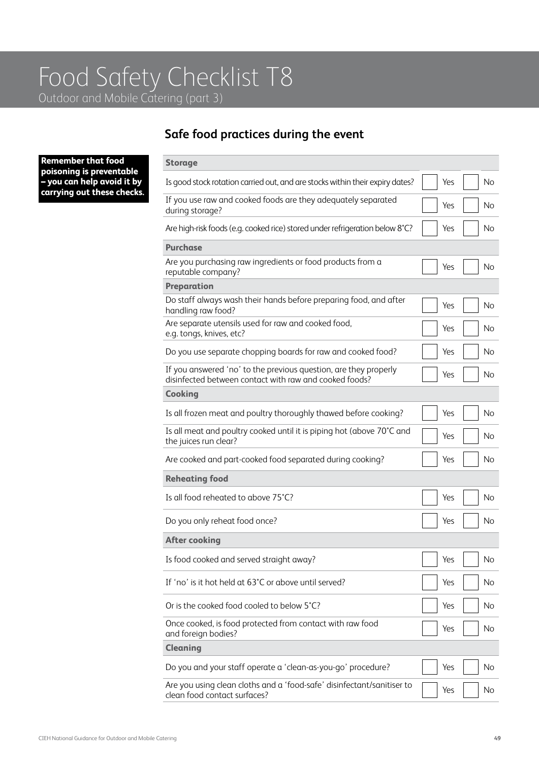## Food Safety Checklist T8 Outdoor and Mobile Catering (part 3)

## **Safe food practices during the event**

## **Remember that food poisoning is preventable – you can help avoid it by carrying out these checks.**

| <b>Storage</b>                                                                                                             |                  |
|----------------------------------------------------------------------------------------------------------------------------|------------------|
| Is good stock rotation carried out, and are stocks within their expiry dates?                                              | No<br>Yes        |
| If you use raw and cooked foods are they adequately separated<br>during storage?                                           | <b>No</b><br>Yes |
| Are high-risk foods (e.g. cooked rice) stored under refrigeration below 8°C?                                               | <b>No</b><br>Yes |
| <b>Purchase</b>                                                                                                            |                  |
| Are you purchasing raw ingredients or food products from a<br>reputable company?                                           | Yes<br><b>No</b> |
| Preparation                                                                                                                |                  |
| Do staff always wash their hands before preparing food, and after<br>handling raw food?                                    | Yes<br><b>No</b> |
| Are separate utensils used for raw and cooked food,<br>e.g. tongs, knives, etc?                                            | <b>No</b><br>Yes |
| Do you use separate chopping boards for raw and cooked food?                                                               | <b>No</b><br>Yes |
| If you answered 'no' to the previous question, are they properly<br>disinfected between contact with raw and cooked foods? | <b>No</b><br>Yes |
| <b>Cooking</b>                                                                                                             |                  |
| Is all frozen meat and poultry thoroughly thawed before cooking?                                                           | No.<br>Yes       |
| Is all meat and poultry cooked until it is piping hot (above 70°C and<br>the juices run clear?                             | <b>No</b><br>Yes |
| Are cooked and part-cooked food separated during cooking?                                                                  | <b>No</b><br>Yes |
| <b>Reheating food</b>                                                                                                      |                  |
| Is all food reheated to above 75°C?                                                                                        | <b>No</b><br>Yes |
| Do you only reheat food once?                                                                                              | <b>No</b><br>Yes |
| <b>After cooking</b>                                                                                                       |                  |
| Is food cooked and served straight away?                                                                                   | Yes<br>No        |
| If 'no' is it hot held at 63°C or above until served?                                                                      | Yes<br><b>No</b> |
| Or is the cooked food cooled to below 5°C?                                                                                 | <b>No</b><br>Yes |
| Once cooked, is food protected from contact with raw food<br>and foreign bodies?                                           | No.<br>Yes       |
| <b>Cleaning</b>                                                                                                            |                  |
| Do you and your staff operate a 'clean-as-you-go' procedure?                                                               | No<br>Yes        |
| Are you using clean cloths and a 'food-safe' disinfectant/sanitiser to<br>clean food contact surfaces?                     | Yes<br>No.       |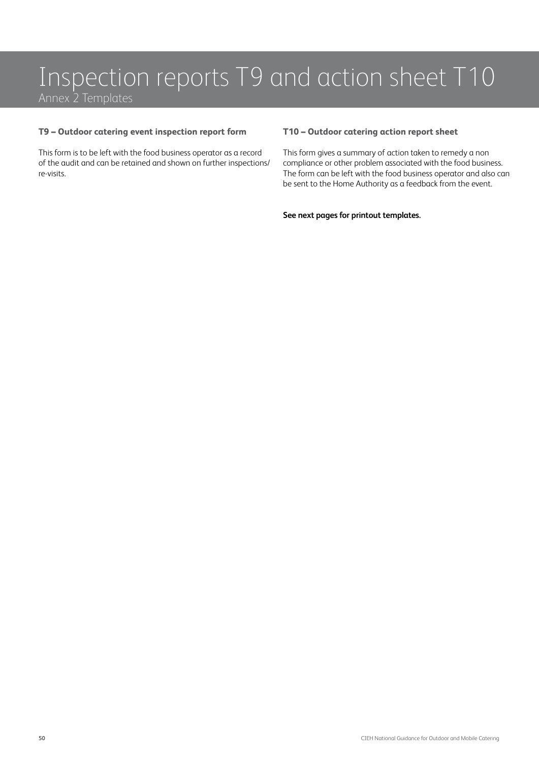# Inspection reports T9 and action sheet T10

Annex 2 Templates

## **T9 – Outdoor catering event inspection report form**

This form is to be left with the food business operator as a record of the audit and can be retained and shown on further inspections/ re-visits.

## **T10 – Outdoor catering action report sheet**

This form gives a summary of action taken to remedy a non compliance or other problem associated with the food business. The form can be left with the food business operator and also can be sent to the Home Authority as a feedback from the event.

**See next pages for printout templates.**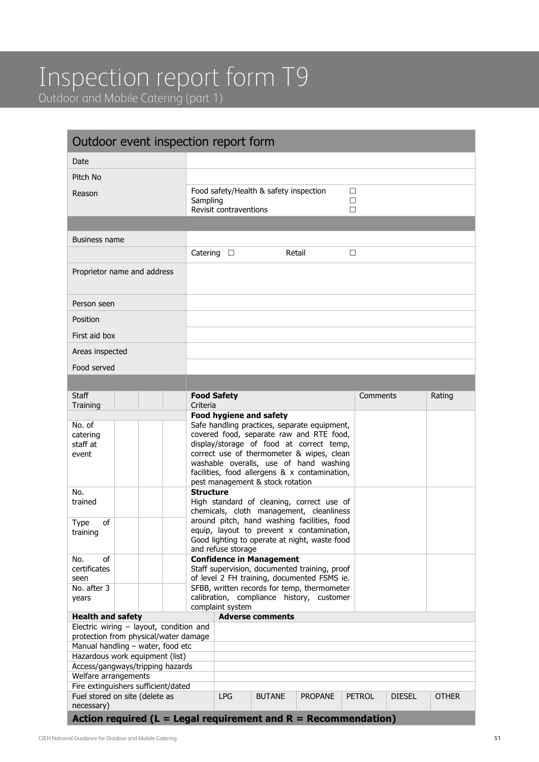## Inspection report form T9

Outdoor and Mobile Catering (part 1)

| Outdoor event inspection report form    |                             |  |                                           |                        |                                                                     |                |               |               |              |
|-----------------------------------------|-----------------------------|--|-------------------------------------------|------------------------|---------------------------------------------------------------------|----------------|---------------|---------------|--------------|
| Date                                    |                             |  |                                           |                        |                                                                     |                |               |               |              |
|                                         |                             |  |                                           |                        |                                                                     |                |               |               |              |
| Pitch No                                |                             |  |                                           |                        |                                                                     |                |               |               |              |
| Reason                                  |                             |  | Sampling                                  | Revisit contraventions | Food safety/Health & safety inspection                              |                | □<br>□<br>П   |               |              |
|                                         |                             |  |                                           |                        |                                                                     |                |               |               |              |
| Business name                           |                             |  |                                           |                        |                                                                     |                |               |               |              |
|                                         |                             |  | Catering $\square$                        |                        |                                                                     | Retail         | $\Box$        |               |              |
|                                         | Proprietor name and address |  |                                           |                        |                                                                     |                |               |               |              |
| Person seen                             |                             |  |                                           |                        |                                                                     |                |               |               |              |
| Position                                |                             |  |                                           |                        |                                                                     |                |               |               |              |
| First aid box                           |                             |  |                                           |                        |                                                                     |                |               |               |              |
| Areas inspected                         |                             |  |                                           |                        |                                                                     |                |               |               |              |
| Food served                             |                             |  |                                           |                        |                                                                     |                |               |               |              |
|                                         |                             |  |                                           |                        |                                                                     |                |               |               |              |
| <b>Staff</b>                            |                             |  |                                           | <b>Food Safety</b>     |                                                                     |                | Comments      |               | Rating       |
| Training                                |                             |  | Criteria                                  |                        |                                                                     |                |               |               |              |
|                                         |                             |  |                                           |                        | <b>Food hygiene and safety</b>                                      |                |               |               |              |
| No. of                                  |                             |  |                                           |                        | Safe handling practices, separate equipment,                        |                |               |               |              |
| catering                                |                             |  |                                           |                        | covered food, separate raw and RTE food,                            |                |               |               |              |
| staff at                                |                             |  |                                           |                        | display/storage of food at correct temp,                            |                |               |               |              |
| event                                   |                             |  | correct use of thermometer & wipes, clean |                        |                                                                     |                |               |               |              |
|                                         |                             |  | washable overalls, use of hand washing    |                        |                                                                     |                |               |               |              |
|                                         |                             |  |                                           |                        | facilities, food allergens & x contamination,                       |                |               |               |              |
|                                         |                             |  | pest management & stock rotation          |                        |                                                                     |                |               |               |              |
| No.                                     |                             |  | <b>Structure</b>                          |                        |                                                                     |                |               |               |              |
| trained                                 |                             |  |                                           |                        | High standard of cleaning, correct use of                           |                |               |               |              |
|                                         |                             |  | chemicals, cloth management, cleanliness  |                        |                                                                     |                |               |               |              |
| οf<br>Type                              |                             |  |                                           |                        | around pitch, hand washing facilities, food                         |                |               |               |              |
| training                                |                             |  |                                           |                        | equip, layout to prevent x contamination,                           |                |               |               |              |
|                                         |                             |  |                                           |                        | Good lighting to operate at night, waste food                       |                |               |               |              |
|                                         |                             |  |                                           | and refuse storage     |                                                                     |                |               |               |              |
| of<br>No.                               |                             |  | <b>Confidence in Management</b>           |                        |                                                                     |                |               |               |              |
| certificates                            |                             |  |                                           |                        | Staff supervision, documented training, proof                       |                |               |               |              |
| seen                                    |                             |  |                                           |                        | of level 2 FH training, documented FSMS ie.                         |                |               |               |              |
| No. after 3                             |                             |  |                                           |                        | SFBB, written records for temp, thermometer                         |                |               |               |              |
| years                                   |                             |  |                                           |                        | calibration, compliance history, customer                           |                |               |               |              |
|                                         |                             |  |                                           | complaint system       |                                                                     |                |               |               |              |
| <b>Health and safety</b>                |                             |  |                                           |                        | <b>Adverse comments</b>                                             |                |               |               |              |
| Electric wiring - layout, condition and |                             |  |                                           |                        |                                                                     |                |               |               |              |
| protection from physical/water damage   |                             |  |                                           |                        |                                                                     |                |               |               |              |
| Manual handling - water, food etc       |                             |  |                                           |                        |                                                                     |                |               |               |              |
| Hazardous work equipment (list)         |                             |  |                                           |                        |                                                                     |                |               |               |              |
| Access/gangways/tripping hazards        |                             |  |                                           |                        |                                                                     |                |               |               |              |
| Welfare arrangements                    |                             |  |                                           |                        |                                                                     |                |               |               |              |
| Fire extinguishers sufficient/dated     |                             |  |                                           |                        |                                                                     |                |               |               |              |
| Fuel stored on site (delete as          |                             |  |                                           | <b>LPG</b>             | <b>BUTANE</b>                                                       | <b>PROPANE</b> | <b>PETROL</b> | <b>DIESEL</b> | <b>OTHER</b> |
| necessary)                              |                             |  |                                           |                        |                                                                     |                |               |               |              |
|                                         |                             |  |                                           |                        | Action required ( $L =$ Legal requirement and $R =$ Recommendation) |                |               |               |              |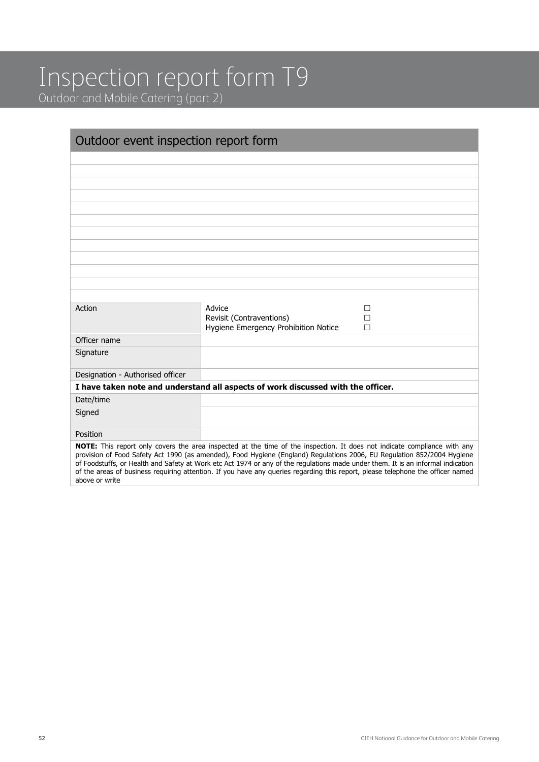# Inspection report form T9

Outdoor and Mobile Catering (part 2)

above or write

| Outdoor event inspection report form |                                                                                                                                                                                                                                                                                                                                                                                                                                                                                                                            |                       |  |  |  |
|--------------------------------------|----------------------------------------------------------------------------------------------------------------------------------------------------------------------------------------------------------------------------------------------------------------------------------------------------------------------------------------------------------------------------------------------------------------------------------------------------------------------------------------------------------------------------|-----------------------|--|--|--|
|                                      |                                                                                                                                                                                                                                                                                                                                                                                                                                                                                                                            |                       |  |  |  |
|                                      |                                                                                                                                                                                                                                                                                                                                                                                                                                                                                                                            |                       |  |  |  |
|                                      |                                                                                                                                                                                                                                                                                                                                                                                                                                                                                                                            |                       |  |  |  |
|                                      |                                                                                                                                                                                                                                                                                                                                                                                                                                                                                                                            |                       |  |  |  |
|                                      |                                                                                                                                                                                                                                                                                                                                                                                                                                                                                                                            |                       |  |  |  |
|                                      |                                                                                                                                                                                                                                                                                                                                                                                                                                                                                                                            |                       |  |  |  |
|                                      |                                                                                                                                                                                                                                                                                                                                                                                                                                                                                                                            |                       |  |  |  |
|                                      |                                                                                                                                                                                                                                                                                                                                                                                                                                                                                                                            |                       |  |  |  |
|                                      |                                                                                                                                                                                                                                                                                                                                                                                                                                                                                                                            |                       |  |  |  |
|                                      |                                                                                                                                                                                                                                                                                                                                                                                                                                                                                                                            |                       |  |  |  |
|                                      |                                                                                                                                                                                                                                                                                                                                                                                                                                                                                                                            |                       |  |  |  |
|                                      |                                                                                                                                                                                                                                                                                                                                                                                                                                                                                                                            |                       |  |  |  |
| Action                               | Advice<br>Revisit (Contraventions)<br>Hygiene Emergency Prohibition Notice                                                                                                                                                                                                                                                                                                                                                                                                                                                 | $\Box$<br>П<br>$\Box$ |  |  |  |
| Officer name                         |                                                                                                                                                                                                                                                                                                                                                                                                                                                                                                                            |                       |  |  |  |
| Signature                            |                                                                                                                                                                                                                                                                                                                                                                                                                                                                                                                            |                       |  |  |  |
| Designation - Authorised officer     |                                                                                                                                                                                                                                                                                                                                                                                                                                                                                                                            |                       |  |  |  |
|                                      | I have taken note and understand all aspects of work discussed with the officer.                                                                                                                                                                                                                                                                                                                                                                                                                                           |                       |  |  |  |
| Date/time                            |                                                                                                                                                                                                                                                                                                                                                                                                                                                                                                                            |                       |  |  |  |
| Signed                               |                                                                                                                                                                                                                                                                                                                                                                                                                                                                                                                            |                       |  |  |  |
| Position                             |                                                                                                                                                                                                                                                                                                                                                                                                                                                                                                                            |                       |  |  |  |
|                                      | NOTE: This report only covers the area inspected at the time of the inspection. It does not indicate compliance with any<br>provision of Food Safety Act 1990 (as amended), Food Hygiene (England) Regulations 2006, EU Regulation 852/2004 Hygiene<br>of Foodstuffs, or Health and Safety at Work etc Act 1974 or any of the regulations made under them. It is an informal indication<br>of the areas of business requiring attention. If you have any queries regarding this report, please telephone the officer named |                       |  |  |  |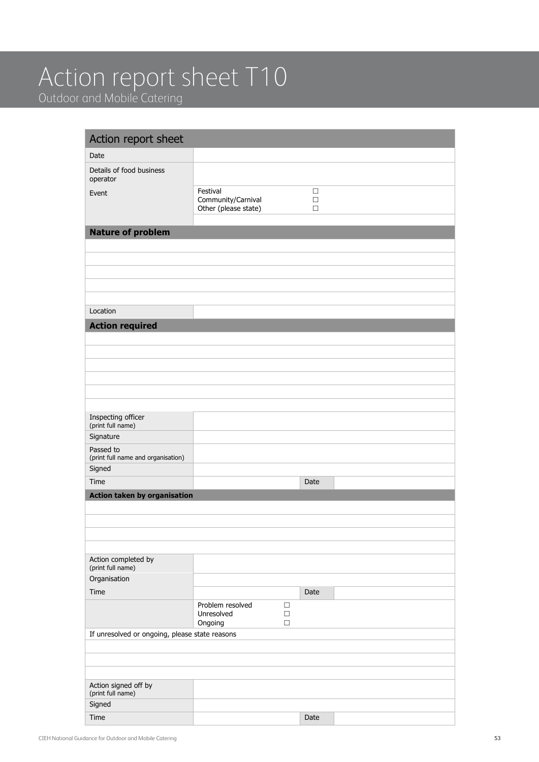## Action report sheet T10

Outdoor and Mobile Catering

| Action report sheet                             |                                                        |                       |  |
|-------------------------------------------------|--------------------------------------------------------|-----------------------|--|
| Date                                            |                                                        |                       |  |
| Details of food business<br>operator            |                                                        |                       |  |
| Event                                           | Festival<br>Community/Carnival<br>Other (please state) | $\Box$<br>□<br>$\Box$ |  |
| <b>Nature of problem</b>                        |                                                        |                       |  |
|                                                 |                                                        |                       |  |
|                                                 |                                                        |                       |  |
|                                                 |                                                        |                       |  |
|                                                 |                                                        |                       |  |
| Location                                        |                                                        |                       |  |
| <b>Action required</b>                          |                                                        |                       |  |
|                                                 |                                                        |                       |  |
|                                                 |                                                        |                       |  |
|                                                 |                                                        |                       |  |
|                                                 |                                                        |                       |  |
|                                                 |                                                        |                       |  |
|                                                 |                                                        |                       |  |
| Inspecting officer<br>(print full name)         |                                                        |                       |  |
| Signature                                       |                                                        |                       |  |
| Passed to<br>(print full name and organisation) |                                                        |                       |  |
| Signed                                          |                                                        |                       |  |
| Time                                            |                                                        | Date                  |  |
| <b>Action taken by organisation</b>             |                                                        |                       |  |
|                                                 |                                                        |                       |  |
|                                                 |                                                        |                       |  |
|                                                 |                                                        |                       |  |
| Action completed by                             |                                                        |                       |  |
| (print full name)                               |                                                        |                       |  |
| Organisation<br>Time                            |                                                        | Date                  |  |
|                                                 | Problem resolved<br>Unresolved                         | $\Box$<br>$\Box$      |  |
| If unresolved or ongoing, please state reasons  | Ongoing                                                | □                     |  |
|                                                 |                                                        |                       |  |
|                                                 |                                                        |                       |  |
|                                                 |                                                        |                       |  |
| Action signed off by<br>(print full name)       |                                                        |                       |  |
| Signed                                          |                                                        |                       |  |
| Time                                            |                                                        | Date                  |  |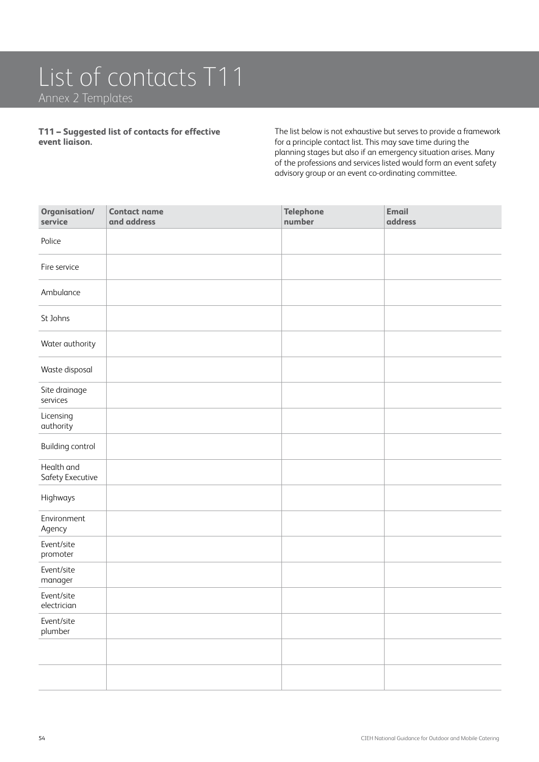## List of contacts T11 Annex 2 Templates

## **T11 – Suggested list of contacts for effective event liaison.**

The list below is not exhaustive but serves to provide a framework for a principle contact list. This may save time during the planning stages but also if an emergency situation arises. Many of the professions and services listed would form an event safety advisory group or an event co-ordinating committee.

| <b>Organisation/</b><br>service | <b>Contact name</b><br>and address | <b>Telephone</b><br>number | <b>Email</b><br>address |
|---------------------------------|------------------------------------|----------------------------|-------------------------|
| Police                          |                                    |                            |                         |
| Fire service                    |                                    |                            |                         |
| Ambulance                       |                                    |                            |                         |
| St Johns                        |                                    |                            |                         |
| Water authority                 |                                    |                            |                         |
| Waste disposal                  |                                    |                            |                         |
| Site drainage<br>services       |                                    |                            |                         |
| Licensing<br>authority          |                                    |                            |                         |
| Building control                |                                    |                            |                         |
| Health and<br>Safety Executive  |                                    |                            |                         |
| Highways                        |                                    |                            |                         |
| Environment<br>Agency           |                                    |                            |                         |
| Event/site<br>promoter          |                                    |                            |                         |
| Event/site<br>manager           |                                    |                            |                         |
| Event/site<br>electrician       |                                    |                            |                         |
| Event/site<br>plumber           |                                    |                            |                         |
|                                 |                                    |                            |                         |
|                                 |                                    |                            |                         |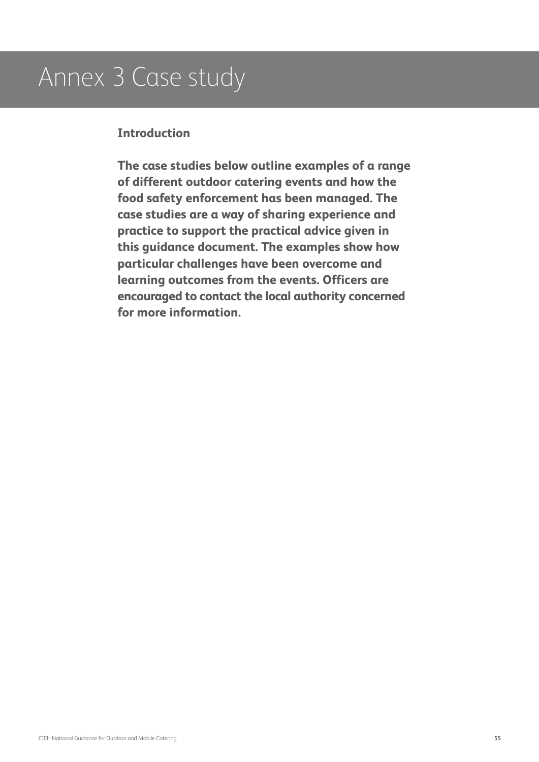## Annex 3 Case study

## **Introduction**

**The case studies below outline examples of a range of different outdoor catering events and how the food safety enforcement has been managed. The case studies are a way of sharing experience and practice to support the practical advice given in this guidance document. The examples show how particular challenges have been overcome and learning outcomes from the events. Officers are encouraged to contact the local authority concerned for more information.**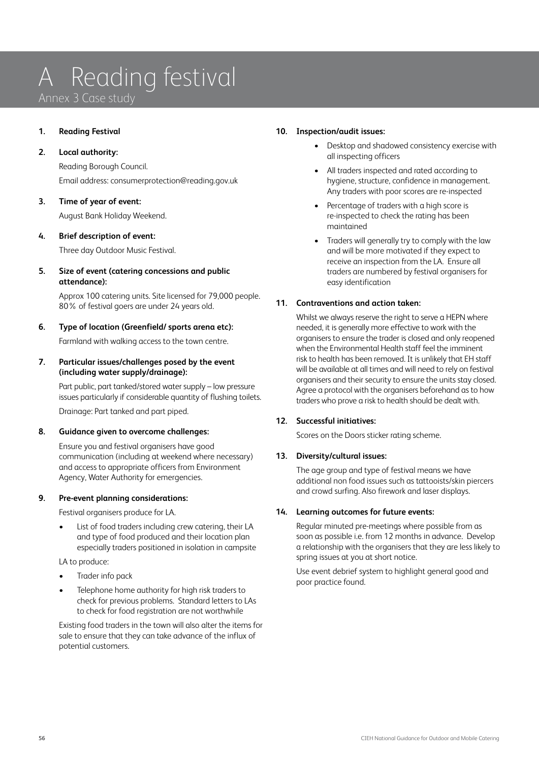# A Reading festival

Annex 3 Case study

## **1. Reading Festival**

## **2. Local authority:**

Reading Borough Council. Email address: consumerprotection@reading.gov.uk

## **3. Time of year of event:**

August Bank Holiday Weekend.

## **4. Brief description of event:**

Three day Outdoor Music Festival.

## **5. Size of event (catering concessions and public attendance):**

Approx 100 catering units. Site licensed for 79,000 people. 80% of festival goers are under 24 years old.

## **6. Type of location (Greenfield/ sports arena etc):**

Farmland with walking access to the town centre.

## **7. Particular issues/challenges posed by the event (including water supply/drainage):**

Part public, part tanked/stored water supply – low pressure issues particularly if considerable quantity of flushing toilets. Drainage: Part tanked and part piped.

## **8. Guidance given to overcome challenges:**

Ensure you and festival organisers have good communication (including at weekend where necessary) and access to appropriate officers from Environment Agency, Water Authority for emergencies.

## **9. Pre-event planning considerations:**

Festival organisers produce for LA.

List of food traders including crew catering, their LA and type of food produced and their location plan especially traders positioned in isolation in campsite

LA to produce:

- Trader info pack
- Telephone home authority for high risk traders to check for previous problems. Standard letters to LAs to check for food registration are not worthwhile

Existing food traders in the town will also alter the items for sale to ensure that they can take advance of the influx of potential customers.

## **10. Inspection/audit issues:**

- Desktop and shadowed consistency exercise with all inspecting officers
- All traders inspected and rated according to hygiene, structure, confidence in management. Any traders with poor scores are re-inspected
- Percentage of traders with a high score is re-inspected to check the rating has been maintained
- Traders will generally try to comply with the law and will be more motivated if they expect to receive an inspection from the LA. Ensure all traders are numbered by festival organisers for easy identification

## **11. Contraventions and action taken:**

Whilst we always reserve the right to serve a HEPN where needed, it is generally more effective to work with the organisers to ensure the trader is closed and only reopened when the Environmental Health staff feel the imminent risk to health has been removed. It is unlikely that EH staff will be available at all times and will need to rely on festival organisers and their security to ensure the units stay closed. Agree a protocol with the organisers beforehand as to how traders who prove a risk to health should be dealt with.

## **12. Successful initiatives:**

Scores on the Doors sticker rating scheme.

## **13. Diversity/cultural issues:**

The age group and type of festival means we have additional non food issues such as tattooists/skin piercers and crowd surfing. Also firework and laser displays.

## **14. Learning outcomes for future events:**

Regular minuted pre-meetings where possible from as soon as possible i.e. from 12 months in advance. Develop a relationship with the organisers that they are less likely to spring issues at you at short notice.

Use event debrief system to highlight general good and poor practice found.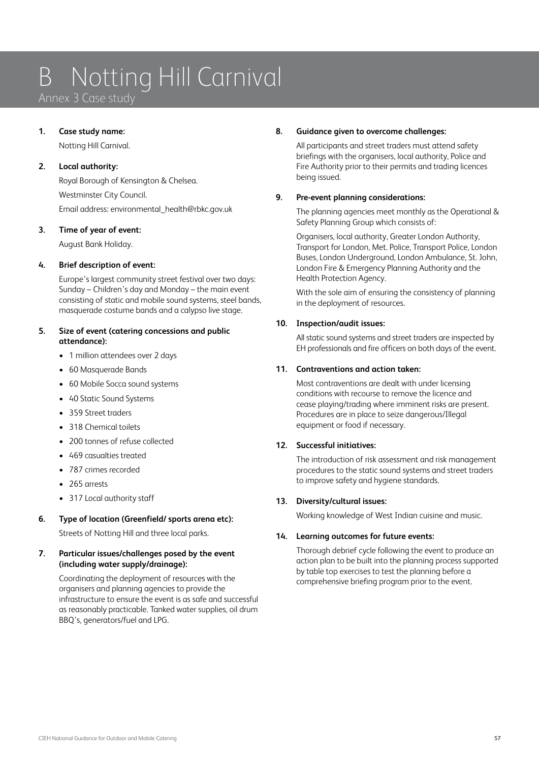# B Notting Hill Carnival

Annex 3 Case study

## **1. Case study name:**

Notting Hill Carnival.

## **2. Local authority:**

Royal Borough of Kensington & Chelsea. Westminster City Council. Email address: environmental\_health@rbkc.gov.uk

## **3. Time of year of event:**

August Bank Holiday.

## **4. Brief description of event:**

Europe's largest community street festival over two days: Sunday – Children's day and Monday – the main event consisting of static and mobile sound systems, steel bands, masquerade costume bands and a calypso live stage.

## **5. Size of event (catering concessions and public attendance):**

- 1 million attendees over 2 days
- 60 Masquerade Bands
- 60 Mobile Socca sound systems
- 40 Static Sound Systems
- 359 Street traders
- 318 Chemical toilets
- 200 tonnes of refuse collected
- 469 casualties treated
- 787 crimes recorded
- 265 arrests
- 317 Local authority staff

## **6. Type of location (Greenfield/ sports arena etc):**

Streets of Notting Hill and three local parks.

## **7. Particular issues/challenges posed by the event (including water supply/drainage):**

Coordinating the deployment of resources with the organisers and planning agencies to provide the infrastructure to ensure the event is as safe and successful as reasonably practicable. Tanked water supplies, oil drum BBQ's, generators/fuel and LPG.

## **8. Guidance given to overcome challenges:**

All participants and street traders must attend safety briefings with the organisers, local authority, Police and Fire Authority prior to their permits and trading licences being issued.

## **9. Pre-event planning considerations:**

The planning agencies meet monthly as the Operational & Safety Planning Group which consists of:

Organisers, local authority, Greater London Authority, Transport for London, Met. Police, Transport Police, London Buses, London Underground, London Ambulance, St. John, London Fire & Emergency Planning Authority and the Health Protection Agency.

With the sole aim of ensuring the consistency of planning in the deployment of resources.

## **10. Inspection/audit issues:**

All static sound systems and street traders are inspected by EH professionals and fire officers on both days of the event.

## **11. Contraventions and action taken:**

Most contraventions are dealt with under licensing conditions with recourse to remove the licence and cease playing/trading where imminent risks are present. Procedures are in place to seize dangerous/Illegal equipment or food if necessary.

## **12. Successful initiatives:**

The introduction of risk assessment and risk management procedures to the static sound systems and street traders to improve safety and hygiene standards.

## **13. Diversity/cultural issues:**

Working knowledge of West Indian cuisine and music.

## **14. Learning outcomes for future events:**

Thorough debrief cycle following the event to produce an action plan to be built into the planning process supported by table top exercises to test the planning before a comprehensive briefing program prior to the event.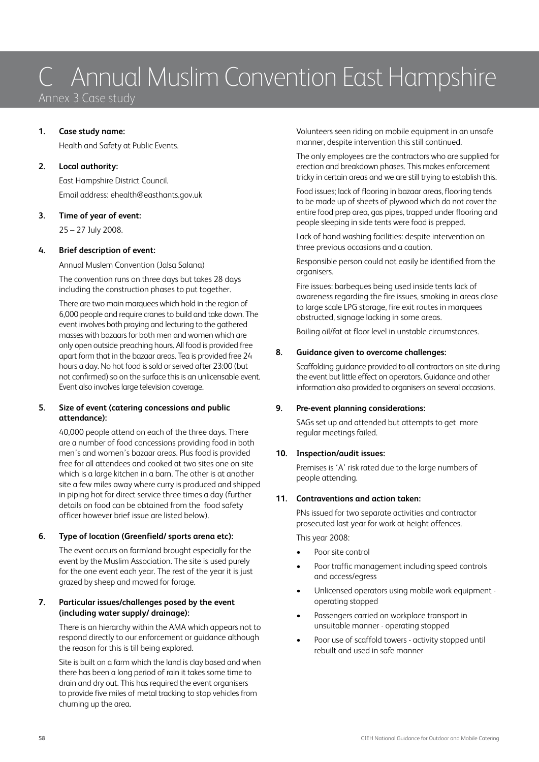# C Annual Muslim Convention East Hampshire

Annex 3 Case study

## **1. Case study name:**

Health and Safety at Public Events.

## **2. Local authority:**

East Hampshire District Council. Email address: ehealth@easthants.gov.uk

## **3. Time of year of event:**

25 – 27 July 2008.

## **4. Brief description of event:**

Annual Muslem Convention (Jalsa Salana)

The convention runs on three days but takes 28 days including the construction phases to put together.

There are two main marquees which hold in the region of 6,000 people and require cranes to build and take down. The event involves both praying and lecturing to the gathered masses with bazaars for both men and women which are only open outside preaching hours. All food is provided free apart form that in the bazaar areas. Tea is provided free 24 hours a day. No hot food is sold or served after 23:00 (but not confirmed) so on the surface this is an unlicensable event. Event also involves large television coverage.

## **5. Size of event (catering concessions and public attendance):**

40,000 people attend on each of the three days. There are a number of food concessions providing food in both men's and women's bazaar areas. Plus food is provided free for all attendees and cooked at two sites one on site which is a large kitchen in a barn. The other is at another site a few miles away where curry is produced and shipped in piping hot for direct service three times a day (further details on food can be obtained from the food safety officer however brief issue are listed below).

## **6. Type of location (Greenfield/ sports arena etc):**

The event occurs on farmland brought especially for the event by the Muslim Association. The site is used purely for the one event each year. The rest of the year it is just grazed by sheep and mowed for forage.

## **7. Particular issues/challenges posed by the event (including water supply/ drainage):**

There is an hierarchy within the AMA which appears not to respond directly to our enforcement or guidance although the reason for this is till being explored.

Site is built on a farm which the land is clay based and when there has been a long period of rain it takes some time to drain and dry out. This has required the event organisers to provide five miles of metal tracking to stop vehicles from churning up the area.

Volunteers seen riding on mobile equipment in an unsafe manner, despite intervention this still continued.

The only employees are the contractors who are supplied for erection and breakdown phases. This makes enforcement tricky in certain areas and we are still trying to establish this.

Food issues; lack of flooring in bazaar areas, flooring tends to be made up of sheets of plywood which do not cover the entire food prep area, gas pipes, trapped under flooring and people sleeping in side tents were food is prepped.

Lack of hand washing facilities: despite intervention on three previous occasions and a caution.

Responsible person could not easily be identified from the organisers.

Fire issues: barbeques being used inside tents lack of awareness regarding the fire issues, smoking in areas close to large scale LPG storage, fire exit routes in marquees obstructed, signage lacking in some areas.

Boiling oil/fat at floor level in unstable circumstances.

## **8. Guidance given to overcome challenges:**

Scaffolding guidance provided to all contractors on site during the event but little effect on operators. Guidance and other information also provided to organisers on several occasions.

## **9. Pre-event planning considerations:**

SAGs set up and attended but attempts to get more regular meetings failed.

## **10. Inspection/audit issues:**

Premises is 'A' risk rated due to the large numbers of people attending.

## **11. Contraventions and action taken:**

PNs issued for two separate activities and contractor prosecuted last year for work at height offences.

This year 2008:

- Poor site control
- • Poor traffic management including speed controls and access/egress
- • Unlicensed operators using mobile work equipment operating stopped
- • Passengers carried on workplace transport in unsuitable manner - operating stopped
- Poor use of scaffold towers activity stopped until rebuilt and used in safe manner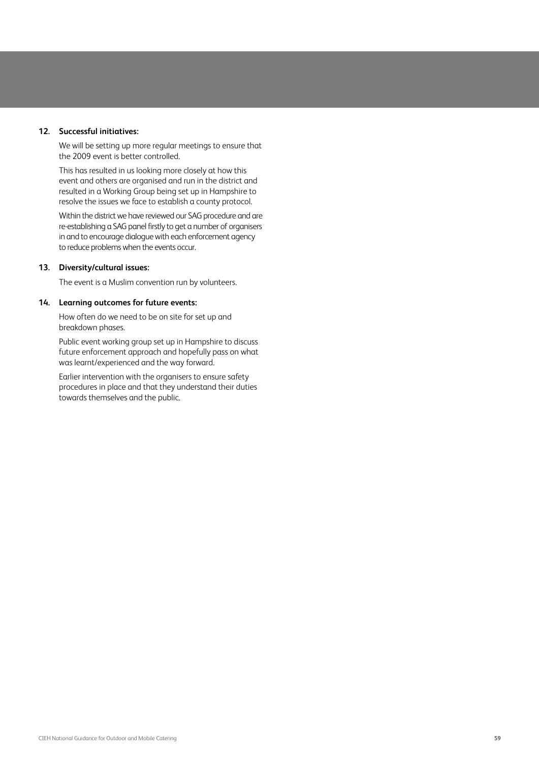## **12. Successful initiatives:**

We will be setting up more regular meetings to ensure that the 2009 event is better controlled.

This has resulted in us looking more closely at how this event and others are organised and run in the district and resulted in a Working Group being set up in Hampshire to resolve the issues we face to establish a county protocol.

Within the district we have reviewed our SAG procedure and are re-establishing a SAG panel firstly to get a number of organisers in and to encourage dialogue with each enforcement agency to reduce problems when the events occur.

## **13. Diversity/cultural issues:**

The event is a Muslim convention run by volunteers.

## **14. Learning outcomes for future events:**

How often do we need to be on site for set up and breakdown phases.

Public event working group set up in Hampshire to discuss future enforcement approach and hopefully pass on what was learnt/experienced and the way forward.

Earlier intervention with the organisers to ensure safety procedures in place and that they understand their duties towards themselves and the public.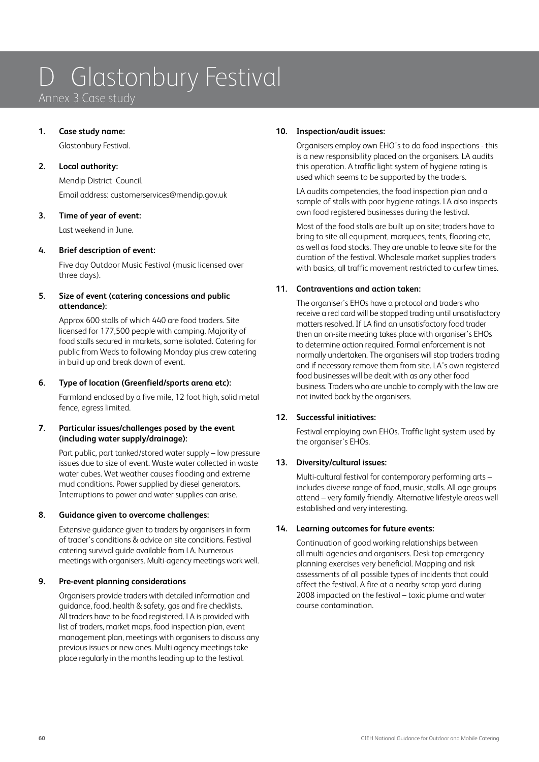# D Glastonbury Festival

Annex 3 Case study

## **1. Case study name:**

Glastonbury Festival.

## **2. Local authority:**

Mendip District Council. Email address: customerservices@mendip.gov.uk

## **3. Time of year of event:**

Last weekend in June.

## **4. Brief description of event:**

Five day Outdoor Music Festival (music licensed over three days).

## **5. Size of event (catering concessions and public attendance):**

Approx 600 stalls of which 440 are food traders. Site licensed for 177,500 people with camping. Majority of food stalls secured in markets, some isolated. Catering for public from Weds to following Monday plus crew catering in build up and break down of event.

## **6. Type of location (Greenfield/sports arena etc):**

Farmland enclosed by a five mile, 12 foot high, solid metal fence, egress limited.

## **7. Particular issues/challenges posed by the event (including water supply/drainage):**

Part public, part tanked/stored water supply – low pressure issues due to size of event. Waste water collected in waste water cubes. Wet weather causes flooding and extreme mud conditions. Power supplied by diesel generators. Interruptions to power and water supplies can arise.

## **8. Guidance given to overcome challenges:**

Extensive guidance given to traders by organisers in form of trader's conditions & advice on site conditions. Festival catering survival guide available from LA. Numerous meetings with organisers. Multi-agency meetings work well.

## **9. Pre-event planning considerations**

Organisers provide traders with detailed information and guidance, food, health & safety, gas and fire checklists. All traders have to be food registered. LA is provided with list of traders, market maps, food inspection plan, event management plan, meetings with organisers to discuss any previous issues or new ones. Multi agency meetings take place regularly in the months leading up to the festival.

## **10. Inspection/audit issues:**

Organisers employ own EHO's to do food inspections - this is a new responsibility placed on the organisers. LA audits this operation. A traffic light system of hygiene rating is used which seems to be supported by the traders.

LA audits competencies, the food inspection plan and a sample of stalls with poor hygiene ratings. LA also inspects own food registered businesses during the festival.

Most of the food stalls are built up on site; traders have to bring to site all equipment, marquees, tents, flooring etc, as well as food stocks. They are unable to leave site for the duration of the festival. Wholesale market supplies traders with basics, all traffic movement restricted to curfew times.

## **11. Contraventions and action taken:**

The organiser's EHOs have a protocol and traders who receive a red card will be stopped trading until unsatisfactory matters resolved. If LA find an unsatisfactory food trader then an on-site meeting takes place with organiser's EHOs to determine action required. Formal enforcement is not normally undertaken. The organisers will stop traders trading and if necessary remove them from site. LA's own registered food businesses will be dealt with as any other food business. Traders who are unable to comply with the law are not invited back by the organisers.

## **12. Successful initiatives:**

Festival employing own EHOs. Traffic light system used by the organiser's EHOs.

## **13. Diversity/cultural issues:**

Multi-cultural festival for contemporary performing arts – includes diverse range of food, music, stalls. All age groups attend – very family friendly. Alternative lifestyle areas well established and very interesting.

## **14. Learning outcomes for future events:**

Continuation of good working relationships between all multi-agencies and organisers. Desk top emergency planning exercises very beneficial. Mapping and risk assessments of all possible types of incidents that could affect the festival. A fire at a nearby scrap yard during 2008 impacted on the festival – toxic plume and water course contamination.